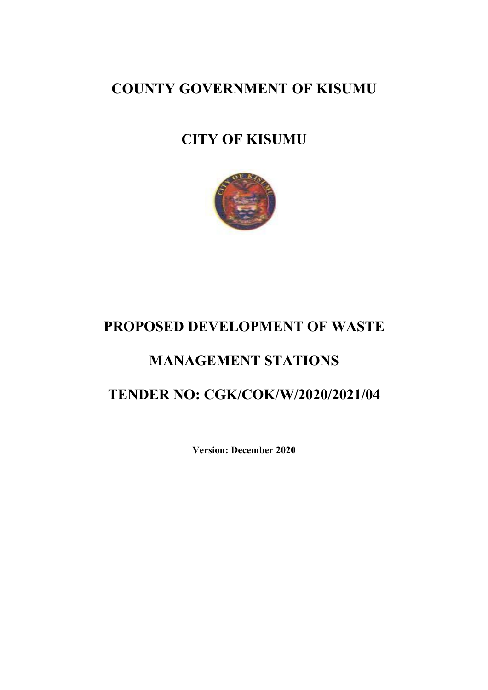COUNTY GOVERNMENT OF KISUMU

## CITY OF KISUMU



## PROPOSED DEVELOPMENT OF WASTE

## MANAGEMENT STATIONS

## TENDER NO: CGK/COK/W/2020/2021/04

Version: December 2020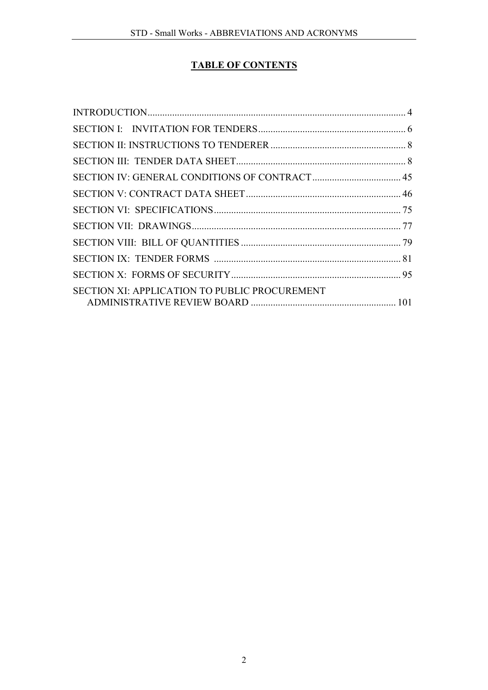### TABLE OF CONTENTS

| <b>SECTION XI: APPLICATION TO PUBLIC PROCUREMENT</b> |  |
|------------------------------------------------------|--|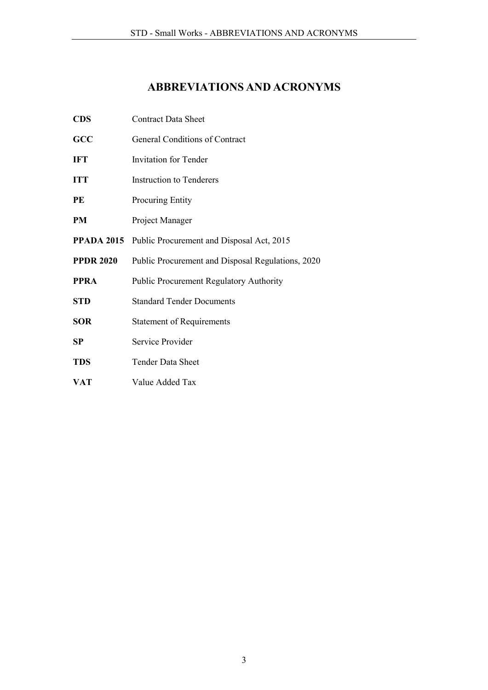## ABBREVIATIONS AND ACRONYMS

| <b>CDS</b>       | <b>Contract Data Sheet</b>                           |
|------------------|------------------------------------------------------|
| GCC              | General Conditions of Contract                       |
| <b>IFT</b>       | <b>Invitation for Tender</b>                         |
| <b>ITT</b>       | <b>Instruction to Tenderers</b>                      |
| PE               | <b>Procuring Entity</b>                              |
| PM               | Project Manager                                      |
|                  | PPADA 2015 Public Procurement and Disposal Act, 2015 |
| <b>PPDR 2020</b> | Public Procurement and Disposal Regulations, 2020    |
| <b>PPRA</b>      | <b>Public Procurement Regulatory Authority</b>       |
| <b>STD</b>       | <b>Standard Tender Documents</b>                     |
| <b>SOR</b>       | <b>Statement of Requirements</b>                     |
| SP               | Service Provider                                     |
| <b>TDS</b>       | <b>Tender Data Sheet</b>                             |
| VAT              | Value Added Tax                                      |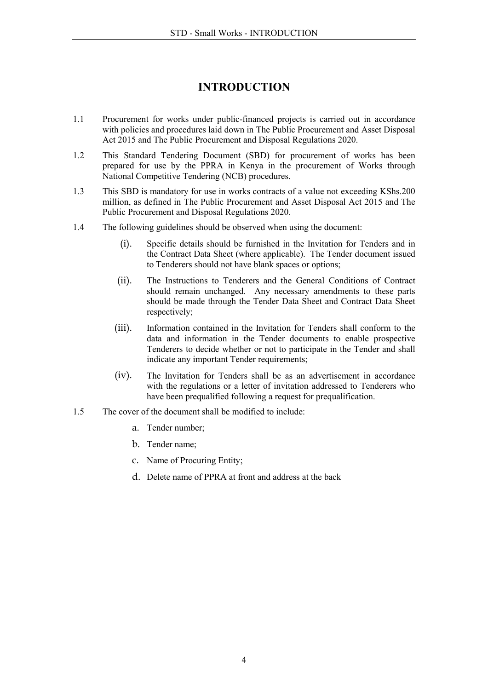## INTRODUCTION

- <span id="page-3-0"></span>1.1 Procurement for works under public-financed projects is carried out in accordance with policies and procedures laid down in The Public Procurement and Asset Disposal Act 2015 and The Public Procurement and Disposal Regulations 2020.
- 1.2 This Standard Tendering Document (SBD) for procurement of works has been prepared for use by the PPRA in Kenya in the procurement of Works through National Competitive Tendering (NCB) procedures.
- 1.3 This SBD is mandatory for use in works contracts of a value not exceeding KShs.200 million, as defined in The Public Procurement and Asset Disposal Act 2015 and The Public Procurement and Disposal Regulations 2020.
- 1.4 The following guidelines should be observed when using the document:
	- (i). Specific details should be furnished in the Invitation for Tenders and in the Contract Data Sheet (where applicable). The Tender document issued to Tenderers should not have blank spaces or options;
	- (ii). The Instructions to Tenderers and the General Conditions of Contract should remain unchanged. Any necessary amendments to these parts should be made through the Tender Data Sheet and Contract Data Sheet respectively;
	- (iii). Information contained in the Invitation for Tenders shall conform to the data and information in the Tender documents to enable prospective Tenderers to decide whether or not to participate in the Tender and shall indicate any important Tender requirements;
	- (iv). The Invitation for Tenders shall be as an advertisement in accordance with the regulations or a letter of invitation addressed to Tenderers who have been prequalified following a request for prequalification.
- 1.5 The cover of the document shall be modified to include:
	- a. Tender number;
	- b. Tender name;
	- c. Name of Procuring Entity;
	- d. Delete name of PPRA at front and address at the back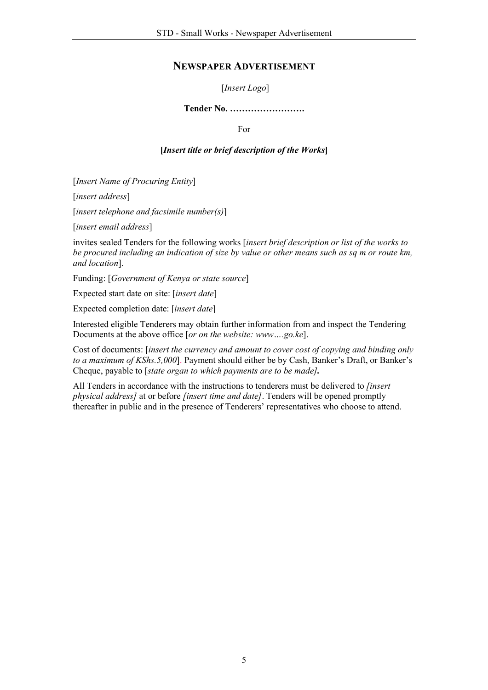#### NEWSPAPER ADVERTISEMENT

#### [*Insert Logo*]

#### Tender No. …………………….

For

#### [*Insert title or brief description of the Works*]

[*Insert Name of Procuring Entity*]

[*insert address*]

[*insert telephone and facsimile number(s)*]

[*insert email address*]

invites sealed Tenders for the following works [*insert brief description or list of the works to be procured including an indication of size by value or other means such as sq m or route km, and location*].

Funding: [*Government of Kenya or state source*]

Expected start date on site: [*insert date*]

Expected completion date: [*insert date*]

Interested eligible Tenderers may obtain further information from and inspect the Tendering Documents at the above office [*or on the website: www….go.ke*].

Cost of documents: [*insert the currency and amount to cover cost of copying and binding only to a maximum of KShs.5,000*]. Payment should either be by Cash, Banker's Draft, or Banker's Cheque, payable to [*state organ to which payments are to be made].*

All Tenders in accordance with the instructions to tenderers must be delivered to *[insert physical address]* at or before *[insert time and date]*. Tenders will be opened promptly thereafter in public and in the presence of Tenderers' representatives who choose to attend.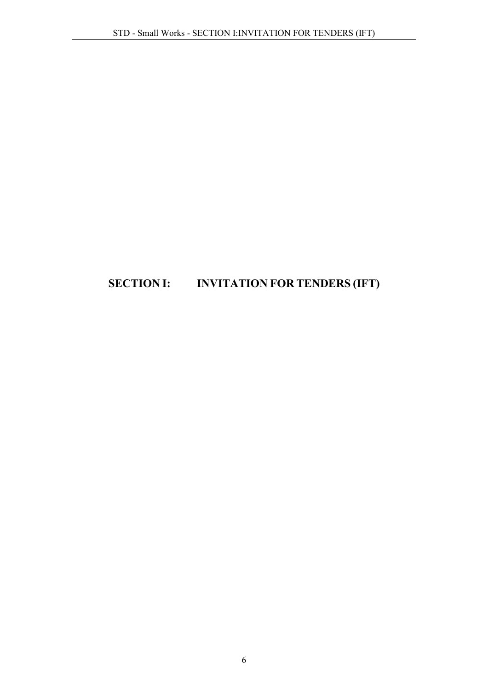## <span id="page-5-0"></span>SECTION I: INVITATION FOR TENDERS (IFT)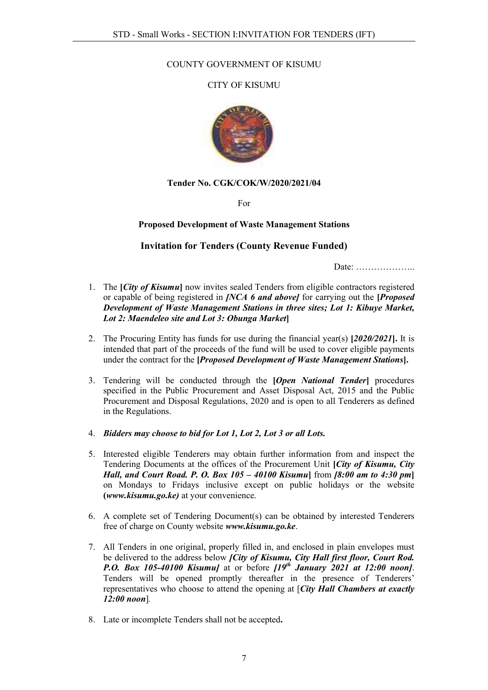#### COUNTY GOVERNMENT OF KISUMU

#### CITY OF KISUMU



#### Tender No. CGK/COK/W/2020/2021/04

For

#### Proposed Development of Waste Management Stations

#### Invitation for Tenders (County Revenue Funded)

Date: ………………..

- 1. The [*City of Kisumu*] now invites sealed Tenders from eligible contractors registered or capable of being registered in *[NCA 6 and above]* for carrying out the [*Proposed Development of Waste Management Stations in three sites; Lot 1: Kibuye Market, Lot 2: Maendeleo site and Lot 3: Obunga Market*]
- 2. The Procuring Entity has funds for use during the financial year(s) [*2020/2021*]. It is intended that part of the proceeds of the fund will be used to cover eligible payments under the contract for the [*Proposed Development of Waste Management Stations*].
- 3. Tendering will be conducted through the [*Open National Tender*] procedures specified in the Public Procurement and Asset Disposal Act, 2015 and the Public Procurement and Disposal Regulations, 2020 and is open to all Tenderers as defined in the Regulations.
- 4. *Bidders may choose to bid for Lot 1, Lot 2, Lot 3 or all Lots.*
- 5. Interested eligible Tenderers may obtain further information from and inspect the Tendering Documents at the offices of the Procurement Unit [*City of Kisumu, City Hall, and Court Road. P. O. Box 105 – 40100 Kisumu*] from *[8:00 am to 4:30 pm*] on Mondays to Fridays inclusive except on public holidays or the website (*www.kisumu.go.ke)* at your convenience.
- 6. A complete set of Tendering Document(s) can be obtained by interested Tenderers free of charge on County website *www.kisumu.go.ke*.
- 7. All Tenders in one original, properly filled in, and enclosed in plain envelopes must be delivered to the address below *[City of Kisumu, City Hall first floor, Court Rod. P.O. Box 105-40100 Kisumu]* at or before *[19th January 2021 at 12:00 noon]*. Tenders will be opened promptly thereafter in the presence of Tenderers' representatives who choose to attend the opening at [*City Hall Chambers at exactly 12:00 noon*]*.*
- 8. Late or incomplete Tenders shall not be accepted.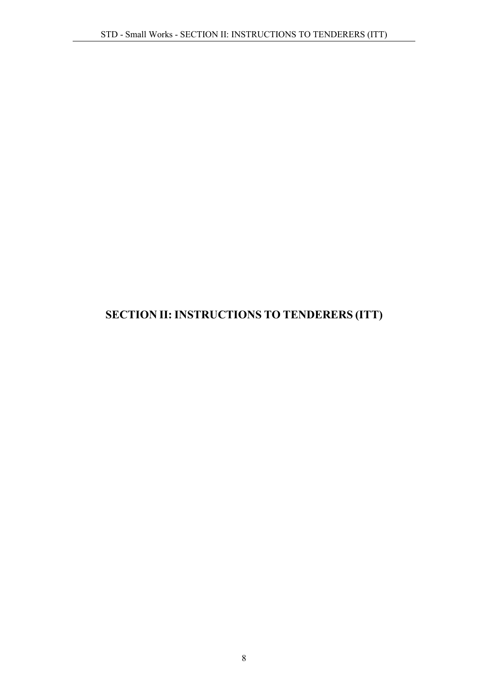## <span id="page-7-1"></span><span id="page-7-0"></span>SECTION II: INSTRUCTIONS TO TENDERERS (ITT)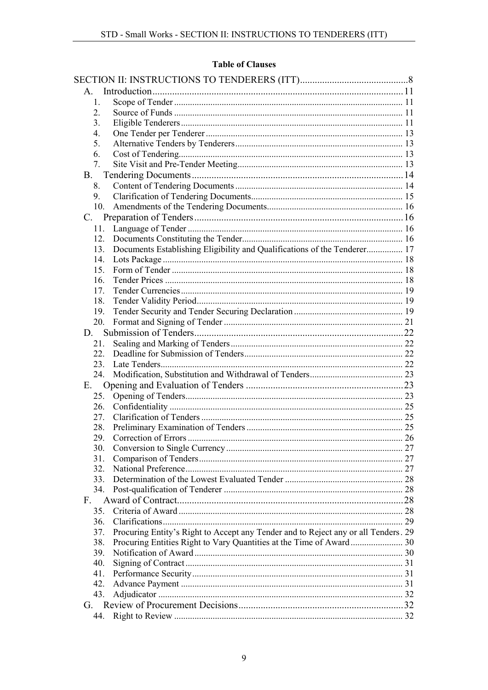### **Table of Clauses**

| $\mathsf{A}$     |                                                                                    |  |
|------------------|------------------------------------------------------------------------------------|--|
| 1.               |                                                                                    |  |
| 2.               |                                                                                    |  |
| 3.               |                                                                                    |  |
| $\overline{4}$ . |                                                                                    |  |
| 5.               |                                                                                    |  |
| 6.               |                                                                                    |  |
| 7.               |                                                                                    |  |
| <b>B.</b>        |                                                                                    |  |
| 8.               |                                                                                    |  |
| 9.               |                                                                                    |  |
| 10.              |                                                                                    |  |
| C.               |                                                                                    |  |
| 11.              |                                                                                    |  |
| 12.              |                                                                                    |  |
| 13.              | Documents Establishing Eligibility and Qualifications of the Tenderer 17           |  |
| 14.              |                                                                                    |  |
| 15               |                                                                                    |  |
| 16.              |                                                                                    |  |
| 17.              |                                                                                    |  |
| 18.              |                                                                                    |  |
| 19.              |                                                                                    |  |
| 20.              |                                                                                    |  |
| D.               |                                                                                    |  |
| 21.              |                                                                                    |  |
| 22.              |                                                                                    |  |
| 23.              |                                                                                    |  |
| 24.              |                                                                                    |  |
| Е.               |                                                                                    |  |
| 25.              |                                                                                    |  |
| 26.              |                                                                                    |  |
| 27.              |                                                                                    |  |
| 28.              |                                                                                    |  |
| 29.              |                                                                                    |  |
| 30.              |                                                                                    |  |
| 31.              |                                                                                    |  |
| 32.              |                                                                                    |  |
| 33.              |                                                                                    |  |
| 34.              |                                                                                    |  |
| $F_{\perp}$      |                                                                                    |  |
| 35.              |                                                                                    |  |
| 36.              |                                                                                    |  |
| 37.              | Procuring Entity's Right to Accept any Tender and to Reject any or all Tenders. 29 |  |
| 38.              |                                                                                    |  |
| 39.              |                                                                                    |  |
| 40.              |                                                                                    |  |
| 41.              |                                                                                    |  |
| 42.              |                                                                                    |  |
| 43.              |                                                                                    |  |
| G.               |                                                                                    |  |
| 44.              |                                                                                    |  |
|                  |                                                                                    |  |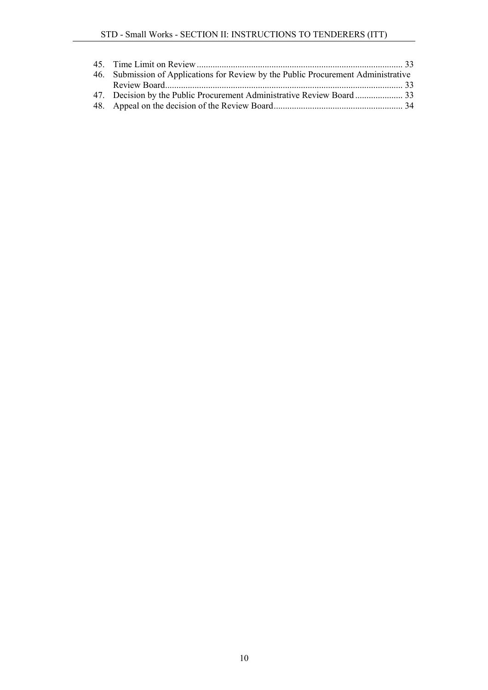| 46. Submission of Applications for Review by the Public Procurement Administrative |  |
|------------------------------------------------------------------------------------|--|
|                                                                                    |  |
|                                                                                    |  |
|                                                                                    |  |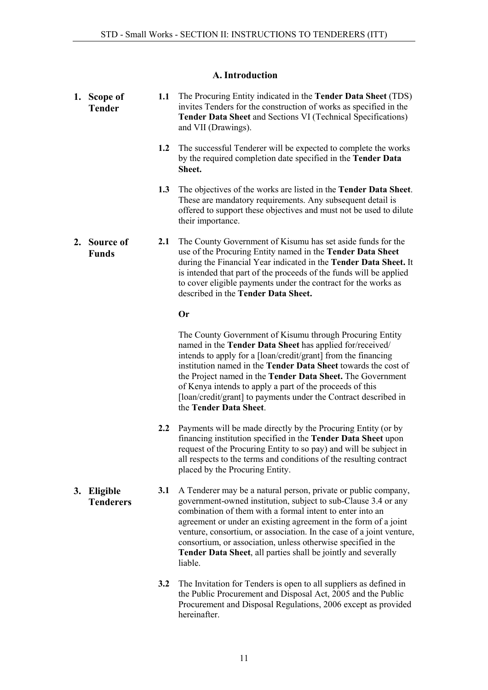#### A. Introduction

<span id="page-10-3"></span><span id="page-10-2"></span><span id="page-10-1"></span><span id="page-10-0"></span>

|    | 1. Scope of<br><b>Tender</b> | 1.1 | The Procuring Entity indicated in the Tender Data Sheet (TDS)<br>invites Tenders for the construction of works as specified in the<br><b>Tender Data Sheet and Sections VI (Technical Specifications)</b><br>and VII (Drawings).                                                                                                                                                                                                                                                      |
|----|------------------------------|-----|---------------------------------------------------------------------------------------------------------------------------------------------------------------------------------------------------------------------------------------------------------------------------------------------------------------------------------------------------------------------------------------------------------------------------------------------------------------------------------------|
|    |                              | 1.2 | The successful Tenderer will be expected to complete the works<br>by the required completion date specified in the Tender Data<br>Sheet.                                                                                                                                                                                                                                                                                                                                              |
|    |                              | 1.3 | The objectives of the works are listed in the Tender Data Sheet.<br>These are mandatory requirements. Any subsequent detail is<br>offered to support these objectives and must not be used to dilute<br>their importance.                                                                                                                                                                                                                                                             |
|    | 2. Source of<br><b>Funds</b> | 2.1 | The County Government of Kisumu has set aside funds for the<br>use of the Procuring Entity named in the Tender Data Sheet<br>during the Financial Year indicated in the Tender Data Sheet. It<br>is intended that part of the proceeds of the funds will be applied<br>to cover eligible payments under the contract for the works as<br>described in the Tender Data Sheet.                                                                                                          |
|    |                              |     | <b>Or</b>                                                                                                                                                                                                                                                                                                                                                                                                                                                                             |
|    |                              |     | The County Government of Kisumu through Procuring Entity<br>named in the Tender Data Sheet has applied for/received/<br>intends to apply for a [loan/credit/grant] from the financing<br>institution named in the Tender Data Sheet towards the cost of<br>the Project named in the Tender Data Sheet. The Government<br>of Kenya intends to apply a part of the proceeds of this<br>[loan/credit/grant] to payments under the Contract described in<br>the Tender Data Sheet.        |
|    |                              | 2.2 | Payments will be made directly by the Procuring Entity (or by<br>financing institution specified in the Tender Data Sheet upon<br>request of the Procuring Entity to so pay) and will be subject in<br>all respects to the terms and conditions of the resulting contract<br>placed by the Procuring Entity.                                                                                                                                                                          |
| 3. | Eligible<br><b>Tenderers</b> | 3.1 | A Tenderer may be a natural person, private or public company,<br>government-owned institution, subject to sub-Clause 3.4 or any<br>combination of them with a formal intent to enter into an<br>agreement or under an existing agreement in the form of a joint<br>venture, consortium, or association. In the case of a joint venture,<br>consortium, or association, unless otherwise specified in the<br>Tender Data Sheet, all parties shall be jointly and severally<br>liable. |
|    |                              | 3.2 | The Invitation for Tenders is open to all suppliers as defined in<br>the Public Procurement and Disposal Act, 2005 and the Public<br>Procurement and Disposal Regulations, 2006 except as provided<br>hereinafter.                                                                                                                                                                                                                                                                    |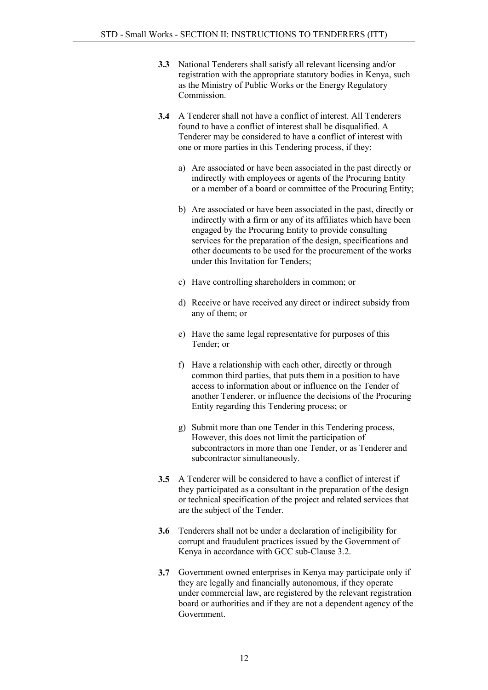- 3.3 National Tenderers shall satisfy all relevant licensing and/or registration with the appropriate statutory bodies in Kenya, such as the Ministry of Public Works or the Energy Regulatory Commission.
- 3.4 A Tenderer shall not have a conflict of interest. All Tenderers found to have a conflict of interest shall be disqualified. A Tenderer may be considered to have a conflict of interest with one or more parties in this Tendering process, if they:
	- a) Are associated or have been associated in the past directly or indirectly with employees or agents of the Procuring Entity or a member of a board or committee of the Procuring Entity;
	- b) Are associated or have been associated in the past, directly or indirectly with a firm or any of its affiliates which have been engaged by the Procuring Entity to provide consulting services for the preparation of the design, specifications and other documents to be used for the procurement of the works under this Invitation for Tenders;
	- c) Have controlling shareholders in common; or
	- d) Receive or have received any direct or indirect subsidy from any of them; or
	- e) Have the same legal representative for purposes of this Tender; or
	- f) Have a relationship with each other, directly or through common third parties, that puts them in a position to have access to information about or influence on the Tender of another Tenderer, or influence the decisions of the Procuring Entity regarding this Tendering process; or
	- g) Submit more than one Tender in this Tendering process, However, this does not limit the participation of subcontractors in more than one Tender, or as Tenderer and subcontractor simultaneously.
- 3.5 A Tenderer will be considered to have a conflict of interest if they participated as a consultant in the preparation of the design or technical specification of the project and related services that are the subject of the Tender.
- 3.6 Tenderers shall not be under a declaration of ineligibility for corrupt and fraudulent practices issued by the Government of Kenya in accordance with GCC sub-Clause 3.2.
- 3.7 Government owned enterprises in Kenya may participate only if they are legally and financially autonomous, if they operate under commercial law, are registered by the relevant registration board or authorities and if they are not a dependent agency of the Government.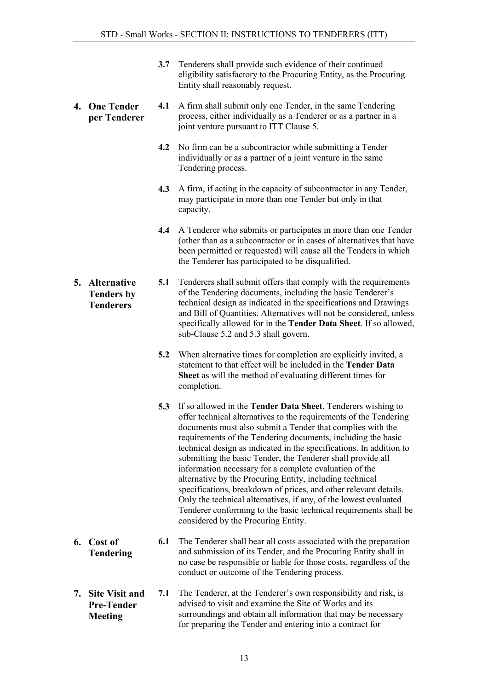- 3.7 Tenderers shall provide such evidence of their continued eligibility satisfactory to the Procuring Entity, as the Procuring Entity shall reasonably request.
- <span id="page-12-0"></span>4. One Tender per Tenderer 4.1 A firm shall submit only one Tender, in the same Tendering process, either individually as a Tenderer or as a partner in a joint venture pursuant to ITT Clause 5.
	- 4.2 No firm can be a subcontractor while submitting a Tender individually or as a partner of a joint venture in the same Tendering process.
	- 4.3 A firm, if acting in the capacity of subcontractor in any Tender, may participate in more than one Tender but only in that capacity.
	- 4.4 A Tenderer who submits or participates in more than one Tender (other than as a subcontractor or in cases of alternatives that have been permitted or requested) will cause all the Tenders in which the Tenderer has participated to be disqualified.
- <span id="page-12-1"></span>5. Alternative Tenders by **Tenderers** 5.1 Tenderers shall submit offers that comply with the requirements of the Tendering documents, including the basic Tenderer's technical design as indicated in the specifications and Drawings and Bill of Quantities. Alternatives will not be considered, unless specifically allowed for in the **Tender Data Sheet**. If so allowed, sub-Clause 5.2 and 5.3 shall govern.
	- 5.2 When alternative times for completion are explicitly invited, a statement to that effect will be included in the Tender Data Sheet as will the method of evaluating different times for completion.
	- 5.3 If so allowed in the Tender Data Sheet, Tenderers wishing to offer technical alternatives to the requirements of the Tendering documents must also submit a Tender that complies with the requirements of the Tendering documents, including the basic technical design as indicated in the specifications. In addition to submitting the basic Tender, the Tenderer shall provide all information necessary for a complete evaluation of the alternative by the Procuring Entity, including technical specifications, breakdown of prices, and other relevant details. Only the technical alternatives, if any, of the lowest evaluated Tenderer conforming to the basic technical requirements shall be considered by the Procuring Entity.
- <span id="page-12-2"></span>6. Cost of Tendering 6.1 The Tenderer shall bear all costs associated with the preparation and submission of its Tender, and the Procuring Entity shall in no case be responsible or liable for those costs, regardless of the conduct or outcome of the Tendering process.
- <span id="page-12-3"></span>7. Site Visit and Pre-Tender Meeting 7.1 The Tenderer, at the Tenderer's own responsibility and risk, is advised to visit and examine the Site of Works and its surroundings and obtain all information that may be necessary for preparing the Tender and entering into a contract for
	-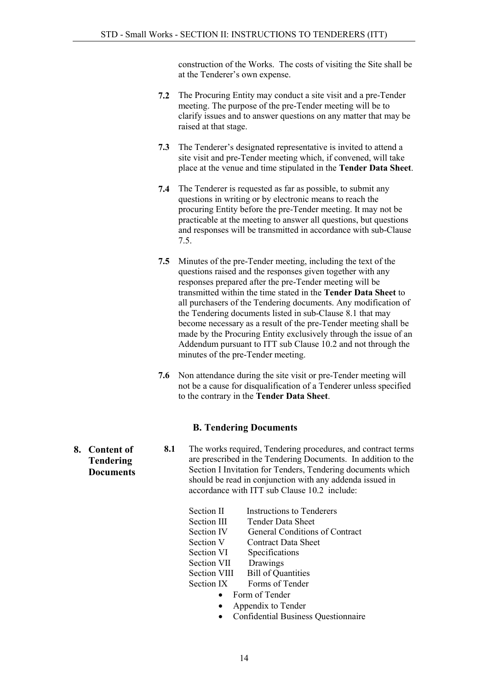construction of the Works. The costs of visiting the Site shall be at the Tenderer's own expense.

- 7.2 The Procuring Entity may conduct a site visit and a pre-Tender meeting. The purpose of the pre-Tender meeting will be to clarify issues and to answer questions on any matter that may be raised at that stage.
- 7.3 The Tenderer's designated representative is invited to attend a site visit and pre-Tender meeting which, if convened, will take place at the venue and time stipulated in the Tender Data Sheet.
- 7.4 The Tenderer is requested as far as possible, to submit any questions in writing or by electronic means to reach the procuring Entity before the pre-Tender meeting. It may not be practicable at the meeting to answer all questions, but questions and responses will be transmitted in accordance with sub-Clause 7.5.
- 7.5 Minutes of the pre-Tender meeting, including the text of the questions raised and the responses given together with any responses prepared after the pre-Tender meeting will be transmitted within the time stated in the Tender Data Sheet to all purchasers of the Tendering documents. Any modification of the Tendering documents listed in sub-Clause 8.1 that may become necessary as a result of the pre-Tender meeting shall be made by the Procuring Entity exclusively through the issue of an Addendum pursuant to ITT sub Clause 10.2 and not through the minutes of the pre-Tender meeting.
- 7.6 Non attendance during the site visit or pre-Tender meeting will not be a cause for disqualification of a Tenderer unless specified to the contrary in the Tender Data Sheet.

#### B. Tendering Documents

8.1 The works required, Tendering procedures, and contract terms are prescribed in the Tendering Documents. In addition to the Section I Invitation for Tenders, Tendering documents which should be read in conjunction with any addenda issued in accordance with ITT sub Clause 10.2 include:

| Section II        | <b>Instructions to Tenderers</b> |
|-------------------|----------------------------------|
| Section III       | Tender Data Sheet                |
| <b>Section IV</b> | General Conditions of Contract   |
| Section V         | Contract Data Sheet              |
| Section VI        | Specifications                   |
| Section VII       | Drawings                         |
| Section VIII      | <b>Bill of Quantities</b>        |
| Section IX        | Forms of Tender                  |
|                   | Form of Tender                   |

- Appendix to Tender
- Confidential Business Questionnaire

<span id="page-13-1"></span><span id="page-13-0"></span>8. Content of Tendering **Documents**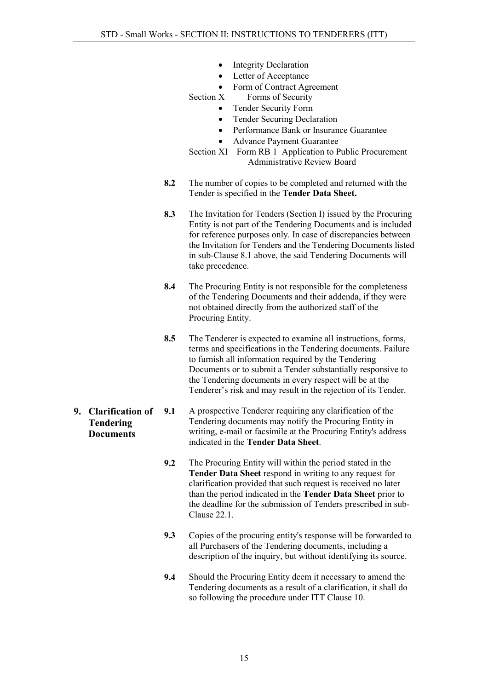- Integrity Declaration
- Letter of Acceptance
- Form of Contract Agreement<br>Section X Forms of Security
	- - Forms of Security • Tender Security Form
		- Tender Securing Declaration
		- Performance Bank or Insurance Guarantee
		- Advance Payment Guarantee
- Section XI Form RB 1 Application to Public Procurement Administrative Review Board
- 8.2 The number of copies to be completed and returned with the Tender is specified in the Tender Data Sheet.
- 8.3 The Invitation for Tenders (Section I) issued by the Procuring Entity is not part of the Tendering Documents and is included for reference purposes only. In case of discrepancies between the Invitation for Tenders and the Tendering Documents listed in sub-Clause 8.1 above, the said Tendering Documents will take precedence.
- 8.4 The Procuring Entity is not responsible for the completeness of the Tendering Documents and their addenda, if they were not obtained directly from the authorized staff of the Procuring Entity.
- 8.5 The Tenderer is expected to examine all instructions, forms, terms and specifications in the Tendering documents. Failure to furnish all information required by the Tendering Documents or to submit a Tender substantially responsive to the Tendering documents in every respect will be at the Tenderer's risk and may result in the rejection of its Tender.
- <span id="page-14-0"></span>9. Clarification of Tendering Documents 9.1 A prospective Tenderer requiring any clarification of the Tendering documents may notify the Procuring Entity in writing, e-mail or facsimile at the Procuring Entity's address indicated in the Tender Data Sheet.
	- 9.2 The Procuring Entity will within the period stated in the Tender Data Sheet respond in writing to any request for clarification provided that such request is received no later than the period indicated in the Tender Data Sheet prior to the deadline for the submission of Tenders prescribed in sub-Clause 22.1.
	- 9.3 Copies of the procuring entity's response will be forwarded to all Purchasers of the Tendering documents, including a description of the inquiry, but without identifying its source.
	- 9.4 Should the Procuring Entity deem it necessary to amend the Tendering documents as a result of a clarification, it shall do so following the procedure under ITT Clause 10.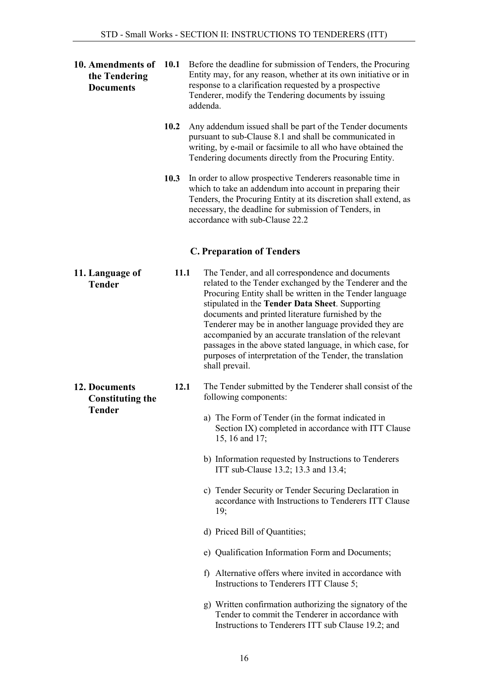<span id="page-15-3"></span><span id="page-15-2"></span><span id="page-15-1"></span><span id="page-15-0"></span>

| 10. Amendments of<br>the Tendering<br><b>Documents</b> | 10.1 | Before the deadline for submission of Tenders, the Procuring<br>Entity may, for any reason, whether at its own initiative or in<br>response to a clarification requested by a prospective<br>Tenderer, modify the Tendering documents by issuing<br>addenda.                                                                                                                                                                                                                                                                                   |  |
|--------------------------------------------------------|------|------------------------------------------------------------------------------------------------------------------------------------------------------------------------------------------------------------------------------------------------------------------------------------------------------------------------------------------------------------------------------------------------------------------------------------------------------------------------------------------------------------------------------------------------|--|
|                                                        | 10.2 | Any addendum issued shall be part of the Tender documents<br>pursuant to sub-Clause 8.1 and shall be communicated in<br>writing, by e-mail or facsimile to all who have obtained the<br>Tendering documents directly from the Procuring Entity.                                                                                                                                                                                                                                                                                                |  |
|                                                        | 10.3 | In order to allow prospective Tenderers reasonable time in<br>which to take an addendum into account in preparing their<br>Tenders, the Procuring Entity at its discretion shall extend, as<br>necessary, the deadline for submission of Tenders, in<br>accordance with sub-Clause 22.2                                                                                                                                                                                                                                                        |  |
|                                                        |      | <b>C. Preparation of Tenders</b>                                                                                                                                                                                                                                                                                                                                                                                                                                                                                                               |  |
| 11. Language of<br><b>Tender</b>                       | 11.1 | The Tender, and all correspondence and documents<br>related to the Tender exchanged by the Tenderer and the<br>Procuring Entity shall be written in the Tender language<br>stipulated in the Tender Data Sheet. Supporting<br>documents and printed literature furnished by the<br>Tenderer may be in another language provided they are<br>accompanied by an accurate translation of the relevant<br>passages in the above stated language, in which case, for<br>purposes of interpretation of the Tender, the translation<br>shall prevail. |  |
| 12. Documents<br><b>Constituting the</b>               | 12.1 | The Tender submitted by the Tenderer shall consist of the<br>following components:                                                                                                                                                                                                                                                                                                                                                                                                                                                             |  |
| <b>Tender</b>                                          |      | a) The Form of Tender (in the format indicated in<br>Section IX) completed in accordance with ITT Clause<br>15, 16 and 17;                                                                                                                                                                                                                                                                                                                                                                                                                     |  |
|                                                        |      | b) Information requested by Instructions to Tenderers<br>ITT sub-Clause 13.2; 13.3 and 13.4;                                                                                                                                                                                                                                                                                                                                                                                                                                                   |  |
|                                                        |      | c) Tender Security or Tender Securing Declaration in<br>accordance with Instructions to Tenderers ITT Clause<br>19;                                                                                                                                                                                                                                                                                                                                                                                                                            |  |
|                                                        |      | d) Priced Bill of Quantities;                                                                                                                                                                                                                                                                                                                                                                                                                                                                                                                  |  |
|                                                        |      | e) Qualification Information Form and Documents;                                                                                                                                                                                                                                                                                                                                                                                                                                                                                               |  |
|                                                        |      | f) Alternative offers where invited in accordance with<br>Instructions to Tenderers ITT Clause 5;                                                                                                                                                                                                                                                                                                                                                                                                                                              |  |
|                                                        |      | g) Written confirmation authorizing the signatory of the<br>Tender to commit the Tenderer in accordance with<br>Instructions to Tenderers ITT sub Clause 19.2; and                                                                                                                                                                                                                                                                                                                                                                             |  |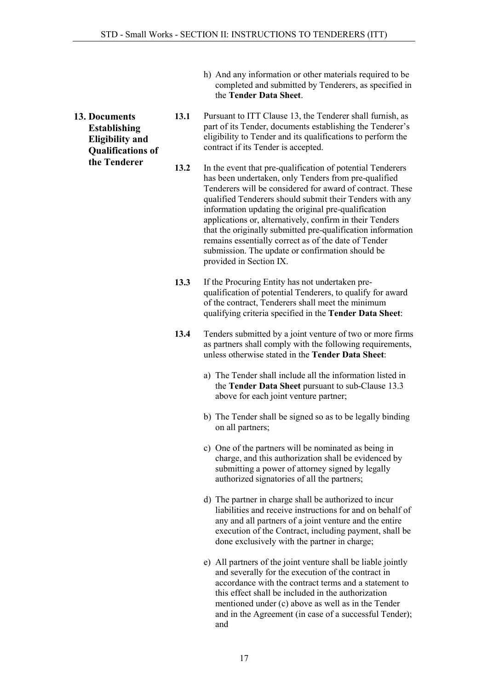- h) And any information or other materials required to be completed and submitted by Tenderers, as specified in the Tender Data Sheet.
- <span id="page-16-0"></span>13. Documents Establishing Eligibility and Qualifications of the Tenderer
- 13.1 Pursuant to ITT Clause 13, the Tenderer shall furnish, as part of its Tender, documents establishing the Tenderer's eligibility to Tender and its qualifications to perform the contract if its Tender is accepted.
- 13.2 In the event that pre-qualification of potential Tenderers has been undertaken, only Tenders from pre-qualified Tenderers will be considered for award of contract. These qualified Tenderers should submit their Tenders with any information updating the original pre-qualification applications or, alternatively, confirm in their Tenders that the originally submitted pre-qualification information remains essentially correct as of the date of Tender submission. The update or confirmation should be provided in Section IX.
- 13.3 If the Procuring Entity has not undertaken prequalification of potential Tenderers, to qualify for award of the contract, Tenderers shall meet the minimum qualifying criteria specified in the Tender Data Sheet:
- 13.4 Tenders submitted by a joint venture of two or more firms as partners shall comply with the following requirements, unless otherwise stated in the Tender Data Sheet:
	- a) The Tender shall include all the information listed in the Tender Data Sheet pursuant to sub-Clause 13.3 above for each joint venture partner;
	- b) The Tender shall be signed so as to be legally binding on all partners;
	- c) One of the partners will be nominated as being in charge, and this authorization shall be evidenced by submitting a power of attorney signed by legally authorized signatories of all the partners;
	- d) The partner in charge shall be authorized to incur liabilities and receive instructions for and on behalf of any and all partners of a joint venture and the entire execution of the Contract, including payment, shall be done exclusively with the partner in charge;
	- e) All partners of the joint venture shall be liable jointly and severally for the execution of the contract in accordance with the contract terms and a statement to this effect shall be included in the authorization mentioned under (c) above as well as in the Tender and in the Agreement (in case of a successful Tender); and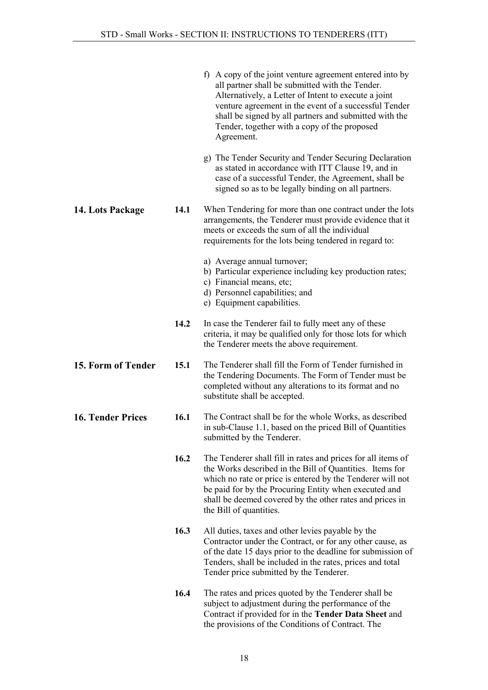<span id="page-17-2"></span><span id="page-17-1"></span><span id="page-17-0"></span>

|                          |      | f) A copy of the joint venture agreement entered into by<br>all partner shall be submitted with the Tender.<br>Alternatively, a Letter of Intent to execute a joint<br>venture agreement in the event of a successful Tender<br>shall be signed by all partners and submitted with the<br>Tender, together with a copy of the proposed<br>Agreement. |
|--------------------------|------|------------------------------------------------------------------------------------------------------------------------------------------------------------------------------------------------------------------------------------------------------------------------------------------------------------------------------------------------------|
|                          |      | g) The Tender Security and Tender Securing Declaration<br>as stated in accordance with ITT Clause 19, and in<br>case of a successful Tender, the Agreement, shall be<br>signed so as to be legally binding on all partners.                                                                                                                          |
| 14. Lots Package         | 14.1 | When Tendering for more than one contract under the lots<br>arrangements, the Tenderer must provide evidence that it<br>meets or exceeds the sum of all the individual<br>requirements for the lots being tendered in regard to:                                                                                                                     |
|                          |      | a) Average annual turnover;<br>b) Particular experience including key production rates;<br>c) Financial means, etc;<br>d) Personnel capabilities; and<br>e) Equipment capabilities.                                                                                                                                                                  |
|                          | 14.2 | In case the Tenderer fail to fully meet any of these<br>criteria, it may be qualified only for those lots for which<br>the Tenderer meets the above requirement.                                                                                                                                                                                     |
| 15. Form of Tender       | 15.1 | The Tenderer shall fill the Form of Tender furnished in<br>the Tendering Documents. The Form of Tender must be<br>completed without any alterations to its format and no<br>substitute shall be accepted.                                                                                                                                            |
| <b>16. Tender Prices</b> | 16.1 | The Contract shall be for the whole Works, as described<br>in sub-Clause 1.1, based on the priced Bill of Quantities<br>submitted by the Tenderer.                                                                                                                                                                                                   |
|                          | 16.2 | The Tenderer shall fill in rates and prices for all items of<br>the Works described in the Bill of Quantities. Items for<br>which no rate or price is entered by the Tenderer will not<br>be paid for by the Procuring Entity when executed and<br>shall be deemed covered by the other rates and prices in<br>the Bill of quantities.               |
|                          | 16.3 | All duties, taxes and other levies payable by the<br>Contractor under the Contract, or for any other cause, as<br>of the date 15 days prior to the deadline for submission of<br>Tenders, shall be included in the rates, prices and total<br>Tender price submitted by the Tenderer.                                                                |
|                          | 16.4 | The rates and prices quoted by the Tenderer shall be<br>subject to adjustment during the performance of the<br>Contract if provided for in the Tender Data Sheet and<br>the provisions of the Conditions of Contract. The                                                                                                                            |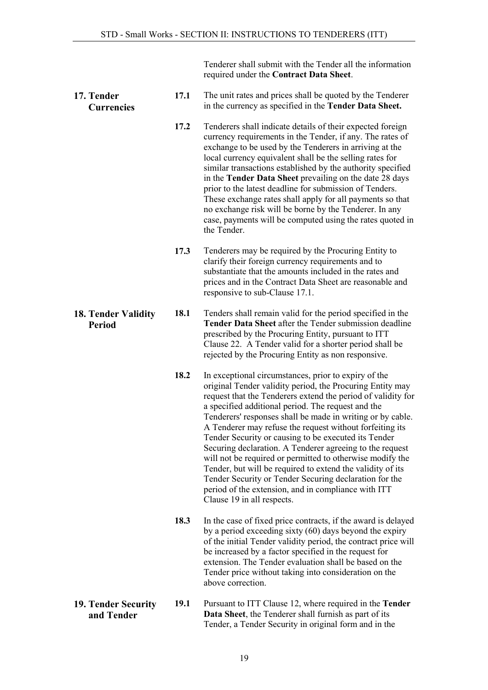Tenderer shall submit with the Tender all the information required under the Contract Data Sheet.

#### <span id="page-18-0"></span>17. Tender Currencies 17.1 The unit rates and prices shall be quoted by the Tenderer in the currency as specified in the Tender Data Sheet.

- 17.2 Tenderers shall indicate details of their expected foreign currency requirements in the Tender, if any. The rates of exchange to be used by the Tenderers in arriving at the local currency equivalent shall be the selling rates for similar transactions established by the authority specified in the Tender Data Sheet prevailing on the date 28 days prior to the latest deadline for submission of Tenders. These exchange rates shall apply for all payments so that no exchange risk will be borne by the Tenderer. In any case, payments will be computed using the rates quoted in the Tender.
- 17.3 Tenderers may be required by the Procuring Entity to clarify their foreign currency requirements and to substantiate that the amounts included in the rates and prices and in the Contract Data Sheet are reasonable and responsive to sub-Clause 17.1.
- <span id="page-18-1"></span>18. Tender Validity 18.1 Tenders shall remain valid for the period specified in the Tender Data Sheet after the Tender submission deadline prescribed by the Procuring Entity, pursuant to ITT Clause 22. A Tender valid for a shorter period shall be rejected by the Procuring Entity as non responsive.
	- 18.2 In exceptional circumstances, prior to expiry of the original Tender validity period, the Procuring Entity may request that the Tenderers extend the period of validity for a specified additional period. The request and the Tenderers' responses shall be made in writing or by cable. A Tenderer may refuse the request without forfeiting its Tender Security or causing to be executed its Tender Securing declaration. A Tenderer agreeing to the request will not be required or permitted to otherwise modify the Tender, but will be required to extend the validity of its Tender Security or Tender Securing declaration for the period of the extension, and in compliance with ITT Clause 19 in all respects.
	- 18.3 In the case of fixed price contracts, if the award is delayed by a period exceeding sixty (60) days beyond the expiry of the initial Tender validity period, the contract price will be increased by a factor specified in the request for extension. The Tender evaluation shall be based on the Tender price without taking into consideration on the above correction.
- 19. Tender Security and Tender 19.1 Pursuant to ITT Clause 12, where required in the Tender Data Sheet, the Tenderer shall furnish as part of its Tender, a Tender Security in original form and in the

Period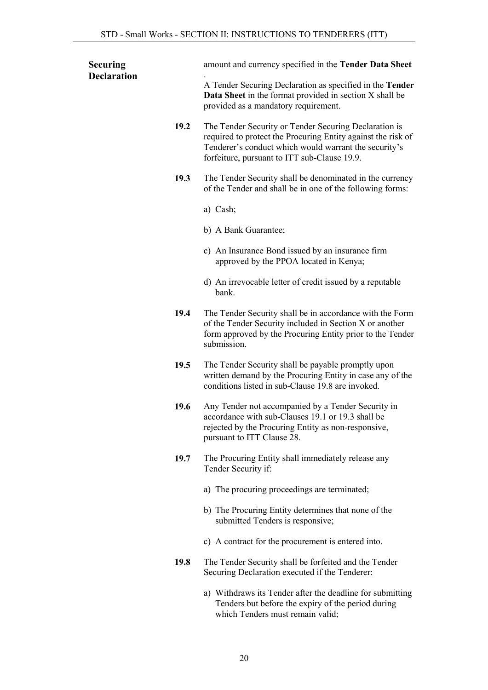<span id="page-19-0"></span>

| <b>Securing</b>    | amount and currency specified in the Tender Data Sheet                                                                                                                                                                         |
|--------------------|--------------------------------------------------------------------------------------------------------------------------------------------------------------------------------------------------------------------------------|
| <b>Declaration</b> | A Tender Securing Declaration as specified in the Tender<br><b>Data Sheet</b> in the format provided in section X shall be<br>provided as a mandatory requirement.                                                             |
| 19.2               | The Tender Security or Tender Securing Declaration is<br>required to protect the Procuring Entity against the risk of<br>Tenderer's conduct which would warrant the security's<br>forfeiture, pursuant to ITT sub-Clause 19.9. |
| 19.3               | The Tender Security shall be denominated in the currency<br>of the Tender and shall be in one of the following forms:                                                                                                          |
|                    | a) Cash;                                                                                                                                                                                                                       |
|                    | b) A Bank Guarantee;                                                                                                                                                                                                           |
|                    | c) An Insurance Bond issued by an insurance firm<br>approved by the PPOA located in Kenya;                                                                                                                                     |
|                    | d) An irrevocable letter of credit issued by a reputable<br>bank.                                                                                                                                                              |
| 19.4               | The Tender Security shall be in accordance with the Form<br>of the Tender Security included in Section X or another<br>form approved by the Procuring Entity prior to the Tender<br>submission.                                |
| 19.5               | The Tender Security shall be payable promptly upon<br>written demand by the Procuring Entity in case any of the<br>conditions listed in sub-Clause 19.8 are invoked.                                                           |
| 19.6               | Any Tender not accompanied by a Tender Security in<br>accordance with sub-Clauses 19.1 or 19.3 shall be<br>rejected by the Procuring Entity as non-responsive,<br>pursuant to ITT Clause 28.                                   |
| 19.7               | The Procuring Entity shall immediately release any<br>Tender Security if:                                                                                                                                                      |
|                    | a) The procuring proceedings are terminated;                                                                                                                                                                                   |
|                    | b) The Procuring Entity determines that none of the<br>submitted Tenders is responsive;                                                                                                                                        |
|                    | c) A contract for the procurement is entered into.                                                                                                                                                                             |
| 19.8               | The Tender Security shall be forfeited and the Tender<br>Securing Declaration executed if the Tenderer:                                                                                                                        |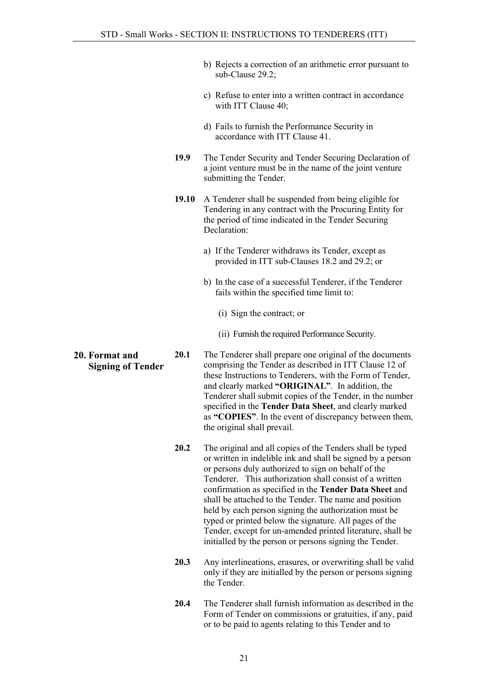- b) Rejects a correction of an arithmetic error pursuant to sub-Clause 29.2;
- c) Refuse to enter into a written contract in accordance with ITT Clause 40;
- d) Fails to furnish the Performance Security in accordance with ITT Clause 41.
- 19.9 The Tender Security and Tender Securing Declaration of a joint venture must be in the name of the joint venture submitting the Tender.
- 19.10 A Tenderer shall be suspended from being eligible for Tendering in any contract with the Procuring Entity for the period of time indicated in the Tender Securing Declaration:
	- a) If the Tenderer withdraws its Tender, except as provided in ITT sub-Clauses 18.2 and 29.2; or
	- b) In the case of a successful Tenderer, if the Tenderer fails within the specified time limit to:
		- (i) Sign the contract; or
		- (ii) Furnish the required Performance Security.
- Signing of Tender 20.1 The Tenderer shall prepare one original of the documents comprising the Tender as described in ITT Clause 12 of these Instructions to Tenderers, with the Form of Tender, and clearly marked "ORIGINAL". In addition, the Tenderer shall submit copies of the Tender, in the number specified in the Tender Data Sheet, and clearly marked as "COPIES". In the event of discrepancy between them, the original shall prevail.
	- 20.2 The original and all copies of the Tenders shall be typed or written in indelible ink and shall be signed by a person or persons duly authorized to sign on behalf of the Tenderer. This authorization shall consist of a written confirmation as specified in the Tender Data Sheet and shall be attached to the Tender. The name and position held by each person signing the authorization must be typed or printed below the signature. All pages of the Tender, except for un-amended printed literature, shall be initialled by the person or persons signing the Tender.
	- 20.3 Any interlineations, erasures, or overwriting shall be valid only if they are initialled by the person or persons signing the Tender.
	- 20.4 The Tenderer shall furnish information as described in the Form of Tender on commissions or gratuities, if any, paid or to be paid to agents relating to this Tender and to

# <span id="page-20-0"></span>20. Format and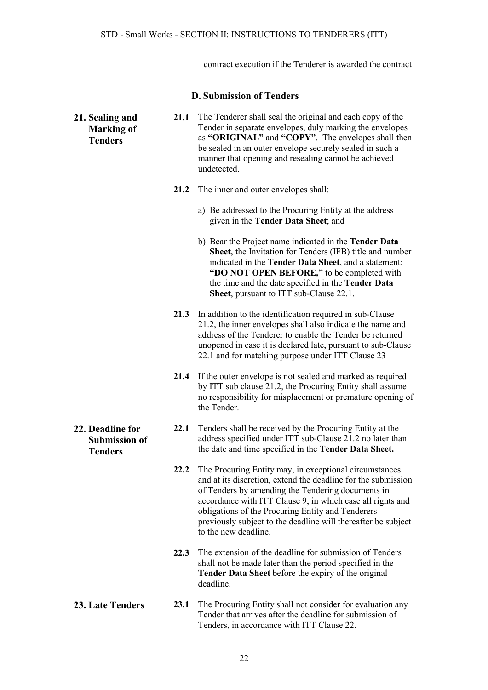contract execution if the Tenderer is awarded the contract

#### D. Submission of Tenders

<span id="page-21-3"></span><span id="page-21-2"></span><span id="page-21-1"></span><span id="page-21-0"></span>

| 21. Sealing and<br><b>Marking of</b><br><b>Tenders</b>     | 21.1 | The Tenderer shall seal the original and each copy of the<br>Tender in separate envelopes, duly marking the envelopes<br>as "ORIGINAL" and "COPY". The envelopes shall then<br>be sealed in an outer envelope securely sealed in such a<br>manner that opening and resealing cannot be achieved<br>undetected.                                                                           |
|------------------------------------------------------------|------|------------------------------------------------------------------------------------------------------------------------------------------------------------------------------------------------------------------------------------------------------------------------------------------------------------------------------------------------------------------------------------------|
|                                                            | 21.2 | The inner and outer envelopes shall:                                                                                                                                                                                                                                                                                                                                                     |
|                                                            |      | a) Be addressed to the Procuring Entity at the address<br>given in the Tender Data Sheet; and                                                                                                                                                                                                                                                                                            |
|                                                            |      | b) Bear the Project name indicated in the <b>Tender Data</b><br>Sheet, the Invitation for Tenders (IFB) title and number<br>indicated in the Tender Data Sheet, and a statement:<br>"DO NOT OPEN BEFORE," to be completed with<br>the time and the date specified in the Tender Data<br>Sheet, pursuant to ITT sub-Clause 22.1.                                                          |
|                                                            | 21.3 | In addition to the identification required in sub-Clause<br>21.2, the inner envelopes shall also indicate the name and<br>address of the Tenderer to enable the Tender be returned<br>unopened in case it is declared late, pursuant to sub-Clause<br>22.1 and for matching purpose under ITT Clause 23                                                                                  |
|                                                            | 21.4 | If the outer envelope is not sealed and marked as required<br>by ITT sub clause 21.2, the Procuring Entity shall assume<br>no responsibility for misplacement or premature opening of<br>the Tender.                                                                                                                                                                                     |
| 22. Deadline for<br><b>Submission of</b><br><b>Tenders</b> | 22.1 | Tenders shall be received by the Procuring Entity at the<br>address specified under ITT sub-Clause 21.2 no later than<br>the date and time specified in the Tender Data Sheet.                                                                                                                                                                                                           |
|                                                            | 22.2 | The Procuring Entity may, in exceptional circumstances<br>and at its discretion, extend the deadline for the submission<br>of Tenders by amending the Tendering documents in<br>accordance with ITT Clause 9, in which case all rights and<br>obligations of the Procuring Entity and Tenderers<br>previously subject to the deadline will thereafter be subject<br>to the new deadline. |
|                                                            | 22.3 | The extension of the deadline for submission of Tenders<br>shall not be made later than the period specified in the<br>Tender Data Sheet before the expiry of the original<br>deadline.                                                                                                                                                                                                  |
| <b>23. Late Tenders</b>                                    | 23.1 | The Procuring Entity shall not consider for evaluation any<br>Tender that arrives after the deadline for submission of<br>Tenders, in accordance with ITT Clause 22.                                                                                                                                                                                                                     |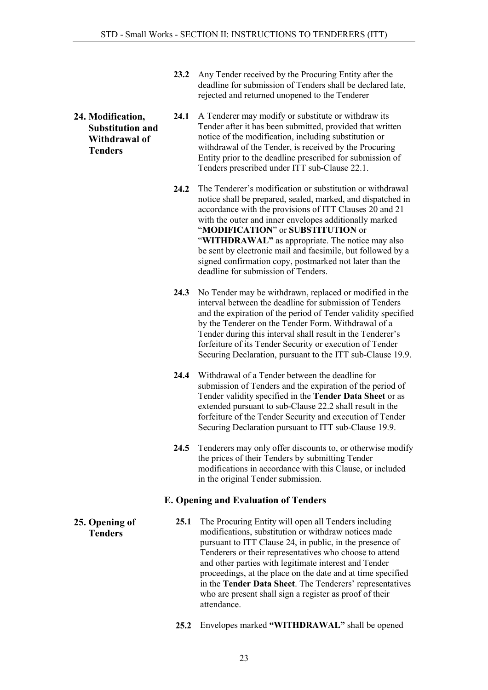- 23.2 Any Tender received by the Procuring Entity after the deadline for submission of Tenders shall be declared late, rejected and returned unopened to the Tenderer
- <span id="page-22-0"></span>24. Modification, Substitution and Withdrawal of Tenders
- 24.1 A Tenderer may modify or substitute or withdraw its Tender after it has been submitted, provided that written notice of the modification, including substitution or withdrawal of the Tender, is received by the Procuring Entity prior to the deadline prescribed for submission of Tenders prescribed under ITT sub-Clause 22.1.
- 24.2 The Tenderer's modification or substitution or withdrawal notice shall be prepared, sealed, marked, and dispatched in accordance with the provisions of ITT Clauses 20 and 21 with the outer and inner envelopes additionally marked "MODIFICATION" or SUBSTITUTION or "WITHDRAWAL" as appropriate. The notice may also be sent by electronic mail and facsimile, but followed by a signed confirmation copy, postmarked not later than the deadline for submission of Tenders.
- 24.3 No Tender may be withdrawn, replaced or modified in the interval between the deadline for submission of Tenders and the expiration of the period of Tender validity specified by the Tenderer on the Tender Form. Withdrawal of a Tender during this interval shall result in the Tenderer's forfeiture of its Tender Security or execution of Tender Securing Declaration, pursuant to the ITT sub-Clause 19.9.
- 24.4 Withdrawal of a Tender between the deadline for submission of Tenders and the expiration of the period of Tender validity specified in the Tender Data Sheet or as extended pursuant to sub-Clause 22.2 shall result in the forfeiture of the Tender Security and execution of Tender Securing Declaration pursuant to ITT sub-Clause 19.9.
- 24.5 Tenderers may only offer discounts to, or otherwise modify the prices of their Tenders by submitting Tender modifications in accordance with this Clause, or included in the original Tender submission.

### E. Opening and Evaluation of Tenders

- 25.1 The Procuring Entity will open all Tenders including modifications, substitution or withdraw notices made pursuant to ITT Clause 24, in public, in the presence of Tenderers or their representatives who choose to attend and other parties with legitimate interest and Tender proceedings, at the place on the date and at time specified in the Tender Data Sheet. The Tenderers' representatives who are present shall sign a register as proof of their attendance.
	- 25.2 Envelopes marked "WITHDRAWAL" shall be opened

#### <span id="page-22-2"></span><span id="page-22-1"></span>25. Opening of Tenders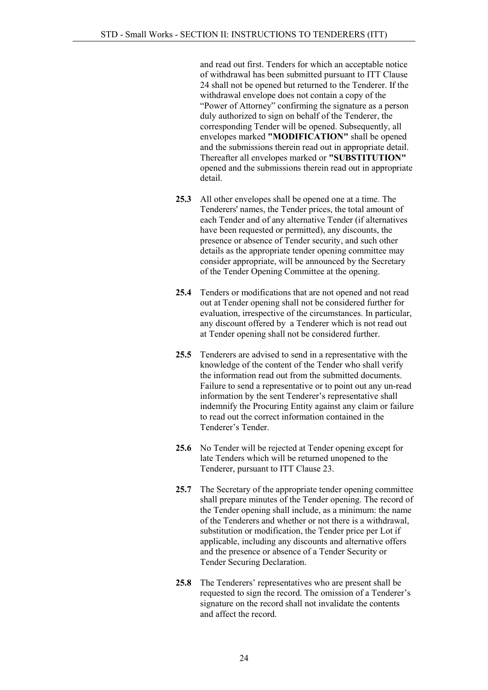and read out first. Tenders for which an acceptable notice of withdrawal has been submitted pursuant to ITT Clause 24 shall not be opened but returned to the Tenderer. If the withdrawal envelope does not contain a copy of the "Power of Attorney" confirming the signature as a person duly authorized to sign on behalf of the Tenderer, the corresponding Tender will be opened. Subsequently, all envelopes marked "MODIFICATION" shall be opened and the submissions therein read out in appropriate detail. Thereafter all envelopes marked or "SUBSTITUTION" opened and the submissions therein read out in appropriate detail.

- 25.3 All other envelopes shall be opened one at a time. The Tenderers' names, the Tender prices, the total amount of each Tender and of any alternative Tender (if alternatives have been requested or permitted), any discounts, the presence or absence of Tender security, and such other details as the appropriate tender opening committee may consider appropriate, will be announced by the Secretary of the Tender Opening Committee at the opening.
- 25.4 Tenders or modifications that are not opened and not read out at Tender opening shall not be considered further for evaluation, irrespective of the circumstances. In particular, any discount offered by a Tenderer which is not read out at Tender opening shall not be considered further.
- 25.5 Tenderers are advised to send in a representative with the knowledge of the content of the Tender who shall verify the information read out from the submitted documents. Failure to send a representative or to point out any un-read information by the sent Tenderer's representative shall indemnify the Procuring Entity against any claim or failure to read out the correct information contained in the Tenderer's Tender.
- 25.6 No Tender will be rejected at Tender opening except for late Tenders which will be returned unopened to the Tenderer, pursuant to ITT Clause 23.
- 25.7 The Secretary of the appropriate tender opening committee shall prepare minutes of the Tender opening. The record of the Tender opening shall include, as a minimum: the name of the Tenderers and whether or not there is a withdrawal, substitution or modification, the Tender price per Lot if applicable, including any discounts and alternative offers and the presence or absence of a Tender Security or Tender Securing Declaration.
- 25.8 The Tenderers' representatives who are present shall be requested to sign the record. The omission of a Tenderer's signature on the record shall not invalidate the contents and affect the record.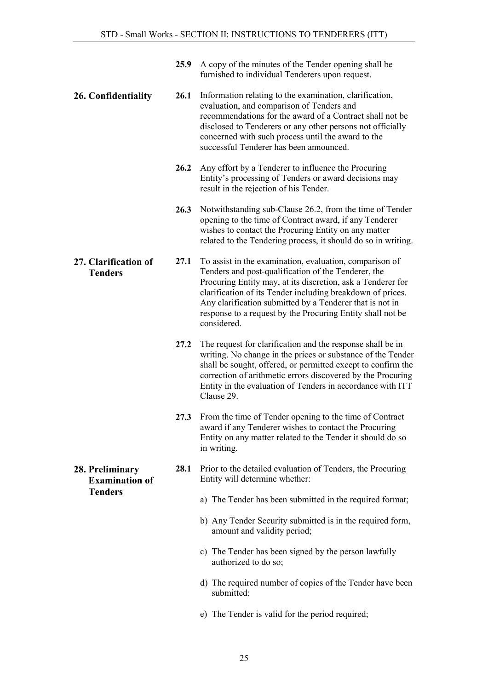- <span id="page-24-2"></span><span id="page-24-1"></span><span id="page-24-0"></span>25.9 A copy of the minutes of the Tender opening shall be furnished to individual Tenderers upon request. 26. Confidentiality 26.1 Information relating to the examination, clarification, evaluation, and comparison of Tenders and recommendations for the award of a Contract shall not be disclosed to Tenderers or any other persons not officially concerned with such process until the award to the successful Tenderer has been announced. 26.2 Any effort by a Tenderer to influence the Procuring Entity's processing of Tenders or award decisions may result in the rejection of his Tender. 26.3 Notwithstanding sub-Clause 26.2, from the time of Tender opening to the time of Contract award, if any Tenderer wishes to contact the Procuring Entity on any matter related to the Tendering process, it should do so in writing. 27. Clarification of Tenders 27.1 To assist in the examination, evaluation, comparison of Tenders and post-qualification of the Tenderer, the Procuring Entity may, at its discretion, ask a Tenderer for clarification of its Tender including breakdown of prices. Any clarification submitted by a Tenderer that is not in response to a request by the Procuring Entity shall not be considered. 27.2 The request for clarification and the response shall be in writing. No change in the prices or substance of the Tender shall be sought, offered, or permitted except to confirm the correction of arithmetic errors discovered by the Procuring Entity in the evaluation of Tenders in accordance with ITT Clause 29. 27.3 From the time of Tender opening to the time of Contract award if any Tenderer wishes to contact the Procuring Entity on any matter related to the Tender it should do so in writing. 28. Preliminary Examination of **Tenders** 28.1 Prior to the detailed evaluation of Tenders, the Procuring Entity will determine whether: a) The Tender has been submitted in the required format; b) Any Tender Security submitted is in the required form, amount and validity period; c) The Tender has been signed by the person lawfully authorized to do so; d) The required number of copies of the Tender have been submitted;
	- e) The Tender is valid for the period required;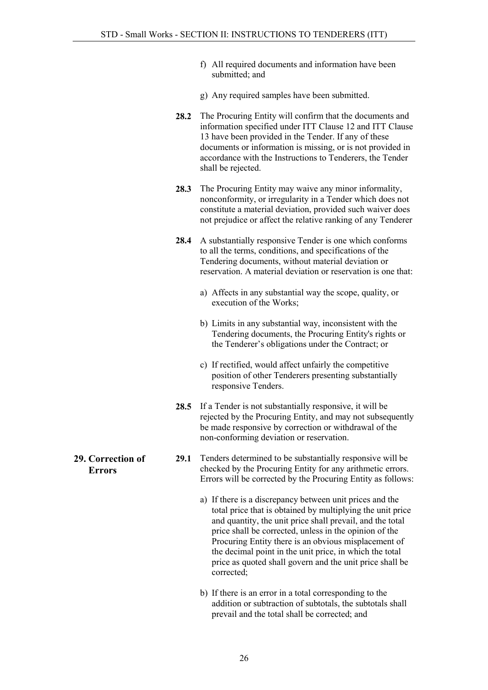- f) All required documents and information have been submitted; and
- g) Any required samples have been submitted.
- 28.2 The Procuring Entity will confirm that the documents and information specified under ITT Clause 12 and ITT Clause 13 have been provided in the Tender. If any of these documents or information is missing, or is not provided in accordance with the Instructions to Tenderers, the Tender shall be rejected.
- 28.3 The Procuring Entity may waive any minor informality, nonconformity, or irregularity in a Tender which does not constitute a material deviation, provided such waiver does not prejudice or affect the relative ranking of any Tenderer
- 28.4 A substantially responsive Tender is one which conforms to all the terms, conditions, and specifications of the Tendering documents, without material deviation or reservation. A material deviation or reservation is one that:
	- a) Affects in any substantial way the scope, quality, or execution of the Works;
	- b) Limits in any substantial way, inconsistent with the Tendering documents, the Procuring Entity's rights or the Tenderer's obligations under the Contract; or
	- c) If rectified, would affect unfairly the competitive position of other Tenderers presenting substantially responsive Tenders.
- 28.5 If a Tender is not substantially responsive, it will be rejected by the Procuring Entity, and may not subsequently be made responsive by correction or withdrawal of the non-conforming deviation or reservation.
- 29.1 Tenders determined to be substantially responsive will be checked by the Procuring Entity for any arithmetic errors. Errors will be corrected by the Procuring Entity as follows:
	- a) If there is a discrepancy between unit prices and the total price that is obtained by multiplying the unit price and quantity, the unit price shall prevail, and the total price shall be corrected, unless in the opinion of the Procuring Entity there is an obvious misplacement of the decimal point in the unit price, in which the total price as quoted shall govern and the unit price shall be corrected;
	- b) If there is an error in a total corresponding to the addition or subtraction of subtotals, the subtotals shall prevail and the total shall be corrected; and

<span id="page-25-0"></span>29. Correction of Errors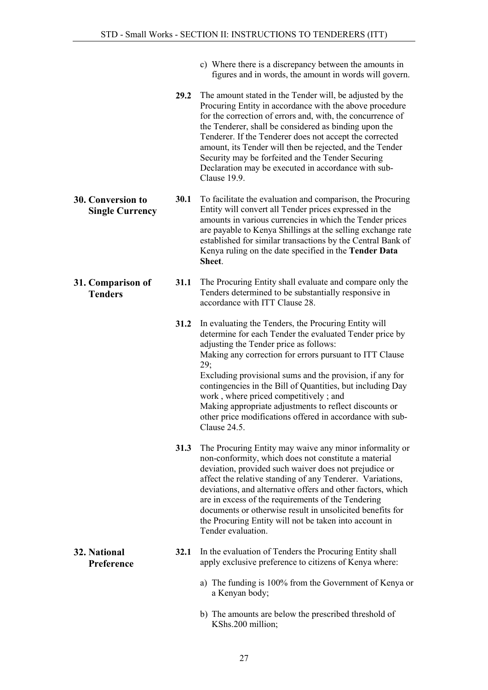- c) Where there is a discrepancy between the amounts in figures and in words, the amount in words will govern.
- 29.2 The amount stated in the Tender will, be adjusted by the Procuring Entity in accordance with the above procedure for the correction of errors and, with, the concurrence of the Tenderer, shall be considered as binding upon the Tenderer. If the Tenderer does not accept the corrected amount, its Tender will then be rejected, and the Tender Security may be forfeited and the Tender Securing Declaration may be executed in accordance with sub-Clause 19.9.
- 30.1 To facilitate the evaluation and comparison, the Procuring Entity will convert all Tender prices expressed in the amounts in various currencies in which the Tender prices are payable to Kenya Shillings at the selling exchange rate established for similar transactions by the Central Bank of Kenya ruling on the date specified in the Tender Data Sheet.
	- 31.1 The Procuring Entity shall evaluate and compare only the Tenders determined to be substantially responsive in accordance with ITT Clause 28.
		- 31.2 In evaluating the Tenders, the Procuring Entity will determine for each Tender the evaluated Tender price by adjusting the Tender price as follows: Making any correction for errors pursuant to ITT Clause 29; Excluding provisional sums and the provision, if any for contingencies in the Bill of Quantities, but including Day work , where priced competitively ; and Making appropriate adjustments to reflect discounts or other price modifications offered in accordance with sub-Clause 24.5.
		- 31.3 The Procuring Entity may waive any minor informality or non-conformity, which does not constitute a material deviation, provided such waiver does not prejudice or affect the relative standing of any Tenderer. Variations, deviations, and alternative offers and other factors, which are in excess of the requirements of the Tendering documents or otherwise result in unsolicited benefits for the Procuring Entity will not be taken into account in Tender evaluation.
		- 32.1 In the evaluation of Tenders the Procuring Entity shall apply exclusive preference to citizens of Kenya where:
			- a) The funding is 100% from the Government of Kenya or a Kenyan body;
			- b) The amounts are below the prescribed threshold of KShs.200 million;

#### <span id="page-26-0"></span>30. Conversion to Single Currency

<span id="page-26-1"></span>31. Comparison of **Tenders** 

<span id="page-26-2"></span>32. National Preference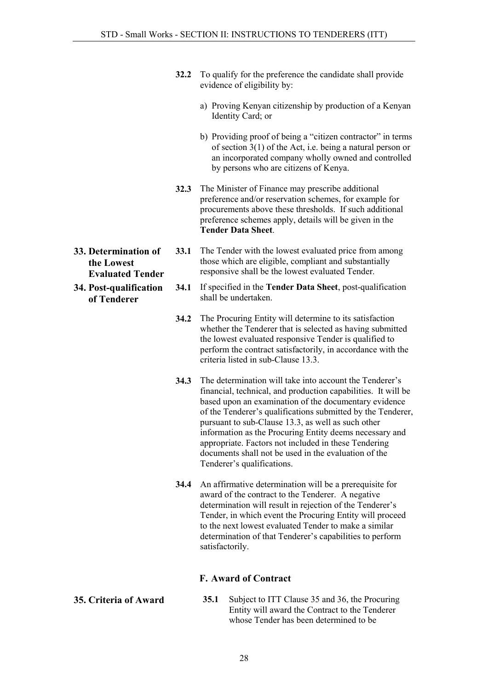- 32.2 To qualify for the preference the candidate shall provide evidence of eligibility by:
	- a) Proving Kenyan citizenship by production of a Kenyan Identity Card; or
	- b) Providing proof of being a "citizen contractor" in terms of section 3(1) of the Act, i.e. being a natural person or an incorporated company wholly owned and controlled by persons who are citizens of Kenya.
- 32.3 The Minister of Finance may prescribe additional preference and/or reservation schemes, for example for procurements above these thresholds. If such additional preference schemes apply, details will be given in the Tender Data Sheet.
- <span id="page-27-0"></span>33. Determination of the Lowest Evaluated Tender
- <span id="page-27-1"></span>34. Post-qualification of Tenderer
- 33.1 The Tender with the lowest evaluated price from among those which are eligible, compliant and substantially responsive shall be the lowest evaluated Tender.
- 34.1 If specified in the Tender Data Sheet, post-qualification shall be undertaken.
- 34.2 The Procuring Entity will determine to its satisfaction whether the Tenderer that is selected as having submitted the lowest evaluated responsive Tender is qualified to perform the contract satisfactorily, in accordance with the criteria listed in sub-Clause 13.3.
- 34.3 The determination will take into account the Tenderer's financial, technical, and production capabilities. It will be based upon an examination of the documentary evidence of the Tenderer's qualifications submitted by the Tenderer, pursuant to sub-Clause 13.3, as well as such other information as the Procuring Entity deems necessary and appropriate. Factors not included in these Tendering documents shall not be used in the evaluation of the Tenderer's qualifications.
- 34.4 An affirmative determination will be a prerequisite for award of the contract to the Tenderer. A negative determination will result in rejection of the Tenderer's Tender, in which event the Procuring Entity will proceed to the next lowest evaluated Tender to make a similar determination of that Tenderer's capabilities to perform satisfactorily.

#### F. Award of Contract

<span id="page-27-3"></span><span id="page-27-2"></span>35. Criteria of Award 35.1 Subject to ITT Clause 35 and 36, the Procuring Entity will award the Contract to the Tenderer whose Tender has been determined to be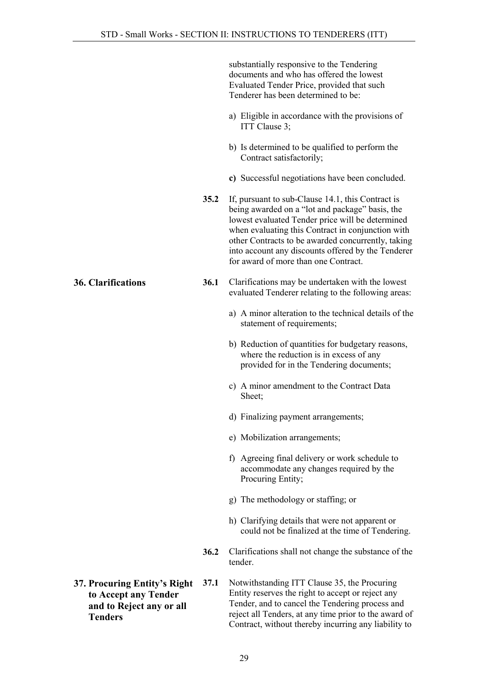substantially responsive to the Tendering documents and who has offered the lowest Evaluated Tender Price, provided that such Tenderer has been determined to be:

- a) Eligible in accordance with the provisions of ITT Clause 3;
- b) Is determined to be qualified to perform the Contract satisfactorily;
- c) Successful negotiations have been concluded.
- 35.2 If, pursuant to sub-Clause 14.1, this Contract is being awarded on a "lot and package" basis, the lowest evaluated Tender price will be determined when evaluating this Contract in conjunction with other Contracts to be awarded concurrently, taking into account any discounts offered by the Tenderer for award of more than one Contract.
- <span id="page-28-0"></span>36. Clarifications 36.1 Clarifications may be undertaken with the lowest evaluated Tenderer relating to the following areas:
	- a) A minor alteration to the technical details of the statement of requirements;
	- b) Reduction of quantities for budgetary reasons, where the reduction is in excess of any provided for in the Tendering documents;
	- c) A minor amendment to the Contract Data Sheet;
	- d) Finalizing payment arrangements;
	- e) Mobilization arrangements;
	- f) Agreeing final delivery or work schedule to accommodate any changes required by the Procuring Entity;
	- g) The methodology or staffing; or
	- h) Clarifying details that were not apparent or could not be finalized at the time of Tendering.
	- 36.2 Clarifications shall not change the substance of the tender.
- <span id="page-28-1"></span>37. Procuring Entity's Right to Accept any Tender and to Reject any or all **Tenders** 37.1 Notwithstanding ITT Clause 35, the Procuring Entity reserves the right to accept or reject any Tender, and to cancel the Tendering process and reject all Tenders, at any time prior to the award of Contract, without thereby incurring any liability to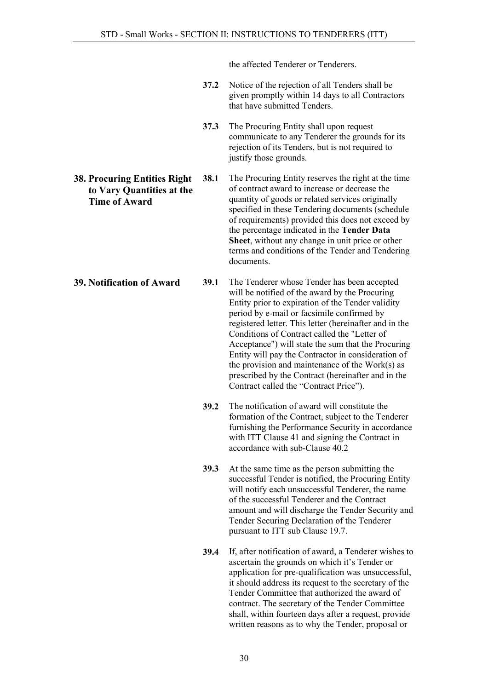the affected Tenderer or Tenderers.

- 37.2 Notice of the rejection of all Tenders shall be given promptly within 14 days to all Contractors that have submitted Tenders.
- 37.3 The Procuring Entity shall upon request communicate to any Tenderer the grounds for its rejection of its Tenders, but is not required to justify those grounds.

to Vary Quantities at the Time of Award 38.1 The Procuring Entity reserves the right at the time of contract award to increase or decrease the quantity of goods or related services originally specified in these Tendering documents (schedule of requirements) provided this does not exceed by the percentage indicated in the Tender Data Sheet, without any change in unit price or other terms and conditions of the Tender and Tendering documents.

<span id="page-29-1"></span>39. Notification of Award 39.1 The Tenderer whose Tender has been accepted will be notified of the award by the Procuring Entity prior to expiration of the Tender validity period by e-mail or facsimile confirmed by registered letter. This letter (hereinafter and in the Conditions of Contract called the "Letter of Acceptance") will state the sum that the Procuring Entity will pay the Contractor in consideration of the provision and maintenance of the Work(s) as prescribed by the Contract (hereinafter and in the Contract called the "Contract Price").

- 39.2 The notification of award will constitute the formation of the Contract, subject to the Tenderer furnishing the Performance Security in accordance with ITT Clause 41 and signing the Contract in accordance with sub-Clause 40.2
- 39.3 At the same time as the person submitting the successful Tender is notified, the Procuring Entity will notify each unsuccessful Tenderer, the name of the successful Tenderer and the Contract amount and will discharge the Tender Security and Tender Securing Declaration of the Tenderer pursuant to ITT sub Clause 19.7.
- 39.4 If, after notification of award, a Tenderer wishes to ascertain the grounds on which it's Tender or application for pre-qualification was unsuccessful, it should address its request to the secretary of the Tender Committee that authorized the award of contract. The secretary of the Tender Committee shall, within fourteen days after a request, provide written reasons as to why the Tender, proposal or

<span id="page-29-0"></span>38. Procuring Entities Right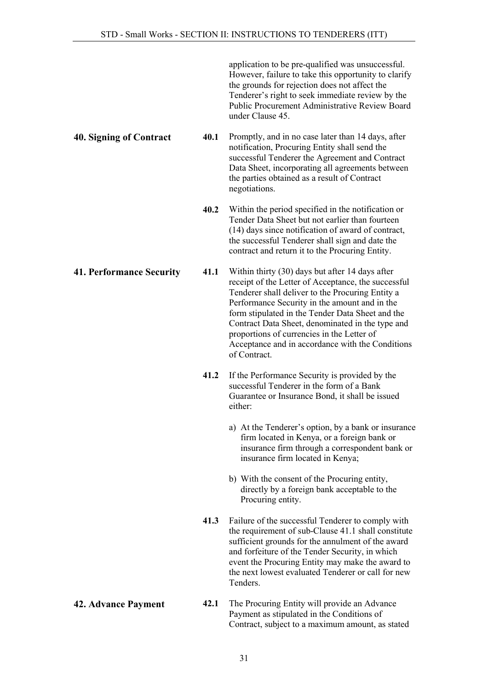application to be pre-qualified was unsuccessful. However, failure to take this opportunity to clarify the grounds for rejection does not affect the Tenderer's right to seek immediate review by the Public Procurement Administrative Review Board under Clause 45.

<span id="page-30-0"></span>40. Signing of Contract 40.1 Promptly, and in no case later than 14 days, after notification, Procuring Entity shall send the successful Tenderer the Agreement and Contract Data Sheet, incorporating all agreements between the parties obtained as a result of Contract negotiations.

> 40.2 Within the period specified in the notification or Tender Data Sheet but not earlier than fourteen (14) days since notification of award of contract, the successful Tenderer shall sign and date the contract and return it to the Procuring Entity.

<span id="page-30-1"></span>41. Performance Security 41.1 Within thirty (30) days but after 14 days after receipt of the Letter of Acceptance, the successful Tenderer shall deliver to the Procuring Entity a Performance Security in the amount and in the form stipulated in the Tender Data Sheet and the Contract Data Sheet, denominated in the type and proportions of currencies in the Letter of Acceptance and in accordance with the Conditions of Contract.

- 41.2 If the Performance Security is provided by the successful Tenderer in the form of a Bank Guarantee or Insurance Bond, it shall be issued either:
	- a) At the Tenderer's option, by a bank or insurance firm located in Kenya, or a foreign bank or insurance firm through a correspondent bank or insurance firm located in Kenya;
	- b) With the consent of the Procuring entity, directly by a foreign bank acceptable to the Procuring entity.
- 41.3 Failure of the successful Tenderer to comply with the requirement of sub-Clause 41.1 shall constitute sufficient grounds for the annulment of the award and forfeiture of the Tender Security, in which event the Procuring Entity may make the award to the next lowest evaluated Tenderer or call for new Tenders.
- <span id="page-30-2"></span>42. Advance Payment 42.1 The Procuring Entity will provide an Advance Payment as stipulated in the Conditions of Contract, subject to a maximum amount, as stated
- 

#### 31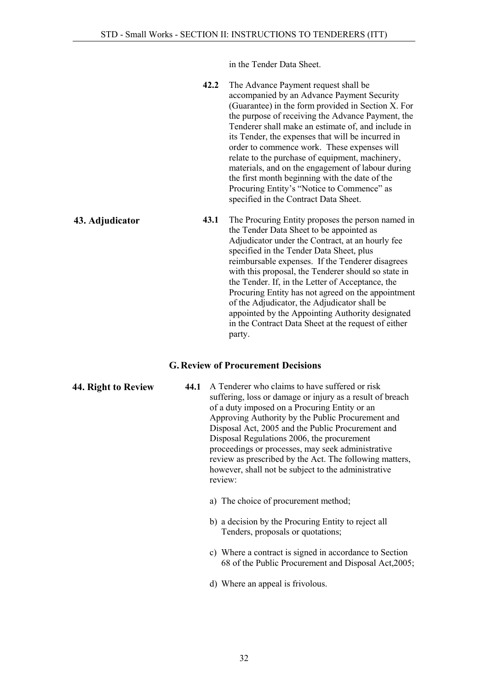in the Tender Data Sheet.

| The Advance Payment request shall be               |
|----------------------------------------------------|
| accompanied by an Advance Payment Security         |
| (Guarantee) in the form provided in Section X. For |
| the purpose of receiving the Advance Payment, the  |
| Tenderer shall make an estimate of, and include in |
| its Tender, the expenses that will be incurred in  |
| order to commence work. These expenses will        |
| relate to the purchase of equipment, machinery,    |
| materials, and on the engagement of labour during  |
| the first month beginning with the date of the     |
| Procuring Entity's "Notice to Commence" as         |
| specified in the Contract Data Sheet.              |
|                                                    |

<span id="page-31-0"></span>43. Adjudicator 43.1 The Procuring Entity proposes the person named in the Tender Data Sheet to be appointed as Adjudicator under the Contract, at an hourly fee specified in the Tender Data Sheet, plus reimbursable expenses. If the Tenderer disagrees with this proposal, the Tenderer should so state in the Tender. If, in the Letter of Acceptance, the Procuring Entity has not agreed on the appointment of the Adjudicator, the Adjudicator shall be appointed by the Appointing Authority designated in the Contract Data Sheet at the request of either party.

#### G. Review of Procurement Decisions

<span id="page-31-2"></span><span id="page-31-1"></span>44. Right to Review 44.1 A Tenderer who claims to have suffered or risk suffering, loss or damage or injury as a result of breach of a duty imposed on a Procuring Entity or an Approving Authority by the Public Procurement and Disposal Act, 2005 and the Public Procurement and Disposal Regulations 2006, the procurement proceedings or processes, may seek administrative review as prescribed by the Act. The following matters, however, shall not be subject to the administrative review:

- a) The choice of procurement method;
- b) a decision by the Procuring Entity to reject all Tenders, proposals or quotations;
- c) Where a contract is signed in accordance to Section 68 of the Public Procurement and Disposal Act,2005;
- d) Where an appeal is frivolous.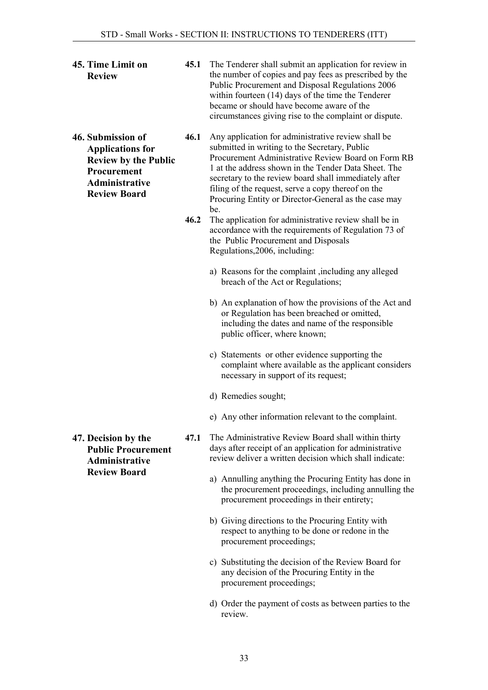- <span id="page-32-0"></span>45. Time Limit on Review
- <span id="page-32-1"></span>46. Submission of Applications for Review by the Public Procurement Administrative Review Board
- 45.1 The Tenderer shall submit an application for review in the number of copies and pay fees as prescribed by the Public Procurement and Disposal Regulations 2006 within fourteen (14) days of the time the Tenderer became or should have become aware of the circumstances giving rise to the complaint or dispute.
- 46.1 Any application for administrative review shall be submitted in writing to the Secretary, Public Procurement Administrative Review Board on Form RB 1 at the address shown in the Tender Data Sheet. The secretary to the review board shall immediately after filing of the request, serve a copy thereof on the Procuring Entity or Director-General as the case may be.
- 46.2 The application for administrative review shall be in accordance with the requirements of Regulation 73 of the Public Procurement and Disposals Regulations,2006, including:
	- a) Reasons for the complaint ,including any alleged breach of the Act or Regulations;
	- b) An explanation of how the provisions of the Act and or Regulation has been breached or omitted, including the dates and name of the responsible public officer, where known;
	- c) Statements or other evidence supporting the complaint where available as the applicant considers necessary in support of its request;
	- d) Remedies sought;
	- e) Any other information relevant to the complaint.
- 47.1 The Administrative Review Board shall within thirty days after receipt of an application for administrative review deliver a written decision which shall indicate:
	- a) Annulling anything the Procuring Entity has done in the procurement proceedings, including annulling the procurement proceedings in their entirety;
	- b) Giving directions to the Procuring Entity with respect to anything to be done or redone in the procurement proceedings;
	- c) Substituting the decision of the Review Board for any decision of the Procuring Entity in the procurement proceedings;
	- d) Order the payment of costs as between parties to the review.

<span id="page-32-2"></span>47. Decision by the Public Procurement Administrative Review Board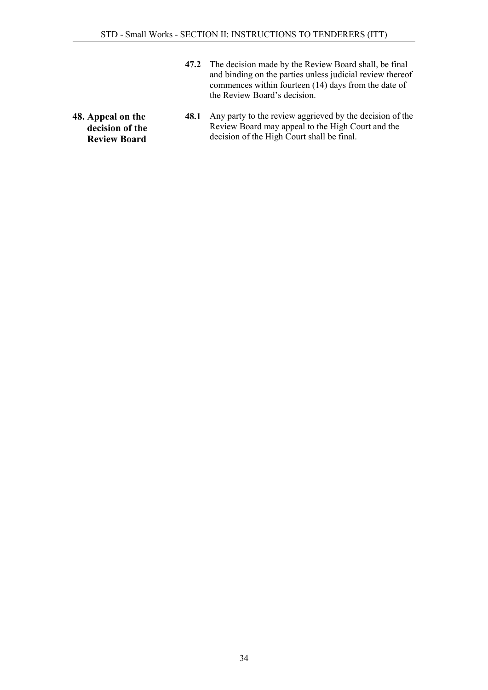- 47.2 The decision made by the Review Board shall, be final and binding on the parties unless judicial review thereof commences within fourteen (14) days from the date of the Review Board's decision.
- <span id="page-33-0"></span>48. Appeal on the decision of the Review Board 48.1 Any party to the review aggrieved by the decision of the Review Board may appeal to the High Court and the decision of the High Court shall be final.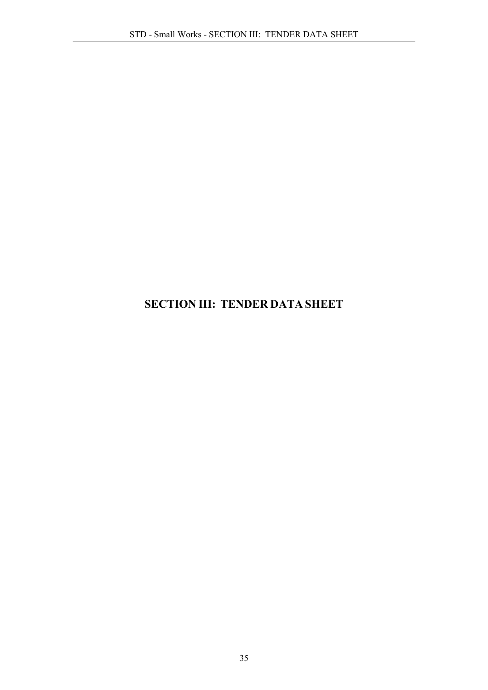## <span id="page-34-0"></span>SECTION III: TENDER DATA SHEET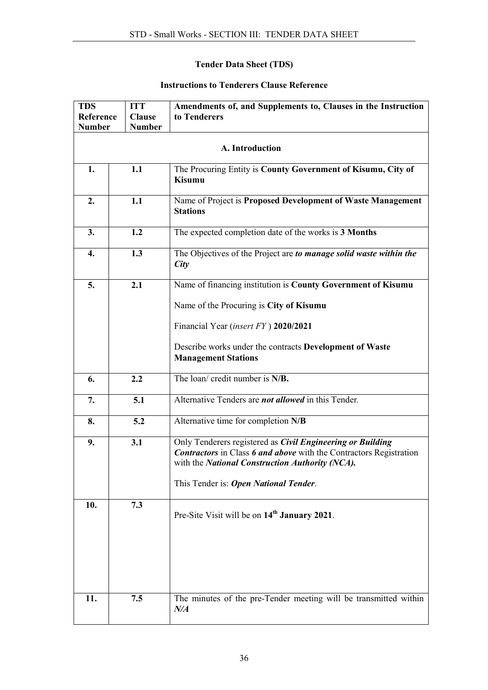#### Tender Data Sheet (TDS)

## Instructions to Tenderers Clause Reference

| <b>TDS</b><br><b>ITT</b> |                 | Amendments of, and Supplements to, Clauses in the Instruction                                                                                                                                                                       |  |  |  |
|--------------------------|-----------------|-------------------------------------------------------------------------------------------------------------------------------------------------------------------------------------------------------------------------------------|--|--|--|
| <b>Reference</b>         | <b>Clause</b>   | to Tenderers                                                                                                                                                                                                                        |  |  |  |
| <b>Number</b>            | <b>Number</b>   |                                                                                                                                                                                                                                     |  |  |  |
|                          |                 |                                                                                                                                                                                                                                     |  |  |  |
|                          | A. Introduction |                                                                                                                                                                                                                                     |  |  |  |
| 1.                       | 1.1             | The Procuring Entity is County Government of Kisumu, City of<br><b>Kisumu</b>                                                                                                                                                       |  |  |  |
| 2.                       | 1.1             | Name of Project is Proposed Development of Waste Management<br><b>Stations</b>                                                                                                                                                      |  |  |  |
| 3.                       | 1.2             | The expected completion date of the works is 3 Months                                                                                                                                                                               |  |  |  |
| 4.                       | 1.3             | The Objectives of the Project are to manage solid waste within the<br>City                                                                                                                                                          |  |  |  |
| 5.                       | 2.1             | Name of financing institution is County Government of Kisumu                                                                                                                                                                        |  |  |  |
|                          |                 | Name of the Procuring is City of Kisumu                                                                                                                                                                                             |  |  |  |
|                          |                 | Financial Year (insert FY) 2020/2021                                                                                                                                                                                                |  |  |  |
|                          |                 | Describe works under the contracts Development of Waste<br><b>Management Stations</b>                                                                                                                                               |  |  |  |
| 6.                       | 2.2             | The loan/ credit number is $N/B$ .                                                                                                                                                                                                  |  |  |  |
| 7.                       | 5.1             | Alternative Tenders are <i>not allowed</i> in this Tender.                                                                                                                                                                          |  |  |  |
| 8.                       | 5.2             | Alternative time for completion N/B                                                                                                                                                                                                 |  |  |  |
| 9.                       | 3.1             | Only Tenderers registered as Civil Engineering or Building<br><b>Contractors</b> in Class 6 and above with the Contractors Registration<br>with the National Construction Authority (NCA).<br>This Tender is: Open National Tender. |  |  |  |
| 10.                      | 7.3             | Pre-Site Visit will be on 14 <sup>th</sup> January 2021.                                                                                                                                                                            |  |  |  |
| 11.                      | 7.5             | The minutes of the pre-Tender meeting will be transmitted within<br>N/A                                                                                                                                                             |  |  |  |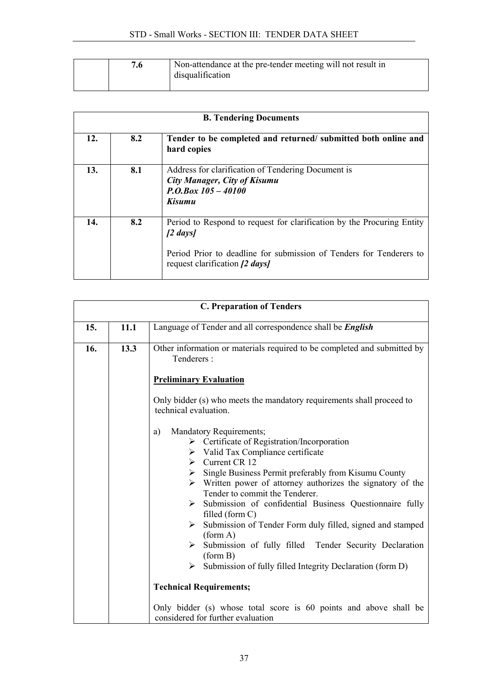|  | Non-attendance at the pre-tender meeting will not result in<br>disqualification |
|--|---------------------------------------------------------------------------------|
|  |                                                                                 |

| <b>B. Tendering Documents</b> |                                                                                      |                                                                                                                                                                                             |  |  |
|-------------------------------|--------------------------------------------------------------------------------------|---------------------------------------------------------------------------------------------------------------------------------------------------------------------------------------------|--|--|
| 12.                           | 8.2<br>Tender to be completed and returned/ submitted both online and<br>hard copies |                                                                                                                                                                                             |  |  |
| 13.                           | 8.1                                                                                  | Address for clarification of Tendering Document is<br><b>City Manager, City of Kisumu</b><br>$P. O. Box 105 - 40100$<br>Kisumu                                                              |  |  |
| 14.                           | 8.2                                                                                  | Period to Respond to request for clarification by the Procuring Entity<br>[2 days]<br>Period Prior to deadline for submission of Tenders for Tenderers to<br>request clarification [2 days] |  |  |

| <b>C. Preparation of Tenders</b> |      |                                                                                                                                                                                                                                                                                                                                                                                                                                                                                                                                                                                                                                                                       |  |  |
|----------------------------------|------|-----------------------------------------------------------------------------------------------------------------------------------------------------------------------------------------------------------------------------------------------------------------------------------------------------------------------------------------------------------------------------------------------------------------------------------------------------------------------------------------------------------------------------------------------------------------------------------------------------------------------------------------------------------------------|--|--|
| 15.                              | 11.1 | Language of Tender and all correspondence shall be <i>English</i>                                                                                                                                                                                                                                                                                                                                                                                                                                                                                                                                                                                                     |  |  |
| 16.                              | 13.3 | Other information or materials required to be completed and submitted by<br>Tenderers:                                                                                                                                                                                                                                                                                                                                                                                                                                                                                                                                                                                |  |  |
|                                  |      | <b>Preliminary Evaluation</b>                                                                                                                                                                                                                                                                                                                                                                                                                                                                                                                                                                                                                                         |  |  |
|                                  |      | Only bidder (s) who meets the mandatory requirements shall proceed to<br>technical evaluation.                                                                                                                                                                                                                                                                                                                                                                                                                                                                                                                                                                        |  |  |
|                                  |      | Mandatory Requirements;<br>a)<br>> Certificate of Registration/Incorporation<br>$\triangleright$ Valid Tax Compliance certificate<br>$\triangleright$ Current CR 12<br>Single Business Permit preferably from Kisumu County<br>≻<br>$\triangleright$ Written power of attorney authorizes the signatory of the<br>Tender to commit the Tenderer.<br>Submission of confidential Business Questionnaire fully<br>≻<br>filled (form C)<br>Submission of Tender Form duly filled, signed and stamped<br>≻<br>(form A)<br>Submission of fully filled Tender Security Declaration<br>(form B)<br>$\triangleright$ Submission of fully filled Integrity Declaration (form D) |  |  |
|                                  |      | <b>Technical Requirements;</b>                                                                                                                                                                                                                                                                                                                                                                                                                                                                                                                                                                                                                                        |  |  |
|                                  |      | Only bidder (s) whose total score is 60 points and above shall be<br>considered for further evaluation                                                                                                                                                                                                                                                                                                                                                                                                                                                                                                                                                                |  |  |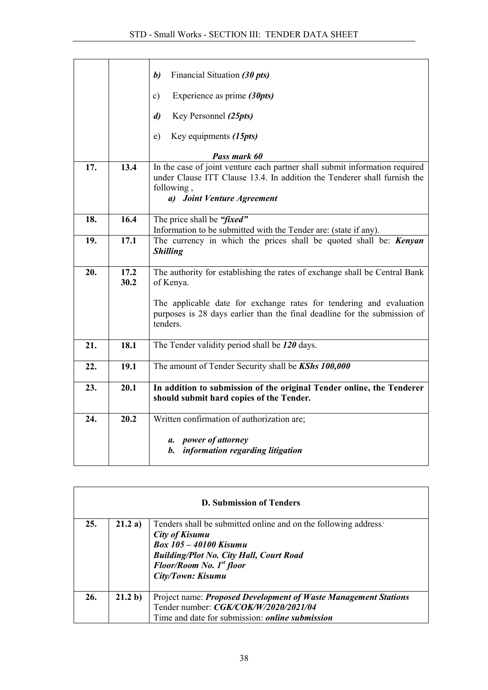|     |              | Financial Situation (30 pts)<br>b)                                                                                                                                                                  |  |  |  |
|-----|--------------|-----------------------------------------------------------------------------------------------------------------------------------------------------------------------------------------------------|--|--|--|
|     |              | Experience as prime $(30pts)$<br>$\mathbf{c})$                                                                                                                                                      |  |  |  |
|     |              | Key Personnel (25pts)<br>$\mathbf{d}$                                                                                                                                                               |  |  |  |
|     |              | Key equipments (15pts)<br>e)                                                                                                                                                                        |  |  |  |
|     |              | Pass mark 60                                                                                                                                                                                        |  |  |  |
| 17. | 13.4         | In the case of joint venture each partner shall submit information required<br>under Clause ITT Clause 13.4. In addition the Tenderer shall furnish the<br>following,<br>a) Joint Venture Agreement |  |  |  |
|     |              |                                                                                                                                                                                                     |  |  |  |
| 18. | 16.4         | The price shall be "fixed"<br>Information to be submitted with the Tender are: (state if any).                                                                                                      |  |  |  |
| 19. | 17.1         | The currency in which the prices shall be quoted shall be: <b>Kenyan</b><br><b>Shilling</b>                                                                                                         |  |  |  |
| 20. | 17.2<br>30.2 | The authority for establishing the rates of exchange shall be Central Bank<br>of Kenya.                                                                                                             |  |  |  |
|     |              | The applicable date for exchange rates for tendering and evaluation<br>purposes is 28 days earlier than the final deadline for the submission of<br>tenders.                                        |  |  |  |
| 21. | 18.1         | The Tender validity period shall be 120 days.                                                                                                                                                       |  |  |  |
| 22. | 19.1         | The amount of Tender Security shall be KShs 100,000                                                                                                                                                 |  |  |  |
| 23. | 20.1         | In addition to submission of the original Tender online, the Tenderer<br>should submit hard copies of the Tender.                                                                                   |  |  |  |
| 24. | 20.2         | Written confirmation of authorization are;                                                                                                                                                          |  |  |  |
|     |              | a. power of attorney<br>b. information regarding litigation                                                                                                                                         |  |  |  |

| D. Submission of Tenders |         |                                                                                                                                                                                                                                          |  |  |
|--------------------------|---------|------------------------------------------------------------------------------------------------------------------------------------------------------------------------------------------------------------------------------------------|--|--|
| 25.                      | 21.2 a) | Tenders shall be submitted online and on the following address.<br><b>City of Kisumu</b><br><b>Box 105 – 40100 Kisumu</b><br><b>Building/Plot No. City Hall, Court Road</b><br>Floor/Room No. 1 <sup>st</sup> floor<br>City/Town: Kisumu |  |  |
| 26.                      | 21.2 b) | Project name: <i>Proposed Development of Waste Management Stations</i><br>Tender number: CGK/COK/W/2020/2021/04<br>Time and date for submission: <i>online submission</i>                                                                |  |  |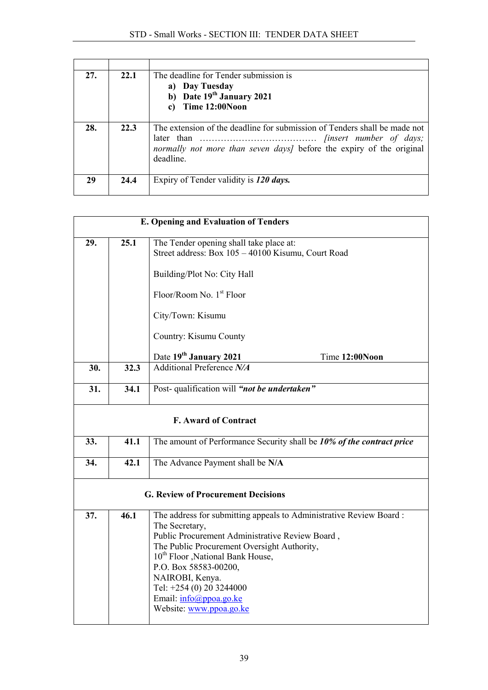| 27. | 22.1 | The deadline for Tender submission is<br>a) Day Tuesday<br>b) Date $19th$ January 2021<br>c) Time 12:00Noon                                                   |  |
|-----|------|---------------------------------------------------------------------------------------------------------------------------------------------------------------|--|
| 28. | 22.3 | The extension of the deadline for submission of Tenders shall be made not<br>normally not more than seven days] before the expiry of the original<br>deadline |  |
| 29  | 24.4 | Expiry of Tender validity is 120 days.                                                                                                                        |  |

|     | <b>E. Opening and Evaluation of Tenders</b> |                                                                                                                                                                                                                                                                                                                                                                                 |  |  |
|-----|---------------------------------------------|---------------------------------------------------------------------------------------------------------------------------------------------------------------------------------------------------------------------------------------------------------------------------------------------------------------------------------------------------------------------------------|--|--|
| 29. | 25.1                                        | The Tender opening shall take place at:<br>Street address: Box 105 - 40100 Kisumu, Court Road<br>Building/Plot No: City Hall<br>Floor/Room No. 1 <sup>st</sup> Floor<br>City/Town: Kisumu<br>Country: Kisumu County                                                                                                                                                             |  |  |
| 30. | 32.3                                        | Date 19th January 2021<br>Time 12:00Noon<br><b>Additional Preference N/A</b>                                                                                                                                                                                                                                                                                                    |  |  |
|     |                                             |                                                                                                                                                                                                                                                                                                                                                                                 |  |  |
| 31. | 34.1                                        | Post-qualification will "not be undertaken"                                                                                                                                                                                                                                                                                                                                     |  |  |
|     |                                             | <b>F. Award of Contract</b>                                                                                                                                                                                                                                                                                                                                                     |  |  |
| 33. | 41.1                                        | The amount of Performance Security shall be 10% of the contract price                                                                                                                                                                                                                                                                                                           |  |  |
| 34. | 42.1                                        | The Advance Payment shall be N/A                                                                                                                                                                                                                                                                                                                                                |  |  |
|     |                                             | <b>G. Review of Procurement Decisions</b>                                                                                                                                                                                                                                                                                                                                       |  |  |
| 37. | 46.1                                        | The address for submitting appeals to Administrative Review Board:<br>The Secretary,<br>Public Procurement Administrative Review Board,<br>The Public Procurement Oversight Authority,<br>10 <sup>th</sup> Floor , National Bank House,<br>P.O. Box 58583-00200,<br>NAIROBI, Kenya.<br>Tel: +254 (0) 20 3244000<br>Email: $info(\hat{a})$ ppoa.go.ke<br>Website: www.ppoa.go.ke |  |  |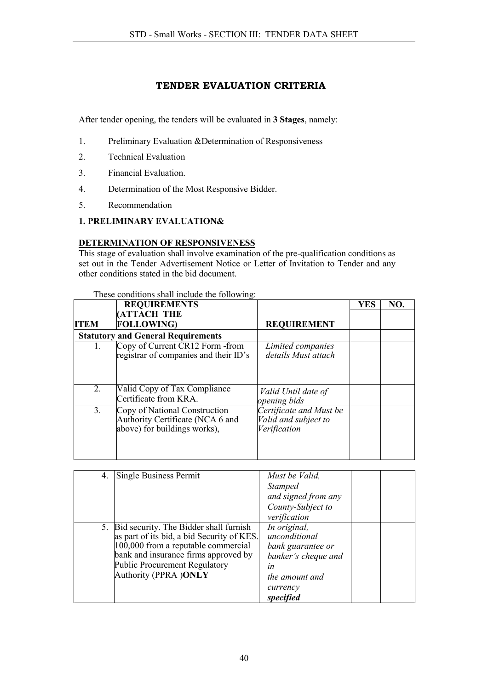## TENDER EVALUATION CRITERIA

After tender opening, the tenders will be evaluated in 3 Stages, namely:

- 1. Preliminary Evaluation &Determination of Responsiveness
- 2. Technical Evaluation
- 3. Financial Evaluation.
- 4. Determination of the Most Responsive Bidder.
- 5. Recommendation
- 1. PRELIMINARY EVALUATION&

### DETERMINATION OF RESPONSIVENESS

This stage of evaluation shall involve examination of the pre-qualification conditions as set out in the Tender Advertisement Notice or Letter of Invitation to Tender and any other conditions stated in the bid document.

|             | These conditions shall mental the following.                                                      |                                                                 |     |     |
|-------------|---------------------------------------------------------------------------------------------------|-----------------------------------------------------------------|-----|-----|
|             | <b>REQUIREMENTS</b>                                                                               |                                                                 | YES | NO. |
|             | <b>ATTACH THE</b>                                                                                 |                                                                 |     |     |
| <b>ITEM</b> | <b>FOLLOWING)</b>                                                                                 | <b>REQUIREMENT</b>                                              |     |     |
|             | <b>Statutory and General Requirements</b>                                                         |                                                                 |     |     |
| 1.          | Copy of Current CR12 Form - from<br>registrar of companies and their ID's                         | Limited companies<br>details Must attach                        |     |     |
| 2.          | Valid Copy of Tax Compliance<br>Certificate from KRA.                                             | Valid Until date of<br>opening bids                             |     |     |
| 3.          | Copy of National Construction<br>Authority Certificate (NCA 6 and<br>above) for buildings works), | Certificate and Must be<br>Valid and subject to<br>Verification |     |     |

### These conditions shall include the following:

| 4. | Single Business Permit                     | Must be Valid,      |
|----|--------------------------------------------|---------------------|
|    |                                            | <b>Stamped</b>      |
|    |                                            | and signed from any |
|    |                                            | County-Subject to   |
|    |                                            | verification        |
|    | 5. Bid security. The Bidder shall furnish  | In original,        |
|    | as part of its bid, a bid Security of KES. | unconditional       |
|    | $100,000$ from a reputable commercial      | bank guarantee or   |
|    | bank and insurance firms approved by       | banker's cheque and |
|    | <b>Public Procurement Regulatory</b>       | ln                  |
|    | <b>Authority (PPRA)ONLY</b>                | the amount and      |
|    |                                            | currency            |
|    |                                            | specified           |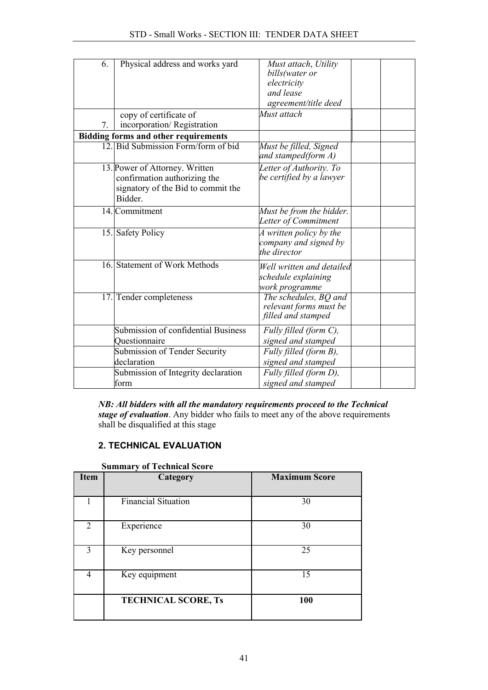| 6. | Physical address and works yard             | Must attach, Utility                          |  |
|----|---------------------------------------------|-----------------------------------------------|--|
|    |                                             | bills(water or<br>electricity                 |  |
|    |                                             | and lease                                     |  |
|    |                                             | agreement/title deed                          |  |
|    |                                             |                                               |  |
|    | copy of certificate of                      | Must attach                                   |  |
| 7  | incorporation/Registration                  |                                               |  |
|    | <b>Bidding forms and other requirements</b> |                                               |  |
|    | 12. Bid Submission Form/form of bid         | Must be filled, Signed<br>and stamped(form A) |  |
|    | 13. Power of Attorney. Written              | Letter of Authority. To                       |  |
|    | confirmation authorizing the                | be certified by a lawyer                      |  |
|    | signatory of the Bid to commit the          |                                               |  |
|    | Bidder.                                     |                                               |  |
|    | 14. Commitment                              | Must be from the bidder.                      |  |
|    |                                             | Letter of Commitment                          |  |
|    | 15. Safety Policy                           | A written policy by the                       |  |
|    |                                             | company and signed by                         |  |
|    |                                             | the director                                  |  |
|    | 16. Statement of Work Methods               | Well written and detailed                     |  |
|    |                                             | schedule explaining                           |  |
|    |                                             | work programme                                |  |
|    | 17. Tender completeness                     | The schedules, BQ and                         |  |
|    |                                             | relevant forms must be                        |  |
|    |                                             | filled and stamped                            |  |
|    | Submission of confidential Business         | Fully filled (form C),                        |  |
|    | Questionnaire                               | signed and stamped                            |  |
|    | Submission of Tender Security               | Fully filled (form B),                        |  |
|    | declaration                                 | signed and stamped                            |  |
|    | Submission of Integrity declaration         | Fully filled (form D),                        |  |
|    | form                                        | signed and stamped                            |  |
|    |                                             |                                               |  |

*NB: All bidders with all the mandatory requirements proceed to the Technical stage of evaluation*. Any bidder who fails to meet any of the above requirements shall be disqualified at this stage

# 2. TECHNICAL EVALUATION

| <b>Item</b>                 | Category                   | <b>Maximum Score</b> |
|-----------------------------|----------------------------|----------------------|
|                             | Financial Situation        | 30                   |
| $\mathcal{D}_{\mathcal{L}}$ | Experience                 | 30                   |
| 3                           | Key personnel              | 25                   |
| 4                           | Key equipment              | 15                   |
|                             | <b>TECHNICAL SCORE, Ts</b> | 100                  |

Summary of Technical Score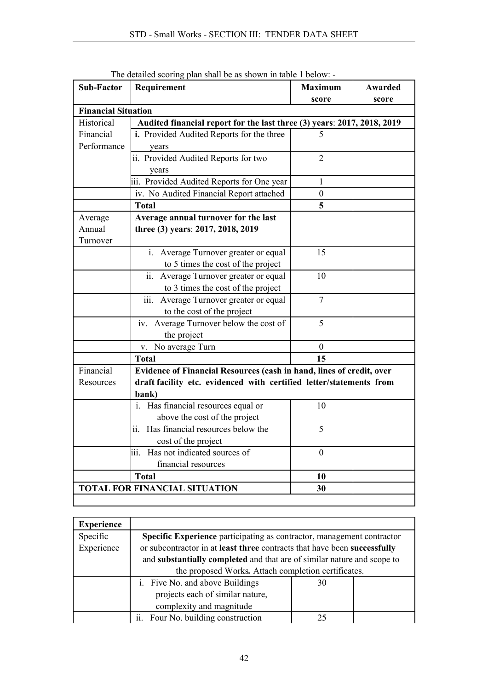| <b>Sub-Factor</b>          | Requirement                                                             | <b>Maximum</b>   | Awarded |
|----------------------------|-------------------------------------------------------------------------|------------------|---------|
| <b>Financial Situation</b> |                                                                         | score            | score   |
| Historical                 | Audited financial report for the last three (3) years: 2017, 2018, 2019 |                  |         |
| Financial                  | i. Provided Audited Reports for the three                               | 5                |         |
| Performance                |                                                                         |                  |         |
|                            | years<br>ii. Provided Audited Reports for two                           | $\overline{2}$   |         |
|                            |                                                                         |                  |         |
|                            | years<br>iii. Provided Audited Reports for One year                     | $\mathbf{1}$     |         |
|                            |                                                                         |                  |         |
|                            | iv. No Audited Financial Report attached                                | $\boldsymbol{0}$ |         |
|                            | <b>Total</b>                                                            | 5                |         |
| Average                    | Average annual turnover for the last                                    |                  |         |
| Annual                     | three (3) years: 2017, 2018, 2019                                       |                  |         |
| Turnover                   |                                                                         |                  |         |
|                            | i. Average Turnover greater or equal                                    | 15               |         |
|                            | to 5 times the cost of the project                                      |                  |         |
|                            | Average Turnover greater or equal<br>$\ddot{\mathbf{i}}$                | 10               |         |
|                            | to 3 times the cost of the project                                      |                  |         |
|                            | iii.<br>Average Turnover greater or equal                               | $\overline{7}$   |         |
|                            | to the cost of the project                                              |                  |         |
|                            | Average Turnover below the cost of<br>iv.                               | 5                |         |
|                            | the project                                                             |                  |         |
|                            | v. No average Turn                                                      | $\boldsymbol{0}$ |         |
|                            | <b>Total</b>                                                            | 15               |         |
| Financial                  | Evidence of Financial Resources (cash in hand, lines of credit, over    |                  |         |
| Resources                  | draft facility etc. evidenced with certified letter/statements from     |                  |         |
|                            | bank)                                                                   |                  |         |
|                            | i. Has financial resources equal or                                     | 10               |         |
|                            | above the cost of the project                                           |                  |         |
|                            | ii.<br>Has financial resources below the                                | 5                |         |
|                            | cost of the project                                                     |                  |         |
|                            | iii. Has not indicated sources of                                       | $\overline{0}$   |         |
|                            | financial resources                                                     |                  |         |
|                            | <b>Total</b>                                                            | 10               |         |
|                            | <b>TOTAL FOR FINANCIAL SITUATION</b>                                    | 30               |         |
|                            |                                                                         |                  |         |

The detailed scoring plan shall be as shown in table 1 below: -

| <b>Experience</b> |                                                                          |    |  |  |
|-------------------|--------------------------------------------------------------------------|----|--|--|
| Specific          | Specific Experience participating as contractor, management contractor   |    |  |  |
| Experience        | or subcontractor in at least three contracts that have been successfully |    |  |  |
|                   | and substantially completed and that are of similar nature and scope to  |    |  |  |
|                   | the proposed Works. Attach completion certificates.                      |    |  |  |
|                   | i. Five No. and above Buildings                                          | 30 |  |  |
|                   | projects each of similar nature,                                         |    |  |  |
|                   | complexity and magnitude                                                 |    |  |  |
|                   | ii. Four No. building construction                                       | 25 |  |  |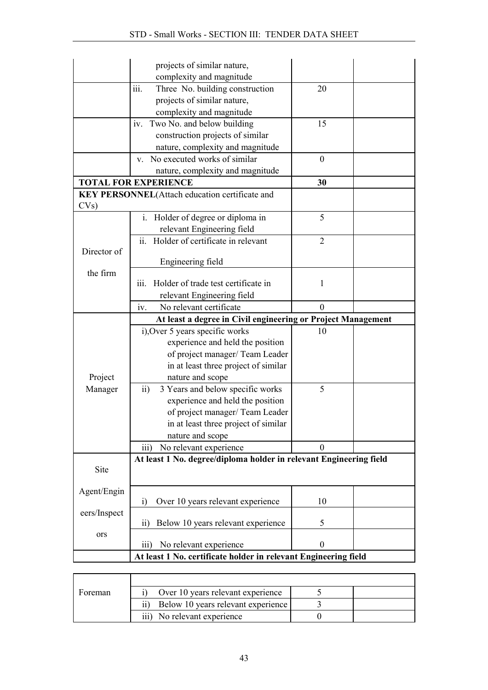|              | projects of similar nature,                                                                                   |                  |  |
|--------------|---------------------------------------------------------------------------------------------------------------|------------------|--|
|              | complexity and magnitude                                                                                      |                  |  |
|              | iii.<br>Three No. building construction                                                                       | 20               |  |
|              | projects of similar nature,                                                                                   |                  |  |
|              | complexity and magnitude                                                                                      |                  |  |
|              | iv. Two No. and below building                                                                                | 15               |  |
|              | construction projects of similar                                                                              |                  |  |
|              | nature, complexity and magnitude                                                                              |                  |  |
|              | No executed works of similar<br>V.                                                                            | $\mathbf{0}$     |  |
|              | nature, complexity and magnitude                                                                              |                  |  |
|              | <b>TOTAL FOR EXPERIENCE</b>                                                                                   | 30               |  |
|              | KEY PERSONNEL(Attach education certificate and                                                                |                  |  |
| CVs)         |                                                                                                               |                  |  |
|              | i. Holder of degree or diploma in                                                                             | 5                |  |
|              | relevant Engineering field                                                                                    |                  |  |
|              | ii. Holder of certificate in relevant                                                                         | $\overline{2}$   |  |
| Director of  |                                                                                                               |                  |  |
|              | Engineering field                                                                                             |                  |  |
| the firm     | Holder of trade test certificate in<br>111.                                                                   | 1                |  |
|              | relevant Engineering field                                                                                    |                  |  |
|              | iv.<br>No relevant certificate                                                                                | $\theta$         |  |
|              |                                                                                                               |                  |  |
|              |                                                                                                               |                  |  |
|              | At least a degree in Civil engineering or Project Management                                                  |                  |  |
|              | i), Over 5 years specific works                                                                               | 10               |  |
|              | experience and held the position                                                                              |                  |  |
|              | of project manager/ Team Leader                                                                               |                  |  |
|              | in at least three project of similar                                                                          |                  |  |
| Project      | nature and scope                                                                                              | 5                |  |
| Manager      | 3 Years and below specific works<br>$\overline{ii}$ )                                                         |                  |  |
|              | experience and held the position                                                                              |                  |  |
|              | of project manager/Team Leader                                                                                |                  |  |
|              | in at least three project of similar<br>nature and scope                                                      |                  |  |
|              | No relevant experience<br>$\overline{iii}$                                                                    | $\mathbf{0}$     |  |
|              | At least 1 No. degree/diploma holder in relevant Engineering field                                            |                  |  |
| Site         |                                                                                                               |                  |  |
|              |                                                                                                               |                  |  |
| Agent/Engin  |                                                                                                               |                  |  |
|              | Over 10 years relevant experience<br>i)                                                                       | 10               |  |
| eers/Inspect |                                                                                                               |                  |  |
|              | Below 10 years relevant experience<br>$\overline{11}$                                                         | 5                |  |
| ors          |                                                                                                               |                  |  |
|              | $\overline{iii}$<br>No relevant experience<br>At least 1 No. certificate holder in relevant Engineering field | $\boldsymbol{0}$ |  |

| Foreman | Over 10 years relevant experience         |  |
|---------|-------------------------------------------|--|
|         | Below 10 years relevant experience<br>11) |  |
|         | No relevant experience<br>111)            |  |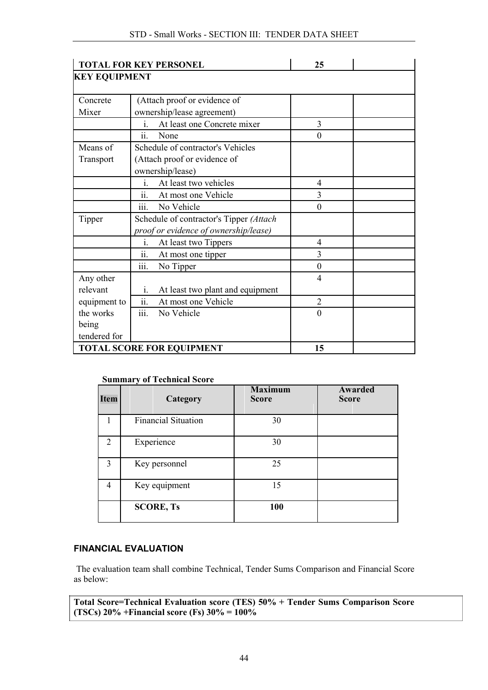|                      | <b>TOTAL FOR KEY PERSONEL</b>                      | 25             |  |
|----------------------|----------------------------------------------------|----------------|--|
| <b>KEY EQUIPMENT</b> |                                                    |                |  |
|                      |                                                    |                |  |
| Concrete             | (Attach proof or evidence of                       |                |  |
| Mixer                | ownership/lease agreement)                         |                |  |
|                      | At least one Concrete mixer<br>i.                  | 3              |  |
|                      | ii.<br>None                                        | $\theta$       |  |
| Means of             | Schedule of contractor's Vehicles                  |                |  |
| Transport            | (Attach proof or evidence of                       |                |  |
|                      | ownership/lease)                                   |                |  |
|                      | At least two vehicles<br>i.                        | $\overline{4}$ |  |
|                      | ii.<br>At most one Vehicle                         | 3              |  |
|                      | iii.<br>No Vehicle                                 | $\Omega$       |  |
| Tipper               | Schedule of contractor's Tipper (Attach            |                |  |
|                      | proof or evidence of ownership/lease)              |                |  |
|                      | At least two Tippers<br>i.                         | 4              |  |
|                      | At most one tipper<br>ii.                          | 3              |  |
|                      | No Tipper<br><i>iii.</i>                           | $\theta$       |  |
| Any other            |                                                    | $\overline{4}$ |  |
| relevant             | At least two plant and equipment<br>$\mathbf{i}$ . |                |  |
| equipment to         | ii.<br>At most one Vehicle                         | $\overline{2}$ |  |
| the works            | $\dddot{\mathbf{m}}$ .<br>No Vehicle               | $\overline{0}$ |  |
| being                |                                                    |                |  |
| tendered for         |                                                    |                |  |
|                      | <b>TOTAL SCORE FOR EQUIPMENT</b>                   | 15             |  |

### Summary of Technical Score

| <b>Item</b>    | Category                   | <b>Maximum</b><br><b>Score</b> | Awarded<br><b>Score</b> |
|----------------|----------------------------|--------------------------------|-------------------------|
|                | <b>Financial Situation</b> | 30                             |                         |
| $\mathfrak{D}$ | Experience                 | 30                             |                         |
| $\mathcal{E}$  | Key personnel              | 25                             |                         |
| 4              | Key equipment              | 15                             |                         |
|                | <b>SCORE, Ts</b>           | 100                            |                         |

### FINANCIAL EVALUATION

The evaluation team shall combine Technical, Tender Sums Comparison and Financial Score as below:

Total Score=Technical Evaluation score (TES) 50% + Tender Sums Comparison Score (TSCs)  $20\%$  + Financial score (Fs)  $30\%$  =  $100\%$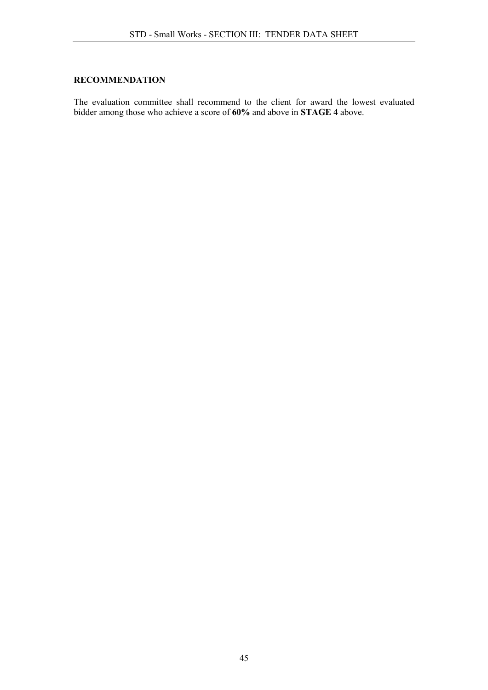## RECOMMENDATION

The evaluation committee shall recommend to the client for award the lowest evaluated bidder among those who achieve a score of 60% and above in STAGE 4 above.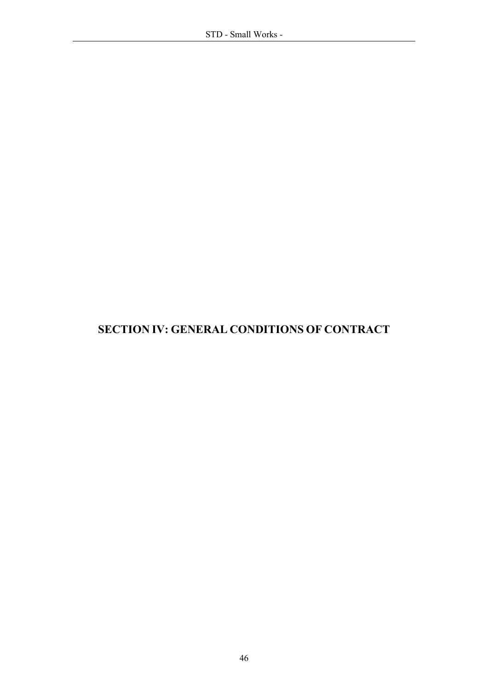# SECTION IV: GENERAL CONDITIONS OF CONTRACT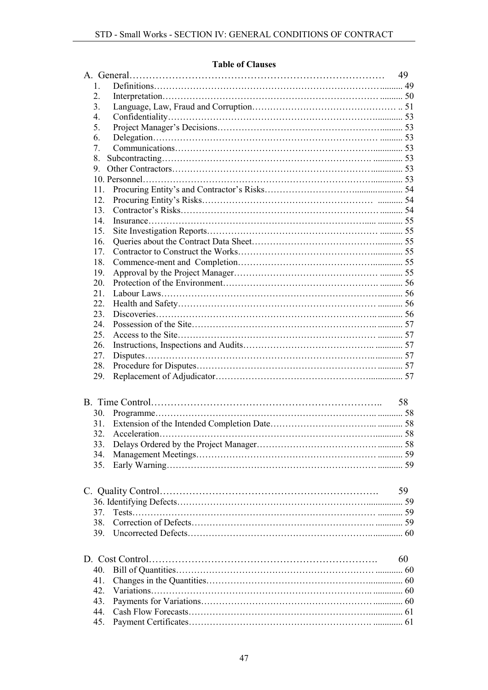### Table of Clauses

|            | 49 |
|------------|----|
| 1.         |    |
| 2.         |    |
| 3.         |    |
| 4.         |    |
| 5.         |    |
| 6.         |    |
| 7.         |    |
| 8.         |    |
| 9.         |    |
|            |    |
| 11.        |    |
| 12.        |    |
| 13.        |    |
| 14.        |    |
| 15.        |    |
| 16.        |    |
| 17.        |    |
| 18.        |    |
| 19.        |    |
| 20.        |    |
| 21.        |    |
| 22.        |    |
| 23.        |    |
| 24.        |    |
| 25.        |    |
| 26.        |    |
| 27.        |    |
| 28.        |    |
| 29.        |    |
|            | 58 |
|            |    |
| 30.        |    |
| 31.        |    |
| 32.        |    |
| 33.<br>34. |    |
|            |    |
| 35.        |    |
|            | 59 |
|            |    |
| 37.        |    |
| 38.        |    |
| 39.        |    |
|            | 60 |
| 40.        |    |
| 41.        |    |
| 42.        |    |
| 43.        |    |
| 44.        |    |
|            |    |
| 45.        |    |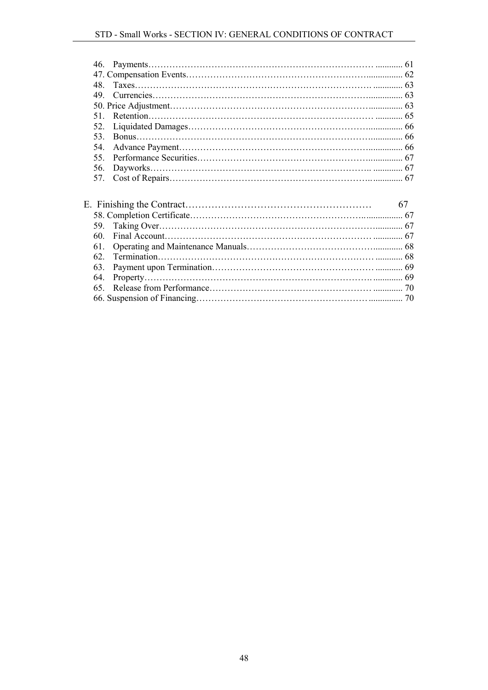| 49 |  |
|----|--|
|    |  |
|    |  |
|    |  |
|    |  |
|    |  |
|    |  |
|    |  |
|    |  |
|    |  |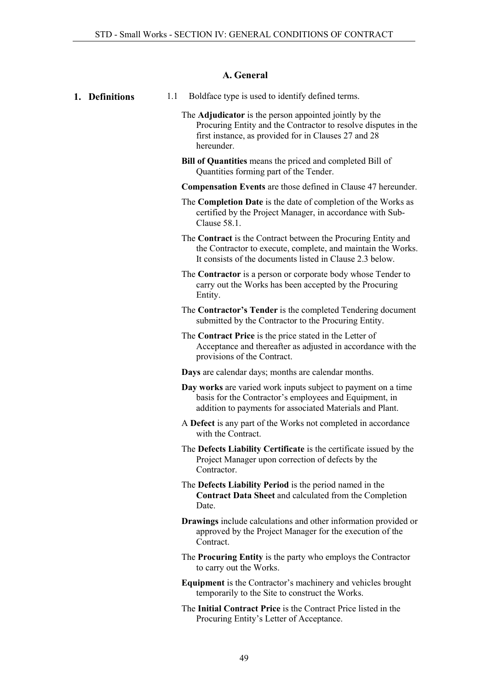### A. General

- <span id="page-48-1"></span><span id="page-48-0"></span>1. **Definitions** 1.1 Boldface type is used to identify defined terms.
	- The Adjudicator is the person appointed jointly by the Procuring Entity and the Contractor to resolve disputes in the first instance, as provided for in Clauses 27 and 28 hereunder.
	- Bill of Quantities means the priced and completed Bill of Quantities forming part of the Tender.
	- Compensation Events are those defined in Clause 47 hereunder.
	- The Completion Date is the date of completion of the Works as certified by the Project Manager, in accordance with Sub-Clause 58.1.
	- The Contract is the Contract between the Procuring Entity and the Contractor to execute, complete, and maintain the Works. It consists of the documents listed in Clause 2.3 below.
	- The Contractor is a person or corporate body whose Tender to carry out the Works has been accepted by the Procuring Entity.
	- The Contractor's Tender is the completed Tendering document submitted by the Contractor to the Procuring Entity.
	- The Contract Price is the price stated in the Letter of Acceptance and thereafter as adjusted in accordance with the provisions of the Contract.
	- Days are calendar days; months are calendar months.
	- Day works are varied work inputs subject to payment on a time basis for the Contractor's employees and Equipment, in addition to payments for associated Materials and Plant.
	- A Defect is any part of the Works not completed in accordance with the Contract.
	- The Defects Liability Certificate is the certificate issued by the Project Manager upon correction of defects by the Contractor.
	- The Defects Liability Period is the period named in the Contract Data Sheet and calculated from the Completion Date.
	- Drawings include calculations and other information provided or approved by the Project Manager for the execution of the Contract.
	- The Procuring Entity is the party who employs the Contractor to carry out the Works.
	- Equipment is the Contractor's machinery and vehicles brought temporarily to the Site to construct the Works.
	- The Initial Contract Price is the Contract Price listed in the Procuring Entity's Letter of Acceptance.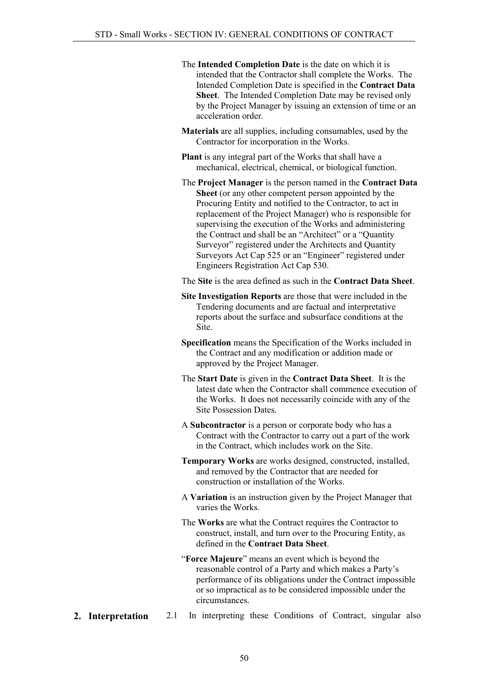- The Intended Completion Date is the date on which it is intended that the Contractor shall complete the Works. The Intended Completion Date is specified in the Contract Data Sheet. The Intended Completion Date may be revised only by the Project Manager by issuing an extension of time or an acceleration order.
- Materials are all supplies, including consumables, used by the Contractor for incorporation in the Works.
- Plant is any integral part of the Works that shall have a mechanical, electrical, chemical, or biological function.
- The Project Manager is the person named in the Contract Data Sheet (or any other competent person appointed by the Procuring Entity and notified to the Contractor, to act in replacement of the Project Manager) who is responsible for supervising the execution of the Works and administering the Contract and shall be an "Architect" or a "Quantity Surveyor" registered under the Architects and Quantity Surveyors Act Cap 525 or an "Engineer" registered under Engineers Registration Act Cap 530.

The Site is the area defined as such in the Contract Data Sheet.

- Site Investigation Reports are those that were included in the Tendering documents and are factual and interpretative reports about the surface and subsurface conditions at the Site.
- Specification means the Specification of the Works included in the Contract and any modification or addition made or approved by the Project Manager.
- The Start Date is given in the Contract Data Sheet. It is the latest date when the Contractor shall commence execution of the Works. It does not necessarily coincide with any of the Site Possession Dates.
- A Subcontractor is a person or corporate body who has a Contract with the Contractor to carry out a part of the work in the Contract, which includes work on the Site.
- Temporary Works are works designed, constructed, installed, and removed by the Contractor that are needed for construction or installation of the Works.
- A Variation is an instruction given by the Project Manager that varies the Works.
- The Works are what the Contract requires the Contractor to construct, install, and turn over to the Procuring Entity, as defined in the Contract Data Sheet.
- "Force Majeure" means an event which is beyond the reasonable control of a Party and which makes a Party's performance of its obligations under the Contract impossible or so impractical as to be considered impossible under the circumstances.
- <span id="page-49-0"></span>**2. Interpretation** 2.1 In interpreting these Conditions of Contract, singular also
	- 50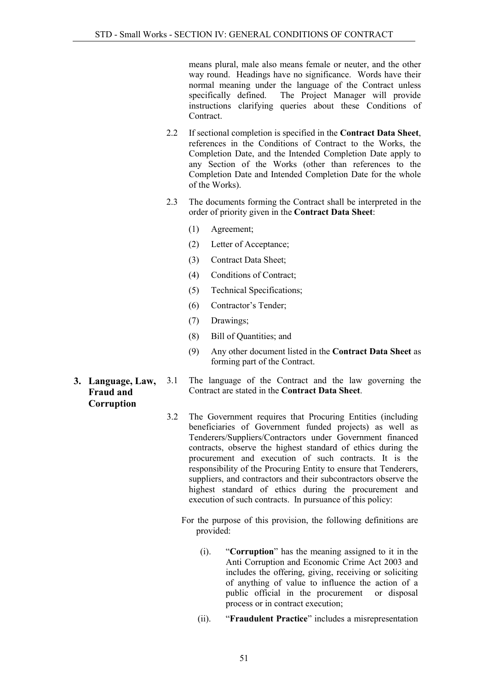means plural, male also means female or neuter, and the other way round. Headings have no significance. Words have their normal meaning under the language of the Contract unless<br>specifically defined. The Project Manager will provide The Project Manager will provide instructions clarifying queries about these Conditions of Contract.

- 2.2 If sectional completion is specified in the Contract Data Sheet, references in the Conditions of Contract to the Works, the Completion Date, and the Intended Completion Date apply to any Section of the Works (other than references to the Completion Date and Intended Completion Date for the whole of the Works).
- 2.3 The documents forming the Contract shall be interpreted in the order of priority given in the Contract Data Sheet:
	- (1) Agreement;
	- (2) Letter of Acceptance;
	- (3) Contract Data Sheet;
	- (4) Conditions of Contract;
	- (5) Technical Specifications;
	- (6) Contractor's Tender;
	- (7) Drawings;
	- (8) Bill of Quantities; and
	- (9) Any other document listed in the Contract Data Sheet as forming part of the Contract.
- <span id="page-50-0"></span>3. Language, Law, Fraud and Corruption
- 3.1 The language of the Contract and the law governing the Contract are stated in the Contract Data Sheet.
	- 3.2 The Government requires that Procuring Entities (including beneficiaries of Government funded projects) as well as Tenderers/Suppliers/Contractors under Government financed contracts, observe the highest standard of ethics during the procurement and execution of such contracts. It is the responsibility of the Procuring Entity to ensure that Tenderers, suppliers, and contractors and their subcontractors observe the highest standard of ethics during the procurement and execution of such contracts. In pursuance of this policy:
		- For the purpose of this provision, the following definitions are provided:
			- (i). "Corruption" has the meaning assigned to it in the Anti Corruption and Economic Crime Act 2003 and includes the offering, giving, receiving or soliciting of anything of value to influence the action of a public official in the procurement or disposal process or in contract execution;
			- (ii). "Fraudulent Practice" includes a misrepresentation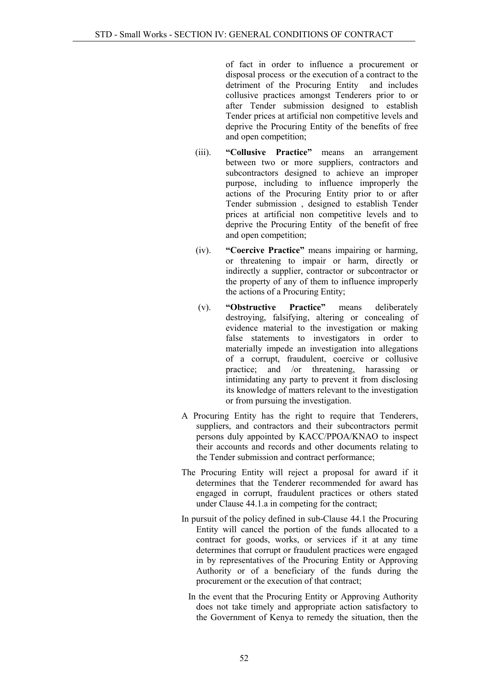of fact in order to influence a procurement or disposal process or the execution of a contract to the detriment of the Procuring Entity and includes collusive practices amongst Tenderers prior to or after Tender submission designed to establish Tender prices at artificial non competitive levels and deprive the Procuring Entity of the benefits of free and open competition;

- (iii). "Collusive Practice" means an arrangement between two or more suppliers, contractors and subcontractors designed to achieve an improper purpose, including to influence improperly the actions of the Procuring Entity prior to or after Tender submission , designed to establish Tender prices at artificial non competitive levels and to deprive the Procuring Entity of the benefit of free and open competition;
- (iv). "Coercive Practice" means impairing or harming, or threatening to impair or harm, directly or indirectly a supplier, contractor or subcontractor or the property of any of them to influence improperly the actions of a Procuring Entity;
- (v). "Obstructive Practice" means deliberately destroying, falsifying, altering or concealing of evidence material to the investigation or making false statements to investigators in order to materially impede an investigation into allegations of a corrupt, fraudulent, coercive or collusive practice; and /or threatening, harassing or intimidating any party to prevent it from disclosing its knowledge of matters relevant to the investigation or from pursuing the investigation.
- A Procuring Entity has the right to require that Tenderers, suppliers, and contractors and their subcontractors permit persons duly appointed by KACC/PPOA/KNAO to inspect their accounts and records and other documents relating to the Tender submission and contract performance;
- The Procuring Entity will reject a proposal for award if it determines that the Tenderer recommended for award has engaged in corrupt, fraudulent practices or others stated under Clause 44.1.a in competing for the contract;
- In pursuit of the policy defined in sub-Clause 44.1 the Procuring Entity will cancel the portion of the funds allocated to a contract for goods, works, or services if it at any time determines that corrupt or fraudulent practices were engaged in by representatives of the Procuring Entity or Approving Authority or of a beneficiary of the funds during the procurement or the execution of that contract;
	- In the event that the Procuring Entity or Approving Authority does not take timely and appropriate action satisfactory to the Government of Kenya to remedy the situation, then the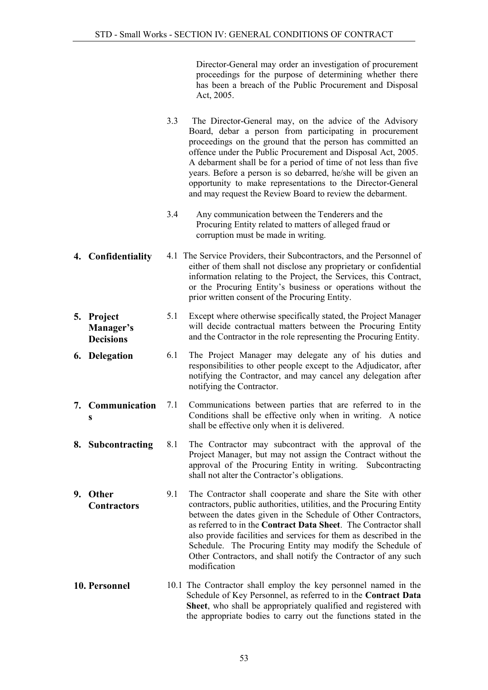Director-General may order an investigation of procurement proceedings for the purpose of determining whether there has been a breach of the Public Procurement and Disposal Act, 2005.

- 3.3 The Director-General may, on the advice of the Advisory Board, debar a person from participating in procurement proceedings on the ground that the person has committed an offence under the Public Procurement and Disposal Act, 2005. A debarment shall be for a period of time of not less than five years. Before a person is so debarred, he/she will be given an opportunity to make representations to the Director-General and may request the Review Board to review the debarment.
- 3.4 Any communication between the Tenderers and the Procuring Entity related to matters of alleged fraud or corruption must be made in writing.
- <span id="page-52-0"></span>4. Confidentiality 4.1 The Service Providers, their Subcontractors, and the Personnel of either of them shall not disclose any proprietary or confidential information relating to the Project, the Services, this Contract, or the Procuring Entity's business or operations without the prior written consent of the Procuring Entity.
- <span id="page-52-1"></span>5. Project Manager's Decisions 5.1 Except where otherwise specifically stated, the Project Manager will decide contractual matters between the Procuring Entity and the Contractor in the role representing the Procuring Entity.
- <span id="page-52-2"></span>6. Delegation 6.1 The Project Manager may delegate any of his duties and responsibilities to other people except to the Adjudicator, after notifying the Contractor, and may cancel any delegation after notifying the Contractor.
- <span id="page-52-3"></span>7. Communication s 7.1 Communications between parties that are referred to in the Conditions shall be effective only when in writing. A notice shall be effective only when it is delivered.
- <span id="page-52-4"></span>8. Subcontracting 8.1 The Contractor may subcontract with the approval of the Project Manager, but may not assign the Contract without the approval of the Procuring Entity in writing. Subcontracting shall not alter the Contractor's obligations.
- <span id="page-52-5"></span>9. Other **Contractors** 9.1 The Contractor shall cooperate and share the Site with other contractors, public authorities, utilities, and the Procuring Entity between the dates given in the Schedule of Other Contractors, as referred to in the Contract Data Sheet. The Contractor shall also provide facilities and services for them as described in the Schedule. The Procuring Entity may modify the Schedule of Other Contractors, and shall notify the Contractor of any such modification
- <span id="page-52-6"></span>10. Personnel 10.1 The Contractor shall employ the key personnel named in the Schedule of Key Personnel, as referred to in the Contract Data Sheet, who shall be appropriately qualified and registered with the appropriate bodies to carry out the functions stated in the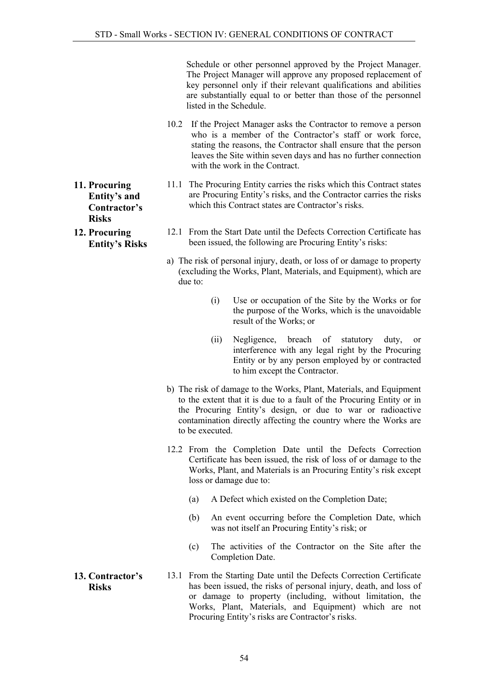Schedule or other personnel approved by the Project Manager. The Project Manager will approve any proposed replacement of key personnel only if their relevant qualifications and abilities are substantially equal to or better than those of the personnel listed in the Schedule.

- 10.2 If the Project Manager asks the Contractor to remove a person who is a member of the Contractor's staff or work force, stating the reasons, the Contractor shall ensure that the person leaves the Site within seven days and has no further connection with the work in the Contract.
- 11.1 The Procuring Entity carries the risks which this Contract states are Procuring Entity's risks, and the Contractor carries the risks which this Contract states are Contractor's risks.
	- 12.1 From the Start Date until the Defects Correction Certificate has been issued, the following are Procuring Entity's risks:
	- a) The risk of personal injury, death, or loss of or damage to property (excluding the Works, Plant, Materials, and Equipment), which are due to:
		- (i) Use or occupation of the Site by the Works or for the purpose of the Works, which is the unavoidable result of the Works; or
		- (ii) Negligence, breach of statutory duty, or interference with any legal right by the Procuring Entity or by any person employed by or contracted to him except the Contractor.
	- b) The risk of damage to the Works, Plant, Materials, and Equipment to the extent that it is due to a fault of the Procuring Entity or in the Procuring Entity's design, or due to war or radioactive contamination directly affecting the country where the Works are to be executed.
	- 12.2 From the Completion Date until the Defects Correction Certificate has been issued, the risk of loss of or damage to the Works, Plant, and Materials is an Procuring Entity's risk except loss or damage due to:
		- (a) A Defect which existed on the Completion Date;
		- (b) An event occurring before the Completion Date, which was not itself an Procuring Entity's risk; or
		- (c) The activities of the Contractor on the Site after the Completion Date.
- <span id="page-53-2"></span>13. Contractor's Risks 13.1 From the Starting Date until the Defects Correction Certificate has been issued, the risks of personal injury, death, and loss of or damage to property (including, without limitation, the Works, Plant, Materials, and Equipment) which are not Procuring Entity's risks are Contractor's risks.
- <span id="page-53-0"></span>11. Procuring Entity's and Contractor's Risks
- <span id="page-53-1"></span>12. Procuring Entity's Risks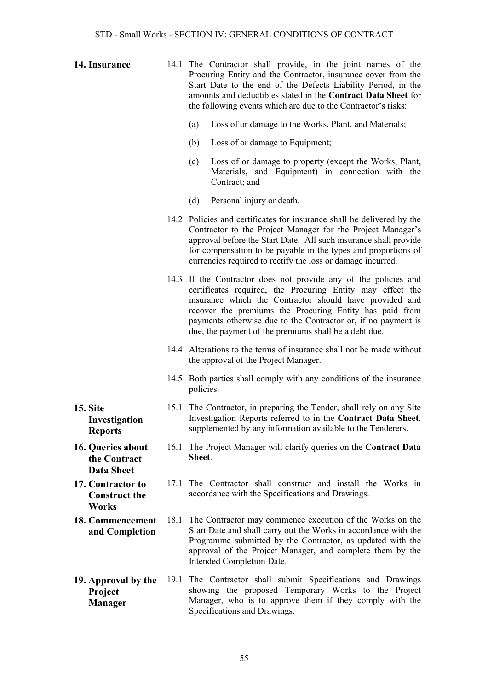<span id="page-54-5"></span><span id="page-54-4"></span><span id="page-54-3"></span><span id="page-54-2"></span><span id="page-54-1"></span><span id="page-54-0"></span>

| 14. Insurance                                             |      | 14.1 The Contractor shall provide, in the joint names of the<br>Procuring Entity and the Contractor, insurance cover from the<br>Start Date to the end of the Defects Liability Period, in the<br>amounts and deductibles stated in the Contract Data Sheet for<br>the following events which are due to the Contractor's risks:                                              |
|-----------------------------------------------------------|------|-------------------------------------------------------------------------------------------------------------------------------------------------------------------------------------------------------------------------------------------------------------------------------------------------------------------------------------------------------------------------------|
|                                                           |      | Loss of or damage to the Works, Plant, and Materials;<br>(a)                                                                                                                                                                                                                                                                                                                  |
|                                                           |      | (b)<br>Loss of or damage to Equipment;                                                                                                                                                                                                                                                                                                                                        |
|                                                           |      | (c)<br>Loss of or damage to property (except the Works, Plant,<br>Materials, and Equipment) in connection with the<br>Contract; and                                                                                                                                                                                                                                           |
|                                                           |      | (d)<br>Personal injury or death.                                                                                                                                                                                                                                                                                                                                              |
|                                                           |      | 14.2 Policies and certificates for insurance shall be delivered by the<br>Contractor to the Project Manager for the Project Manager's<br>approval before the Start Date. All such insurance shall provide<br>for compensation to be payable in the types and proportions of<br>currencies required to rectify the loss or damage incurred.                                    |
|                                                           |      | 14.3 If the Contractor does not provide any of the policies and<br>certificates required, the Procuring Entity may effect the<br>insurance which the Contractor should have provided and<br>recover the premiums the Procuring Entity has paid from<br>payments otherwise due to the Contractor or, if no payment is<br>due, the payment of the premiums shall be a debt due. |
|                                                           |      | 14.4 Alterations to the terms of insurance shall not be made without<br>the approval of the Project Manager.                                                                                                                                                                                                                                                                  |
|                                                           |      | 14.5 Both parties shall comply with any conditions of the insurance<br>policies.                                                                                                                                                                                                                                                                                              |
| <b>15. Site</b><br>Investigation<br><b>Reports</b>        |      | 15.1 The Contractor, in preparing the Tender, shall rely on any Site<br>Investigation Reports referred to in the Contract Data Sheet,<br>supplemented by any information available to the Tenderers.                                                                                                                                                                          |
| 16. Queries about<br>the Contract<br><b>Data Sheet</b>    |      | 16.1 The Project Manager will clarify queries on the Contract Data<br>Sheet.                                                                                                                                                                                                                                                                                                  |
| 17. Contractor to<br><b>Construct the</b><br><b>Works</b> | 17.1 | The Contractor shall construct and install the Works in<br>accordance with the Specifications and Drawings.                                                                                                                                                                                                                                                                   |
| 18. Commencement<br>and Completion                        | 18.1 | The Contractor may commence execution of the Works on the<br>Start Date and shall carry out the Works in accordance with the<br>Programme submitted by the Contractor, as updated with the<br>approval of the Project Manager, and complete them by the<br>Intended Completion Date.                                                                                          |
| 19. Approval by the<br>Project<br><b>Manager</b>          | 19.1 | The Contractor shall submit Specifications and Drawings<br>showing the proposed Temporary Works to the Project<br>Manager, who is to approve them if they comply with the<br>Specifications and Drawings.                                                                                                                                                                     |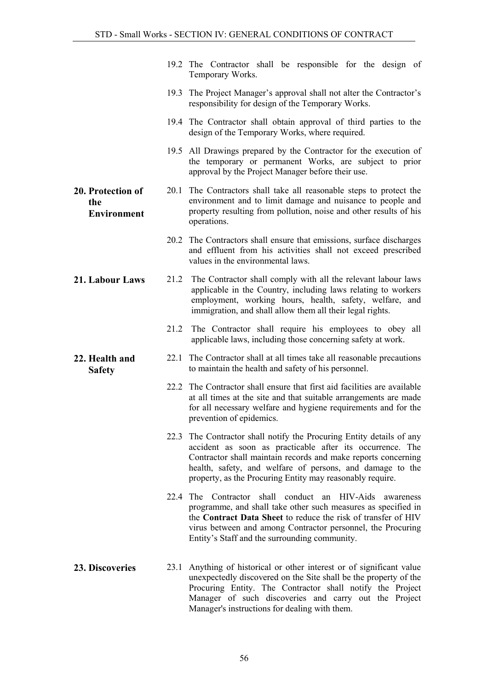<span id="page-55-3"></span><span id="page-55-2"></span><span id="page-55-1"></span><span id="page-55-0"></span>

|                                                |      | 19.2 The Contractor shall be responsible for the design of<br>Temporary Works.                                                                                                                                                                                                                                               |
|------------------------------------------------|------|------------------------------------------------------------------------------------------------------------------------------------------------------------------------------------------------------------------------------------------------------------------------------------------------------------------------------|
|                                                |      | 19.3 The Project Manager's approval shall not alter the Contractor's<br>responsibility for design of the Temporary Works.                                                                                                                                                                                                    |
|                                                |      | 19.4 The Contractor shall obtain approval of third parties to the<br>design of the Temporary Works, where required.                                                                                                                                                                                                          |
|                                                |      | 19.5 All Drawings prepared by the Contractor for the execution of<br>the temporary or permanent Works, are subject to prior<br>approval by the Project Manager before their use.                                                                                                                                             |
| 20. Protection of<br>the<br><b>Environment</b> |      | 20.1 The Contractors shall take all reasonable steps to protect the<br>environment and to limit damage and nuisance to people and<br>property resulting from pollution, noise and other results of his<br>operations.                                                                                                        |
|                                                |      | 20.2 The Contractors shall ensure that emissions, surface discharges<br>and effluent from his activities shall not exceed prescribed<br>values in the environmental laws.                                                                                                                                                    |
| 21. Labour Laws                                |      | 21.2 The Contractor shall comply with all the relevant labour laws<br>applicable in the Country, including laws relating to workers<br>employment, working hours, health, safety, welfare, and<br>immigration, and shall allow them all their legal rights.                                                                  |
|                                                | 21.2 | The Contractor shall require his employees to obey all<br>applicable laws, including those concerning safety at work.                                                                                                                                                                                                        |
| 22. Health and<br><b>Safety</b>                |      | 22.1 The Contractor shall at all times take all reasonable precautions<br>to maintain the health and safety of his personnel.                                                                                                                                                                                                |
|                                                |      | 22.2 The Contractor shall ensure that first aid facilities are available<br>at all times at the site and that suitable arrangements are made<br>for all necessary welfare and hygiene requirements and for the<br>prevention of epidemics.                                                                                   |
|                                                |      | 22.3 The Contractor shall notify the Procuring Entity details of any<br>accident as soon as practicable after its occurrence. The<br>Contractor shall maintain records and make reports concerning<br>health, safety, and welfare of persons, and damage to the<br>property, as the Procuring Entity may reasonably require. |
|                                                |      | 22.4 The Contractor shall conduct an HIV-Aids<br>awareness<br>programme, and shall take other such measures as specified in<br>the Contract Data Sheet to reduce the risk of transfer of HIV<br>virus between and among Contractor personnel, the Procuring<br>Entity's Staff and the surrounding community.                 |
| 23. Discoveries                                | 23.1 | Anything of historical or other interest or of significant value<br>unexpectedly discovered on the Site shall be the property of the<br>Procuring Entity. The Contractor shall notify the Project<br>Manager of such discoveries and carry out the Project<br>Manager's instructions for dealing with them.                  |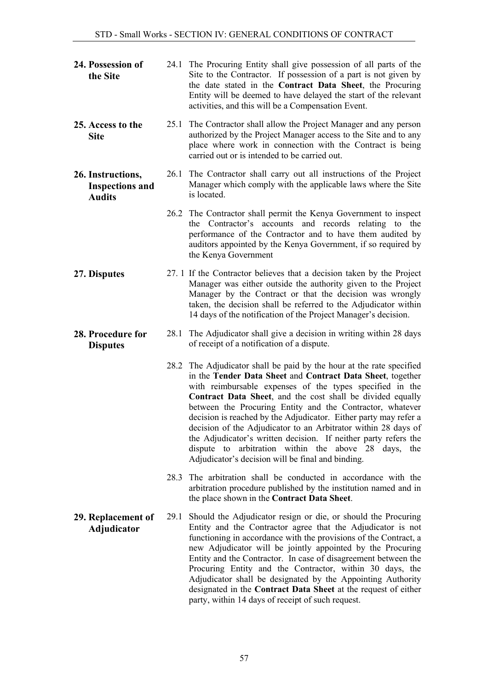<span id="page-56-5"></span><span id="page-56-4"></span><span id="page-56-3"></span><span id="page-56-2"></span><span id="page-56-1"></span><span id="page-56-0"></span>

| 24. Possession of<br>the Site                                |      | 24.1 The Procuring Entity shall give possession of all parts of the<br>Site to the Contractor. If possession of a part is not given by<br>the date stated in the Contract Data Sheet, the Procuring<br>Entity will be deemed to have delayed the start of the relevant<br>activities, and this will be a Compensation Event.                                                                                                                                                                                                                                                                                                                          |
|--------------------------------------------------------------|------|-------------------------------------------------------------------------------------------------------------------------------------------------------------------------------------------------------------------------------------------------------------------------------------------------------------------------------------------------------------------------------------------------------------------------------------------------------------------------------------------------------------------------------------------------------------------------------------------------------------------------------------------------------|
| 25. Access to the<br><b>Site</b>                             | 25.1 | The Contractor shall allow the Project Manager and any person<br>authorized by the Project Manager access to the Site and to any<br>place where work in connection with the Contract is being<br>carried out or is intended to be carried out.                                                                                                                                                                                                                                                                                                                                                                                                        |
| 26. Instructions,<br><b>Inspections and</b><br><b>Audits</b> |      | 26.1 The Contractor shall carry out all instructions of the Project<br>Manager which comply with the applicable laws where the Site<br>is located.                                                                                                                                                                                                                                                                                                                                                                                                                                                                                                    |
|                                                              |      | 26.2 The Contractor shall permit the Kenya Government to inspect<br>the Contractor's accounts and records relating to the<br>performance of the Contractor and to have them audited by<br>auditors appointed by the Kenya Government, if so required by<br>the Kenya Government                                                                                                                                                                                                                                                                                                                                                                       |
| 27. Disputes                                                 |      | 27. 1 If the Contractor believes that a decision taken by the Project<br>Manager was either outside the authority given to the Project<br>Manager by the Contract or that the decision was wrongly<br>taken, the decision shall be referred to the Adjudicator within<br>14 days of the notification of the Project Manager's decision.                                                                                                                                                                                                                                                                                                               |
| 28. Procedure for<br><b>Disputes</b>                         |      | 28.1 The Adjudicator shall give a decision in writing within 28 days<br>of receipt of a notification of a dispute.                                                                                                                                                                                                                                                                                                                                                                                                                                                                                                                                    |
|                                                              |      | 28.2 The Adjudicator shall be paid by the hour at the rate specified<br>in the Tender Data Sheet and Contract Data Sheet, together<br>with reimbursable expenses of the types specified in the<br>Contract Data Sheet, and the cost shall be divided equally<br>between the Procuring Entity and the Contractor, whatever<br>decision is reached by the Adjudicator. Either party may refer a<br>decision of the Adjudicator to an Arbitrator within 28 days of<br>the Adjudicator's written decision. If neither party refers the<br>arbitration within the above 28 days,<br>dispute to<br>the<br>Adjudicator's decision will be final and binding. |
|                                                              |      | 28.3 The arbitration shall be conducted in accordance with the<br>arbitration procedure published by the institution named and in<br>the place shown in the Contract Data Sheet.                                                                                                                                                                                                                                                                                                                                                                                                                                                                      |
| 29. Replacement of<br>Adjudicator                            |      | 29.1 Should the Adjudicator resign or die, or should the Procuring<br>Entity and the Contractor agree that the Adjudicator is not<br>functioning in accordance with the provisions of the Contract, a<br>new Adjudicator will be jointly appointed by the Procuring<br>Entity and the Contractor. In case of disagreement between the<br>Procuring Entity and the Contractor, within 30 days, the<br>Adjudicator shall be designated by the Appointing Authority<br>designated in the Contract Data Sheet at the request of either<br>party, within 14 days of receipt of such request.                                                               |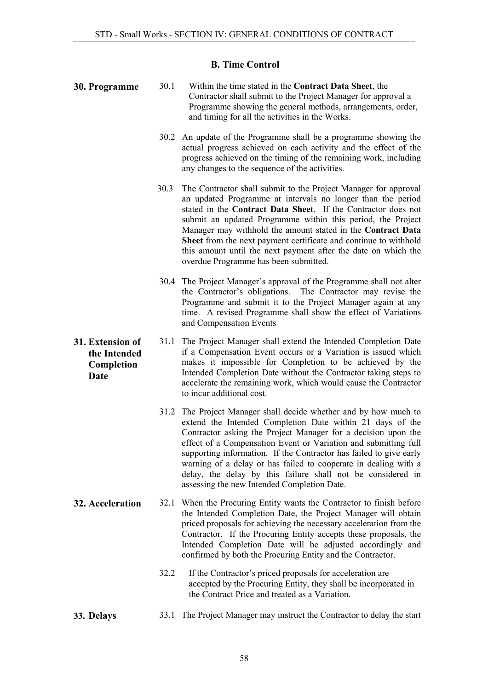### B. Time Control

- <span id="page-57-1"></span><span id="page-57-0"></span>30. Programme 30.1 Within the time stated in the Contract Data Sheet, the Contractor shall submit to the Project Manager for approval a Programme showing the general methods, arrangements, order, and timing for all the activities in the Works.
	- 30.2 An update of the Programme shall be a programme showing the actual progress achieved on each activity and the effect of the progress achieved on the timing of the remaining work, including any changes to the sequence of the activities.
	- 30.3 The Contractor shall submit to the Project Manager for approval an updated Programme at intervals no longer than the period stated in the Contract Data Sheet. If the Contractor does not submit an updated Programme within this period, the Project Manager may withhold the amount stated in the Contract Data Sheet from the next payment certificate and continue to withhold this amount until the next payment after the date on which the overdue Programme has been submitted.
	- 30.4 The Project Manager's approval of the Programme shall not alter the Contractor's obligations. The Contractor may revise the Programme and submit it to the Project Manager again at any time. A revised Programme shall show the effect of Variations and Compensation Events
- 31. Extension of the Intended Completion Date 31.1 The Project Manager shall extend the Intended Completion Date if a Compensation Event occurs or a Variation is issued which makes it impossible for Completion to be achieved by the Intended Completion Date without the Contractor taking steps to accelerate the remaining work, which would cause the Contractor to incur additional cost.
	- 31.2 The Project Manager shall decide whether and by how much to extend the Intended Completion Date within 21 days of the Contractor asking the Project Manager for a decision upon the effect of a Compensation Event or Variation and submitting full supporting information. If the Contractor has failed to give early warning of a delay or has failed to cooperate in dealing with a delay, the delay by this failure shall not be considered in assessing the new Intended Completion Date.
- <span id="page-57-3"></span>32. Acceleration 32.1 When the Procuring Entity wants the Contractor to finish before the Intended Completion Date, the Project Manager will obtain priced proposals for achieving the necessary acceleration from the Contractor. If the Procuring Entity accepts these proposals, the Intended Completion Date will be adjusted accordingly and confirmed by both the Procuring Entity and the Contractor.
	- 32.2 If the Contractor's priced proposals for acceleration are accepted by the Procuring Entity, they shall be incorporated in the Contract Price and treated as a Variation.
- 33. Delays 33.1 The Project Manager may instruct the Contractor to delay the start

<span id="page-57-2"></span>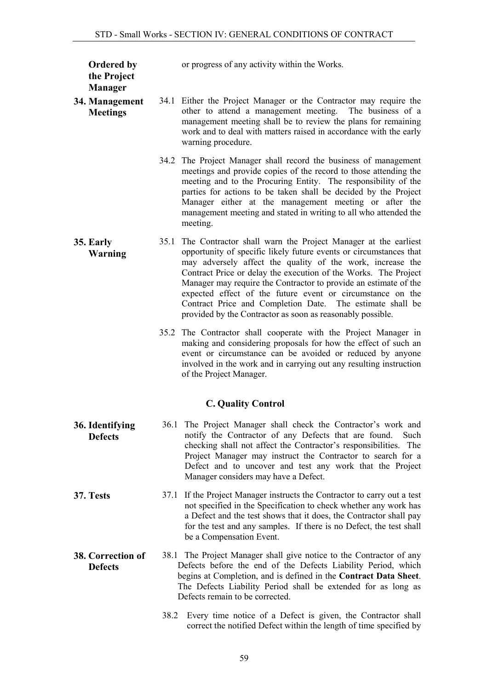or progress of any activity within the Works.

# the Project Manager

Ordered by

- <span id="page-58-1"></span>34. Management **Meetings** 34.1 Either the Project Manager or the Contractor may require the other to attend a management meeting. The business of a management meeting shall be to review the plans for remaining work and to deal with matters raised in accordance with the early warning procedure.
	- 34.2 The Project Manager shall record the business of management meetings and provide copies of the record to those attending the meeting and to the Procuring Entity. The responsibility of the parties for actions to be taken shall be decided by the Project Manager either at the management meeting or after the management meeting and stated in writing to all who attended the meeting.
- <span id="page-58-2"></span>35. Early Warning 35.1 The Contractor shall warn the Project Manager at the earliest opportunity of specific likely future events or circumstances that may adversely affect the quality of the work, increase the Contract Price or delay the execution of the Works. The Project Manager may require the Contractor to provide an estimate of the expected effect of the future event or circumstance on the Contract Price and Completion Date. The estimate shall be provided by the Contractor as soon as reasonably possible.
	- 35.2 The Contractor shall cooperate with the Project Manager in making and considering proposals for how the effect of such an event or circumstance can be avoided or reduced by anyone involved in the work and in carrying out any resulting instruction of the Project Manager.

## C. Quality Control

- <span id="page-58-4"></span><span id="page-58-3"></span>36. Identifying **Defects** 36.1 The Project Manager shall check the Contractor's work and notify the Contractor of any Defects that are found. Such checking shall not affect the Contractor's responsibilities. The Project Manager may instruct the Contractor to search for a Defect and to uncover and test any work that the Project Manager considers may have a Defect.
- <span id="page-58-5"></span>37. Tests 37.1 If the Project Manager instructs the Contractor to carry out a test not specified in the Specification to check whether any work has a Defect and the test shows that it does, the Contractor shall pay for the test and any samples. If there is no Defect, the test shall be a Compensation Event.
- <span id="page-58-6"></span><span id="page-58-0"></span>38. Correction of **Defects** 38.1 The Project Manager shall give notice to the Contractor of any Defects before the end of the Defects Liability Period, which begins at Completion, and is defined in the Contract Data Sheet. The Defects Liability Period shall be extended for as long as Defects remain to be corrected.
	- 38.2 Every time notice of a Defect is given, the Contractor shall correct the notified Defect within the length of time specified by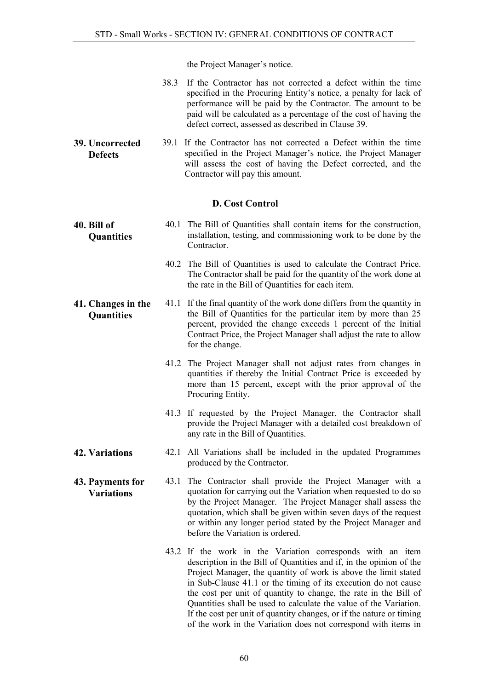the Project Manager's notice.

| 38.3 If the Contractor has not corrected a defect within the time |
|-------------------------------------------------------------------|
| specified in the Procuring Entity's notice, a penalty for lack of |
| performance will be paid by the Contractor. The amount to be      |
| paid will be calculated as a percentage of the cost of having the |
| defect correct, assessed as described in Clause 39.               |

<span id="page-59-0"></span>39. Uncorrected **Defects** 39.1 If the Contractor has not corrected a Defect within the time specified in the Project Manager's notice, the Project Manager will assess the cost of having the Defect corrected, and the Contractor will pay this amount.

### D. Cost Control

- <span id="page-59-2"></span><span id="page-59-1"></span>40. Bill of **Ouantities** 40.1 The Bill of Quantities shall contain items for the construction, installation, testing, and commissioning work to be done by the Contractor.
	- 40.2 The Bill of Quantities is used to calculate the Contract Price. The Contractor shall be paid for the quantity of the work done at the rate in the Bill of Quantities for each item.
- <span id="page-59-3"></span>41. Changes in the **Ouantities** 41.1 If the final quantity of the work done differs from the quantity in the Bill of Quantities for the particular item by more than 25 percent, provided the change exceeds 1 percent of the Initial Contract Price, the Project Manager shall adjust the rate to allow for the change.
	- 41.2 The Project Manager shall not adjust rates from changes in quantities if thereby the Initial Contract Price is exceeded by more than 15 percent, except with the prior approval of the Procuring Entity.
	- 41.3 If requested by the Project Manager, the Contractor shall provide the Project Manager with a detailed cost breakdown of any rate in the Bill of Quantities.
- <span id="page-59-4"></span>42. Variations 42.1 All Variations shall be included in the updated Programmes produced by the Contractor.
- <span id="page-59-5"></span>43. Payments for Variations 43.1 The Contractor shall provide the Project Manager with a quotation for carrying out the Variation when requested to do so by the Project Manager. The Project Manager shall assess the quotation, which shall be given within seven days of the request or within any longer period stated by the Project Manager and before the Variation is ordered.
	- 43.2 If the work in the Variation corresponds with an item description in the Bill of Quantities and if, in the opinion of the Project Manager, the quantity of work is above the limit stated in Sub-Clause 41.1 or the timing of its execution do not cause the cost per unit of quantity to change, the rate in the Bill of Quantities shall be used to calculate the value of the Variation. If the cost per unit of quantity changes, or if the nature or timing of the work in the Variation does not correspond with items in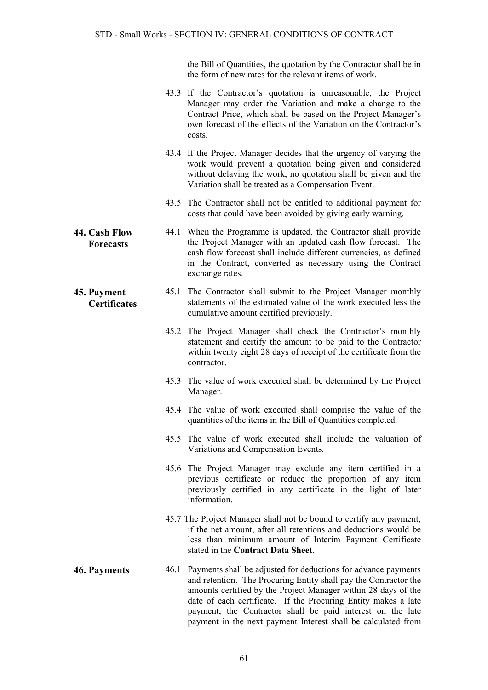the Bill of Quantities, the quotation by the Contractor shall be in the form of new rates for the relevant items of work.

- 43.3 If the Contractor's quotation is unreasonable, the Project Manager may order the Variation and make a change to the Contract Price, which shall be based on the Project Manager's own forecast of the effects of the Variation on the Contractor's costs.
- 43.4 If the Project Manager decides that the urgency of varying the work would prevent a quotation being given and considered without delaying the work, no quotation shall be given and the Variation shall be treated as a Compensation Event.
- 43.5 The Contractor shall not be entitled to additional payment for costs that could have been avoided by giving early warning.
- <span id="page-60-0"></span>44. Cash Flow **Forecasts** 44.1 When the Programme is updated, the Contractor shall provide the Project Manager with an updated cash flow forecast. The cash flow forecast shall include different currencies, as defined in the Contract, converted as necessary using the Contract exchange rates.
- <span id="page-60-1"></span>45. Payment **Certificates** 45.1 The Contractor shall submit to the Project Manager monthly statements of the estimated value of the work executed less the cumulative amount certified previously.
	- 45.2 The Project Manager shall check the Contractor's monthly statement and certify the amount to be paid to the Contractor within twenty eight 28 days of receipt of the certificate from the contractor.
	- 45.3 The value of work executed shall be determined by the Project Manager.
	- 45.4 The value of work executed shall comprise the value of the quantities of the items in the Bill of Quantities completed.
	- 45.5 The value of work executed shall include the valuation of Variations and Compensation Events.
	- 45.6 The Project Manager may exclude any item certified in a previous certificate or reduce the proportion of any item previously certified in any certificate in the light of later information.
	- 45.7 The Project Manager shall not be bound to certify any payment, if the net amount, after all retentions and deductions would be less than minimum amount of Interim Payment Certificate stated in the Contract Data Sheet.
- <span id="page-60-2"></span>46. Payments 46.1 Payments shall be adjusted for deductions for advance payments and retention. The Procuring Entity shall pay the Contractor the amounts certified by the Project Manager within 28 days of the date of each certificate. If the Procuring Entity makes a late payment, the Contractor shall be paid interest on the late payment in the next payment Interest shall be calculated from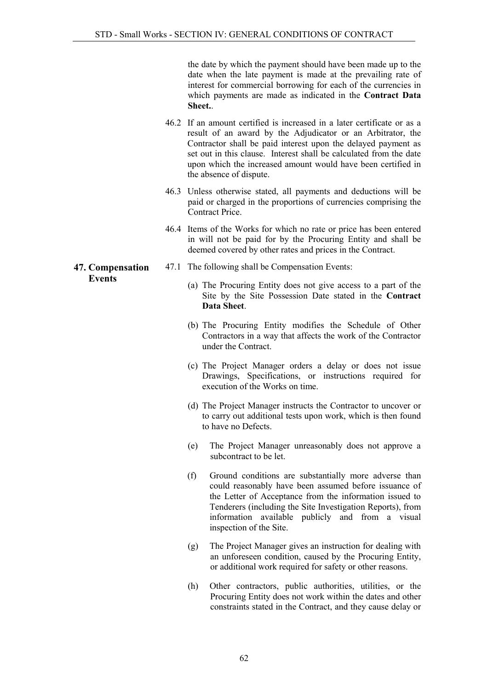the date by which the payment should have been made up to the date when the late payment is made at the prevailing rate of interest for commercial borrowing for each of the currencies in which payments are made as indicated in the Contract Data Sheet..

- 46.2 If an amount certified is increased in a later certificate or as a result of an award by the Adjudicator or an Arbitrator, the Contractor shall be paid interest upon the delayed payment as set out in this clause. Interest shall be calculated from the date upon which the increased amount would have been certified in the absence of dispute.
- 46.3 Unless otherwise stated, all payments and deductions will be paid or charged in the proportions of currencies comprising the Contract Price.
- 46.4 Items of the Works for which no rate or price has been entered in will not be paid for by the Procuring Entity and shall be deemed covered by other rates and prices in the Contract.
- 47.1 The following shall be Compensation Events:
	- (a) The Procuring Entity does not give access to a part of the Site by the Site Possession Date stated in the Contract Data Sheet.
	- (b) The Procuring Entity modifies the Schedule of Other Contractors in a way that affects the work of the Contractor under the Contract.
	- (c) The Project Manager orders a delay or does not issue Drawings, Specifications, or instructions required for execution of the Works on time.
	- (d) The Project Manager instructs the Contractor to uncover or to carry out additional tests upon work, which is then found to have no Defects.
	- (e) The Project Manager unreasonably does not approve a subcontract to be let.
	- (f) Ground conditions are substantially more adverse than could reasonably have been assumed before issuance of the Letter of Acceptance from the information issued to Tenderers (including the Site Investigation Reports), from information available publicly and from a visual inspection of the Site.
	- (g) The Project Manager gives an instruction for dealing with an unforeseen condition, caused by the Procuring Entity, or additional work required for safety or other reasons.
	- (h) Other contractors, public authorities, utilities, or the Procuring Entity does not work within the dates and other constraints stated in the Contract, and they cause delay or

### <span id="page-61-0"></span>47. Compensation Events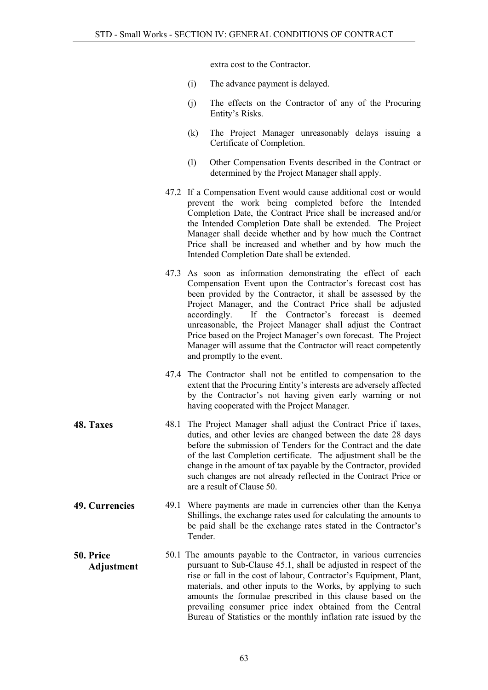extra cost to the Contractor.

- (i) The advance payment is delayed.
- (j) The effects on the Contractor of any of the Procuring Entity's Risks.
- (k) The Project Manager unreasonably delays issuing a Certificate of Completion.
- (l) Other Compensation Events described in the Contract or determined by the Project Manager shall apply.
- 47.2 If a Compensation Event would cause additional cost or would prevent the work being completed before the Intended Completion Date, the Contract Price shall be increased and/or the Intended Completion Date shall be extended. The Project Manager shall decide whether and by how much the Contract Price shall be increased and whether and by how much the Intended Completion Date shall be extended.
- 47.3 As soon as information demonstrating the effect of each Compensation Event upon the Contractor's forecast cost has been provided by the Contractor, it shall be assessed by the Project Manager, and the Contract Price shall be adjusted accordingly. If the Contractor's forecast is deemed unreasonable, the Project Manager shall adjust the Contract Price based on the Project Manager's own forecast. The Project Manager will assume that the Contractor will react competently and promptly to the event.
- 47.4 The Contractor shall not be entitled to compensation to the extent that the Procuring Entity's interests are adversely affected by the Contractor's not having given early warning or not having cooperated with the Project Manager.
- <span id="page-62-0"></span>48. Taxes 48.1 The Project Manager shall adjust the Contract Price if taxes, duties, and other levies are changed between the date 28 days before the submission of Tenders for the Contract and the date of the last Completion certificate. The adjustment shall be the change in the amount of tax payable by the Contractor, provided such changes are not already reflected in the Contract Price or are a result of Clause 50.
- <span id="page-62-1"></span>49. Currencies 49.1 Where payments are made in currencies other than the Kenya Shillings, the exchange rates used for calculating the amounts to be paid shall be the exchange rates stated in the Contractor's Tender.
- <span id="page-62-3"></span><span id="page-62-2"></span>50. Price Adjustment 50.1 The amounts payable to the Contractor, in various currencies pursuant to Sub-Clause 45.1, shall be adjusted in respect of the rise or fall in the cost of labour, Contractor's Equipment, Plant, materials, and other inputs to the Works, by applying to such amounts the formulae prescribed in this clause based on the prevailing consumer price index obtained from the Central Bureau of Statistics or the monthly inflation rate issued by the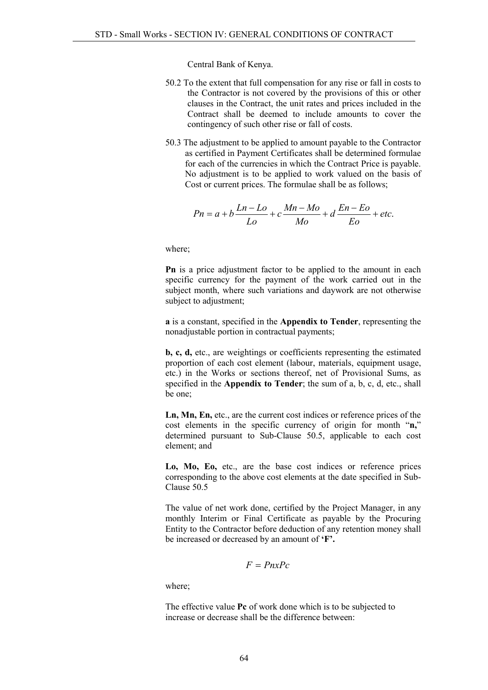Central Bank of Kenya.

- 50.2 To the extent that full compensation for any rise or fall in costs to the Contractor is not covered by the provisions of this or other clauses in the Contract, the unit rates and prices included in the Contract shall be deemed to include amounts to cover the contingency of such other rise or fall of costs.
- 50.3 The adjustment to be applied to amount payable to the Contractor as certified in Payment Certificates shall be determined formulae for each of the currencies in which the Contract Price is payable. No adjustment is to be applied to work valued on the basis of Cost or current prices. The formulae shall be as follows;

$$
Pn = a + b\frac{Ln - Lo}{Lo} + c\frac{Mn - Mo}{Mo} + d\frac{En - Eo}{Eo} + etc.
$$

where;

Pn is a price adjustment factor to be applied to the amount in each specific currency for the payment of the work carried out in the subject month, where such variations and daywork are not otherwise subject to adjustment;

a is a constant, specified in the Appendix to Tender, representing the nonadjustable portion in contractual payments;

b, c, d, etc., are weightings or coefficients representing the estimated proportion of each cost element (labour, materials, equipment usage, etc.) in the Works or sections thereof, net of Provisional Sums, as specified in the Appendix to Tender; the sum of a, b, c, d, etc., shall be one;

Ln, Mn, En, etc., are the current cost indices or reference prices of the cost elements in the specific currency of origin for month "n," determined pursuant to Sub-Clause 50.5, applicable to each cost element; and

Lo, Mo, Eo, etc., are the base cost indices or reference prices corresponding to the above cost elements at the date specified in Sub-Clause 50.5

The value of net work done, certified by the Project Manager, in any monthly Interim or Final Certificate as payable by the Procuring Entity to the Contractor before deduction of any retention money shall be increased or decreased by an amount of 'F'.

$$
F = PnxPc
$$

where;

The effective value Pc of work done which is to be subjected to increase or decrease shall be the difference between: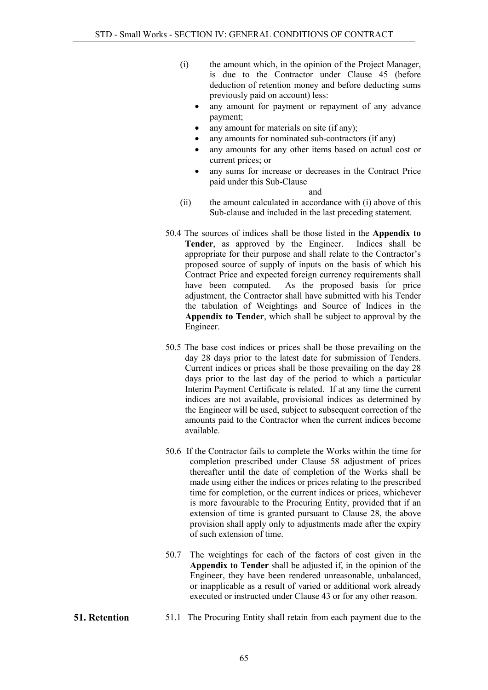- (i) the amount which, in the opinion of the Project Manager, is due to the Contractor under Clause 45 (before deduction of retention money and before deducting sums previously paid on account) less:
	- any amount for payment or repayment of any advance payment;
	- any amount for materials on site (if any);
	- any amounts for nominated sub-contractors (if any)
	- any amounts for any other items based on actual cost or current prices; or
	- any sums for increase or decreases in the Contract Price paid under this Sub-Clause

and

- (ii) the amount calculated in accordance with (i) above of this Sub-clause and included in the last preceding statement.
- 50.4 The sources of indices shall be those listed in the Appendix to Tender, as approved by the Engineer. Indices shall be appropriate for their purpose and shall relate to the Contractor's proposed source of supply of inputs on the basis of which his Contract Price and expected foreign currency requirements shall have been computed. As the proposed basis for price adjustment, the Contractor shall have submitted with his Tender the tabulation of Weightings and Source of Indices in the Appendix to Tender, which shall be subject to approval by the Engineer.
- 50.5 The base cost indices or prices shall be those prevailing on the day 28 days prior to the latest date for submission of Tenders. Current indices or prices shall be those prevailing on the day 28 days prior to the last day of the period to which a particular Interim Payment Certificate is related. If at any time the current indices are not available, provisional indices as determined by the Engineer will be used, subject to subsequent correction of the amounts paid to the Contractor when the current indices become available.
- 50.6 If the Contractor fails to complete the Works within the time for completion prescribed under Clause 58 adjustment of prices thereafter until the date of completion of the Works shall be made using either the indices or prices relating to the prescribed time for completion, or the current indices or prices, whichever is more favourable to the Procuring Entity, provided that if an extension of time is granted pursuant to Clause 28, the above provision shall apply only to adjustments made after the expiry of such extension of time.
- 50.7 The weightings for each of the factors of cost given in the Appendix to Tender shall be adjusted if, in the opinion of the Engineer, they have been rendered unreasonable, unbalanced, or inapplicable as a result of varied or additional work already executed or instructed under Clause 43 or for any other reason.
- <span id="page-64-0"></span>51. Retention 51.1 The Procuring Entity shall retain from each payment due to the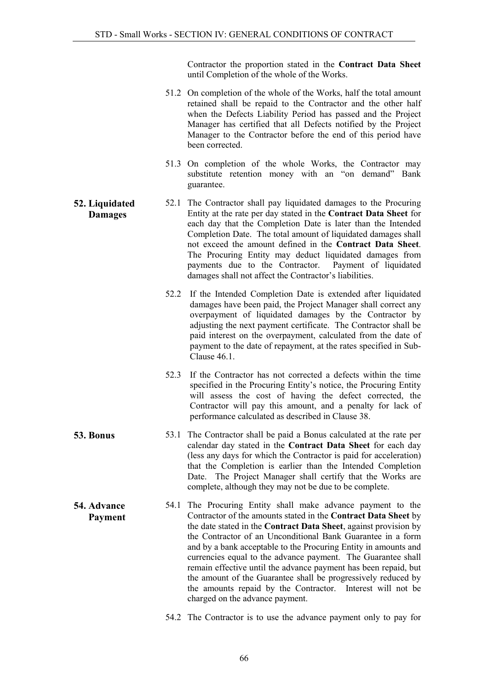Contractor the proportion stated in the Contract Data Sheet until Completion of the whole of the Works.

- 51.2 On completion of the whole of the Works, half the total amount retained shall be repaid to the Contractor and the other half when the Defects Liability Period has passed and the Project Manager has certified that all Defects notified by the Project Manager to the Contractor before the end of this period have been corrected.
- 51.3 On completion of the whole Works, the Contractor may substitute retention money with an "on demand" Bank guarantee.
- <span id="page-65-0"></span>52. Liquidated Damages 52.1 The Contractor shall pay liquidated damages to the Procuring Entity at the rate per day stated in the Contract Data Sheet for each day that the Completion Date is later than the Intended Completion Date. The total amount of liquidated damages shall not exceed the amount defined in the Contract Data Sheet. The Procuring Entity may deduct liquidated damages from payments due to the Contractor. Payment of liquidated damages shall not affect the Contractor's liabilities.
	- 52.2 If the Intended Completion Date is extended after liquidated damages have been paid, the Project Manager shall correct any overpayment of liquidated damages by the Contractor by adjusting the next payment certificate. The Contractor shall be paid interest on the overpayment, calculated from the date of payment to the date of repayment, at the rates specified in Sub-Clause 46.1
	- 52.3 If the Contractor has not corrected a defects within the time specified in the Procuring Entity's notice, the Procuring Entity will assess the cost of having the defect corrected, the Contractor will pay this amount, and a penalty for lack of performance calculated as described in Clause 38.
- <span id="page-65-1"></span>53. Bonus 53.1 The Contractor shall be paid a Bonus calculated at the rate per calendar day stated in the Contract Data Sheet for each day (less any days for which the Contractor is paid for acceleration) that the Completion is earlier than the Intended Completion Date. The Project Manager shall certify that the Works are complete, although they may not be due to be complete.
	- 54.1 The Procuring Entity shall make advance payment to the Contractor of the amounts stated in the Contract Data Sheet by the date stated in the Contract Data Sheet, against provision by the Contractor of an Unconditional Bank Guarantee in a form and by a bank acceptable to the Procuring Entity in amounts and currencies equal to the advance payment. The Guarantee shall remain effective until the advance payment has been repaid, but the amount of the Guarantee shall be progressively reduced by the amounts repaid by the Contractor. Interest will not be charged on the advance payment.
		- 54.2 The Contractor is to use the advance payment only to pay for

<span id="page-65-2"></span>54. Advance Payment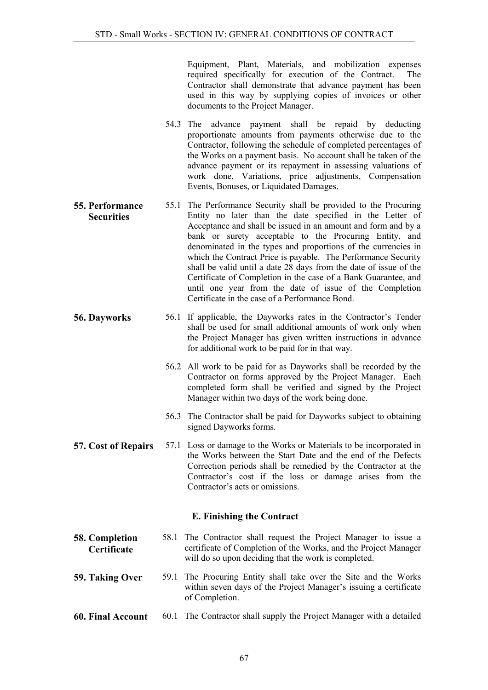Equipment, Plant, Materials, and mobilization expenses required specifically for execution of the Contract. The Contractor shall demonstrate that advance payment has been used in this way by supplying copies of invoices or other documents to the Project Manager.

- 54.3 The advance payment shall be repaid by deducting proportionate amounts from payments otherwise due to the Contractor, following the schedule of completed percentages of the Works on a payment basis. No account shall be taken of the advance payment or its repayment in assessing valuations of work done, Variations, price adjustments, Compensation Events, Bonuses, or Liquidated Damages.
- <span id="page-66-0"></span>55. Performance **Securities** 55.1 The Performance Security shall be provided to the Procuring Entity no later than the date specified in the Letter of Acceptance and shall be issued in an amount and form and by a bank or surety acceptable to the Procuring Entity, and denominated in the types and proportions of the currencies in which the Contract Price is payable. The Performance Security shall be valid until a date 28 days from the date of issue of the Certificate of Completion in the case of a Bank Guarantee, and until one year from the date of issue of the Completion Certificate in the case of a Performance Bond.
- <span id="page-66-1"></span>56. Dayworks 56.1 If applicable, the Dayworks rates in the Contractor's Tender shall be used for small additional amounts of work only when the Project Manager has given written instructions in advance for additional work to be paid for in that way.
	- 56.2 All work to be paid for as Dayworks shall be recorded by the Contractor on forms approved by the Project Manager. Each completed form shall be verified and signed by the Project Manager within two days of the work being done.
	- 56.3 The Contractor shall be paid for Dayworks subject to obtaining signed Dayworks forms.
- <span id="page-66-2"></span>57. Cost of Repairs 57.1 Loss or damage to the Works or Materials to be incorporated in the Works between the Start Date and the end of the Defects Correction periods shall be remedied by the Contractor at the Contractor's cost if the loss or damage arises from the Contractor's acts or omissions.

## E. Finishing the Contract

- <span id="page-66-4"></span><span id="page-66-3"></span>58. Completion **Certificate** 58.1 The Contractor shall request the Project Manager to issue a certificate of Completion of the Works, and the Project Manager will do so upon deciding that the work is completed.
- <span id="page-66-5"></span>59. Taking Over 59.1 The Procuring Entity shall take over the Site and the Works within seven days of the Project Manager's issuing a certificate of Completion.
- <span id="page-66-6"></span>60. Final Account 60.1 The Contractor shall supply the Project Manager with a detailed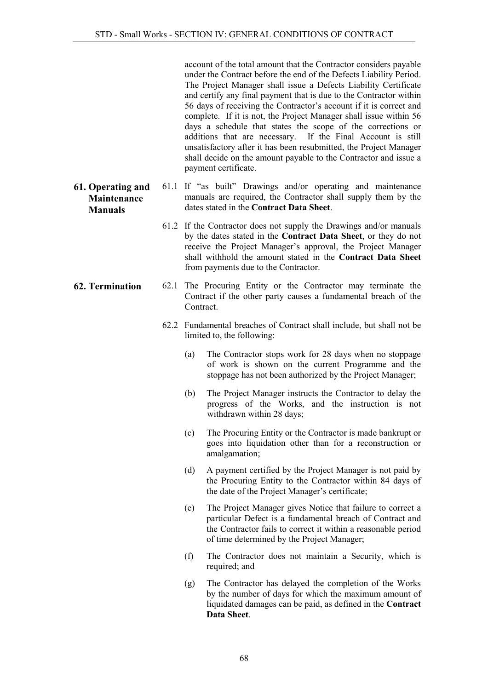account of the total amount that the Contractor considers payable under the Contract before the end of the Defects Liability Period. The Project Manager shall issue a Defects Liability Certificate and certify any final payment that is due to the Contractor within 56 days of receiving the Contractor's account if it is correct and complete. If it is not, the Project Manager shall issue within 56 days a schedule that states the scope of the corrections or additions that are necessary. If the Final Account is still unsatisfactory after it has been resubmitted, the Project Manager shall decide on the amount payable to the Contractor and issue a payment certificate.

- Maintenance Manuals 61.1 If "as built" Drawings and/or operating and maintenance manuals are required, the Contractor shall supply them by the dates stated in the Contract Data Sheet.
	- 61.2 If the Contractor does not supply the Drawings and/or manuals by the dates stated in the Contract Data Sheet, or they do not receive the Project Manager's approval, the Project Manager shall withhold the amount stated in the Contract Data Sheet from payments due to the Contractor.
- <span id="page-67-1"></span>62. Termination 62.1 The Procuring Entity or the Contractor may terminate the Contract if the other party causes a fundamental breach of the **Contract.** 
	- 62.2 Fundamental breaches of Contract shall include, but shall not be limited to, the following:
		- (a) The Contractor stops work for 28 days when no stoppage of work is shown on the current Programme and the stoppage has not been authorized by the Project Manager;
		- (b) The Project Manager instructs the Contractor to delay the progress of the Works, and the instruction is not withdrawn within 28 days;
		- (c) The Procuring Entity or the Contractor is made bankrupt or goes into liquidation other than for a reconstruction or amalgamation;
		- (d) A payment certified by the Project Manager is not paid by the Procuring Entity to the Contractor within 84 days of the date of the Project Manager's certificate;
		- (e) The Project Manager gives Notice that failure to correct a particular Defect is a fundamental breach of Contract and the Contractor fails to correct it within a reasonable period of time determined by the Project Manager;
		- (f) The Contractor does not maintain a Security, which is required; and
		- (g) The Contractor has delayed the completion of the Works by the number of days for which the maximum amount of liquidated damages can be paid, as defined in the Contract Data Sheet.

<span id="page-67-0"></span>61. Operating and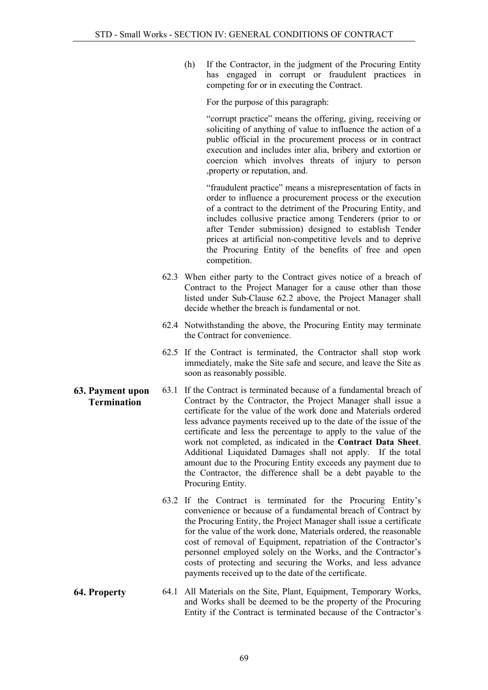(h) If the Contractor, in the judgment of the Procuring Entity has engaged in corrupt or fraudulent practices in competing for or in executing the Contract.

For the purpose of this paragraph:

"corrupt practice" means the offering, giving, receiving or soliciting of anything of value to influence the action of a public official in the procurement process or in contract execution and includes inter alia, bribery and extortion or coercion which involves threats of injury to person ,property or reputation, and.

"fraudulent practice" means a misrepresentation of facts in order to influence a procurement process or the execution of a contract to the detriment of the Procuring Entity, and includes collusive practice among Tenderers (prior to or after Tender submission) designed to establish Tender prices at artificial non-competitive levels and to deprive the Procuring Entity of the benefits of free and open competition.

- 62.3 When either party to the Contract gives notice of a breach of Contract to the Project Manager for a cause other than those listed under Sub-Clause 62.2 above, the Project Manager shall decide whether the breach is fundamental or not.
- 62.4 Notwithstanding the above, the Procuring Entity may terminate the Contract for convenience.
- 62.5 If the Contract is terminated, the Contractor shall stop work immediately, make the Site safe and secure, and leave the Site as soon as reasonably possible.
- <span id="page-68-0"></span>63. Payment upon **Termination** 63.1 If the Contract is terminated because of a fundamental breach of Contract by the Contractor, the Project Manager shall issue a certificate for the value of the work done and Materials ordered less advance payments received up to the date of the issue of the certificate and less the percentage to apply to the value of the work not completed, as indicated in the Contract Data Sheet. Additional Liquidated Damages shall not apply. If the total amount due to the Procuring Entity exceeds any payment due to the Contractor, the difference shall be a debt payable to the Procuring Entity.
	- 63.2 If the Contract is terminated for the Procuring Entity's convenience or because of a fundamental breach of Contract by the Procuring Entity, the Project Manager shall issue a certificate for the value of the work done, Materials ordered, the reasonable cost of removal of Equipment, repatriation of the Contractor's personnel employed solely on the Works, and the Contractor's costs of protecting and securing the Works, and less advance payments received up to the date of the certificate.
- <span id="page-68-1"></span>64. Property 64.1 All Materials on the Site, Plant, Equipment, Temporary Works, and Works shall be deemed to be the property of the Procuring Entity if the Contract is terminated because of the Contractor's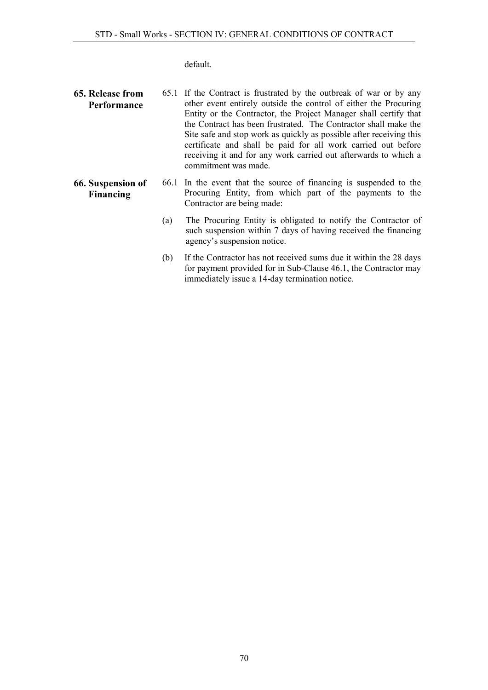default.

- <span id="page-69-0"></span>65. Release from Performance 65.1 If the Contract is frustrated by the outbreak of war or by any other event entirely outside the control of either the Procuring Entity or the Contractor, the Project Manager shall certify that the Contract has been frustrated. The Contractor shall make the Site safe and stop work as quickly as possible after receiving this certificate and shall be paid for all work carried out before receiving it and for any work carried out afterwards to which a commitment was made.
- <span id="page-69-1"></span>66. Suspension of Financing 66.1 In the event that the source of financing is suspended to the Procuring Entity, from which part of the payments to the Contractor are being made:
	- (a) The Procuring Entity is obligated to notify the Contractor of such suspension within 7 days of having received the financing agency's suspension notice.
	- (b) If the Contractor has not received sums due it within the 28 days for payment provided for in Sub-Clause 46.1, the Contractor may immediately issue a 14-day termination notice.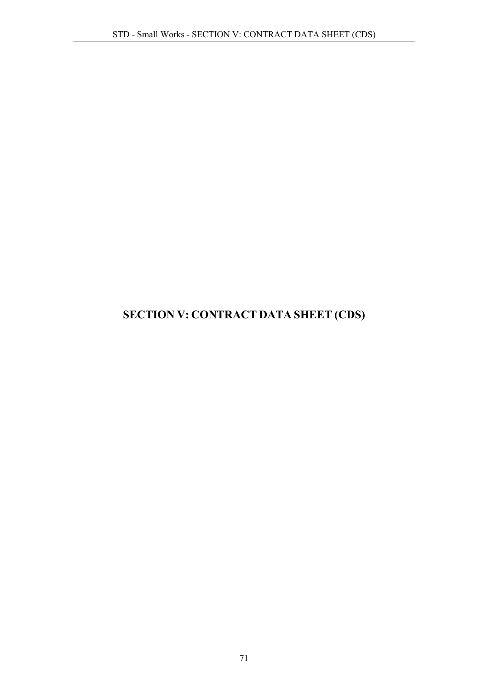# SECTION V: CONTRACT DATA SHEET (CDS)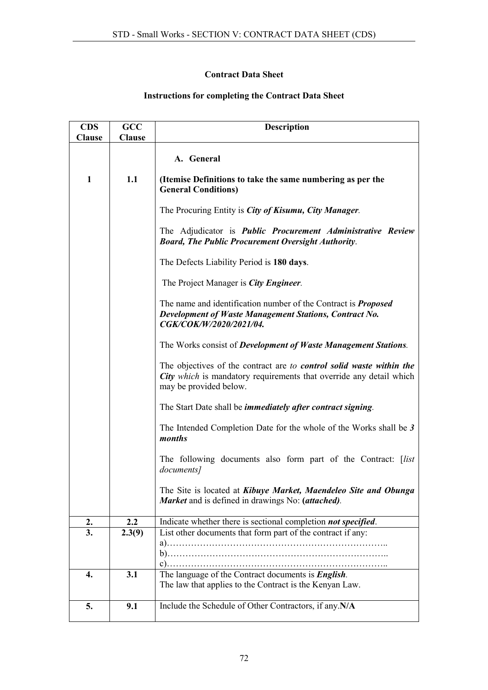## Contract Data Sheet

# Instructions for completing the Contract Data Sheet

| <b>CDS</b>    | GCC           | <b>Description</b>                                                                                                                                                           |
|---------------|---------------|------------------------------------------------------------------------------------------------------------------------------------------------------------------------------|
| <b>Clause</b> | <b>Clause</b> |                                                                                                                                                                              |
|               |               | A. General                                                                                                                                                                   |
| 1             | 1.1           | (Itemise Definitions to take the same numbering as per the<br><b>General Conditions)</b>                                                                                     |
|               |               | The Procuring Entity is <i>City of Kisumu</i> , <i>City Manager</i> .                                                                                                        |
|               |               | The Adjudicator is <i>Public Procurement Administrative Review</i><br><b>Board, The Public Procurement Oversight Authority.</b>                                              |
|               |               | The Defects Liability Period is 180 days.                                                                                                                                    |
|               |               | The Project Manager is <i>City Engineer</i> .                                                                                                                                |
|               |               | The name and identification number of the Contract is <b>Proposed</b><br>Development of Waste Management Stations, Contract No.<br>CGK/COK/W/2020/2021/04.                   |
|               |               | The Works consist of <i>Development of Waste Management Stations</i> .                                                                                                       |
|               |               | The objectives of the contract are to control solid waste within the<br><b>City</b> which is mandatory requirements that override any detail which<br>may be provided below. |
|               |               | The Start Date shall be <i>immediately after contract signing</i> .                                                                                                          |
|               |               | The Intended Completion Date for the whole of the Works shall be 3<br>months                                                                                                 |
|               |               | The following documents also form part of the Contract: [list<br>documents]                                                                                                  |
|               |               | The Site is located at Kibuye Market, Maendeleo Site and Obunga<br>Market and is defined in drawings No: (attached).                                                         |
| 2.            | 2.2           | Indicate whether there is sectional completion <i>not specified</i> .                                                                                                        |
| 3.            | 2.3(9)        | List other documents that form part of the contract if any:                                                                                                                  |
|               |               |                                                                                                                                                                              |
|               |               | $c)$ .                                                                                                                                                                       |
| 4.            | 3.1           | The language of the Contract documents is <i>English</i> .                                                                                                                   |
|               |               | The law that applies to the Contract is the Kenyan Law.                                                                                                                      |
| 5.            | 9.1           | Include the Schedule of Other Contractors, if any.N/A                                                                                                                        |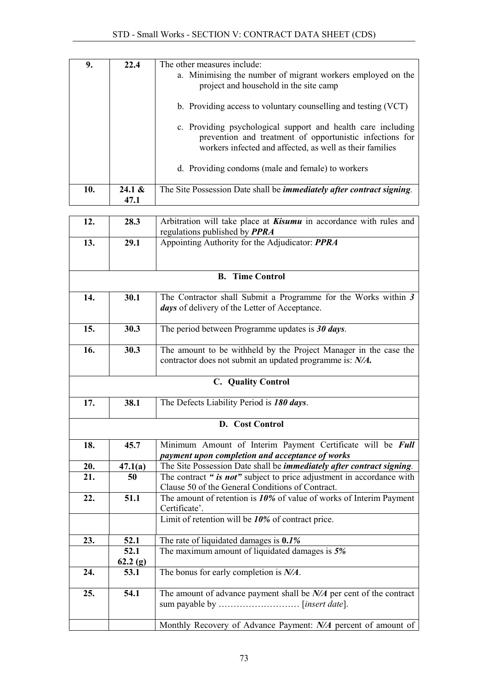| 9.  | 22.4      | The other measures include:<br>a. Minimising the number of migrant workers employed on the<br>project and household in the site camp                                                 |  |  |  |
|-----|-----------|--------------------------------------------------------------------------------------------------------------------------------------------------------------------------------------|--|--|--|
|     |           | b. Providing access to voluntary counselling and testing (VCT)                                                                                                                       |  |  |  |
|     |           | c. Providing psychological support and health care including<br>prevention and treatment of opportunistic infections for<br>workers infected and affected, as well as their families |  |  |  |
|     |           | d. Providing condoms (male and female) to workers                                                                                                                                    |  |  |  |
| 10. | 24.1 $\&$ | The Site Possession Date shall be <i>immediately after contract signing</i> .                                                                                                        |  |  |  |
|     | 47.1      |                                                                                                                                                                                      |  |  |  |

| 12. | 28.3                                              | Arbitration will take place at <b>Kisumu</b> in accordance with rules and<br>regulations published by <b>PPRA</b> |  |  |  |  |  |
|-----|---------------------------------------------------|-------------------------------------------------------------------------------------------------------------------|--|--|--|--|--|
|     |                                                   |                                                                                                                   |  |  |  |  |  |
| 13. | 29.1                                              | Appointing Authority for the Adjudicator: PPRA                                                                    |  |  |  |  |  |
|     |                                                   |                                                                                                                   |  |  |  |  |  |
|     |                                                   |                                                                                                                   |  |  |  |  |  |
|     |                                                   | <b>B.</b> Time Control                                                                                            |  |  |  |  |  |
|     |                                                   |                                                                                                                   |  |  |  |  |  |
| 14. | 30.1                                              | The Contractor shall Submit a Programme for the Works within 3                                                    |  |  |  |  |  |
|     | days of delivery of the Letter of Acceptance.     |                                                                                                                   |  |  |  |  |  |
|     |                                                   |                                                                                                                   |  |  |  |  |  |
| 15. | 30.3                                              | The period between Programme updates is $30 \, days$ .                                                            |  |  |  |  |  |
|     |                                                   |                                                                                                                   |  |  |  |  |  |
| 16. | 30.3                                              | The amount to be withheld by the Project Manager in the case the                                                  |  |  |  |  |  |
|     |                                                   |                                                                                                                   |  |  |  |  |  |
|     |                                                   | contractor does not submit an updated programme is: N/A.                                                          |  |  |  |  |  |
|     |                                                   |                                                                                                                   |  |  |  |  |  |
|     |                                                   | C. Quality Control                                                                                                |  |  |  |  |  |
|     |                                                   |                                                                                                                   |  |  |  |  |  |
| 17. | 38.1<br>The Defects Liability Period is 180 days. |                                                                                                                   |  |  |  |  |  |
|     |                                                   |                                                                                                                   |  |  |  |  |  |
|     |                                                   | D. Cost Control                                                                                                   |  |  |  |  |  |
|     |                                                   |                                                                                                                   |  |  |  |  |  |
| 18. | 45.7                                              | Minimum Amount of Interim Payment Certificate will be Full                                                        |  |  |  |  |  |
|     |                                                   | payment upon completion and acceptance of works                                                                   |  |  |  |  |  |
| 20. | 47.1(a)                                           | The Site Possession Date shall be <i>immediately after contract signing</i> .                                     |  |  |  |  |  |
| 21. | 50                                                | The contract " is not" subject to price adjustment in accordance with                                             |  |  |  |  |  |
|     |                                                   | Clause 50 of the General Conditions of Contract.                                                                  |  |  |  |  |  |
| 22. | 51.1                                              | The amount of retention is $10\%$ of value of works of Interim Payment                                            |  |  |  |  |  |
|     |                                                   |                                                                                                                   |  |  |  |  |  |
|     |                                                   | Certificate'.                                                                                                     |  |  |  |  |  |
|     |                                                   | Limit of retention will be 10% of contract price.                                                                 |  |  |  |  |  |
| 23. | 52.1                                              | The rate of liquidated damages is 0.1%                                                                            |  |  |  |  |  |
|     | 52.1                                              | The maximum amount of liquidated damages is 5%                                                                    |  |  |  |  |  |
|     |                                                   |                                                                                                                   |  |  |  |  |  |
|     | 62.2(g)                                           |                                                                                                                   |  |  |  |  |  |
| 24. | 53.1                                              | The bonus for early completion is $N/A$ .                                                                         |  |  |  |  |  |
|     |                                                   |                                                                                                                   |  |  |  |  |  |
| 25. | 54.1                                              | The amount of advance payment shall be $N/A$ per cent of the contract                                             |  |  |  |  |  |
|     |                                                   |                                                                                                                   |  |  |  |  |  |
|     |                                                   |                                                                                                                   |  |  |  |  |  |
|     |                                                   | Monthly Recovery of Advance Payment: N/A percent of amount of                                                     |  |  |  |  |  |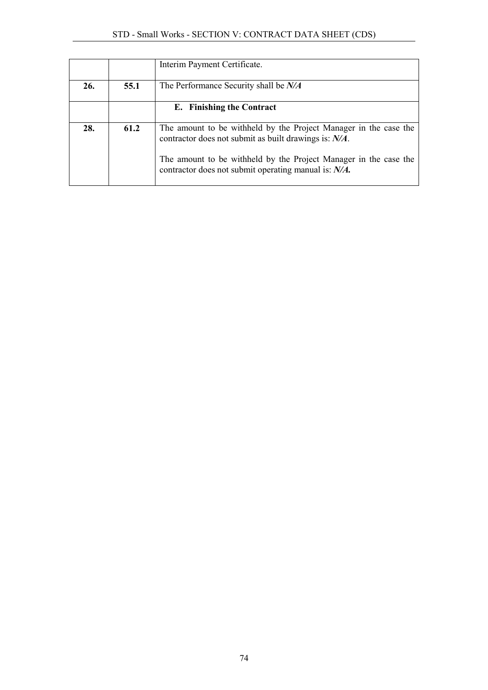|     |      | Interim Payment Certificate.                                                                                              |
|-----|------|---------------------------------------------------------------------------------------------------------------------------|
| 26. | 55.1 | The Performance Security shall be N/A                                                                                     |
|     |      | E. Finishing the Contract                                                                                                 |
| 28. | 61.2 | The amount to be withheld by the Project Manager in the case the<br>contractor does not submit as built drawings is: N/A. |
|     |      | The amount to be withheld by the Project Manager in the case the<br>contractor does not submit operating manual is: N/A.  |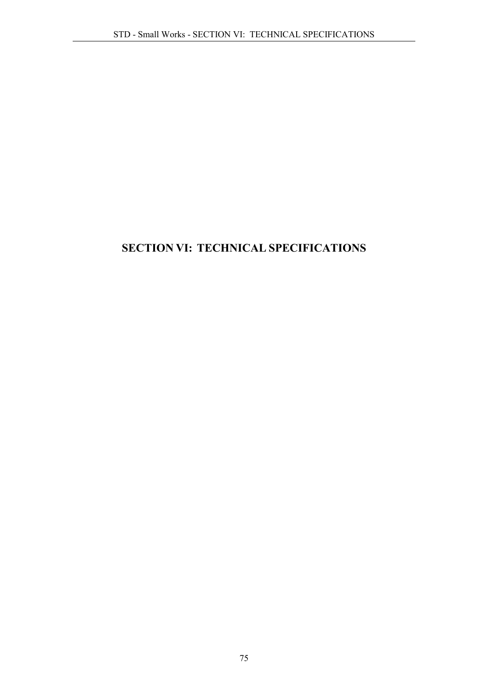## SECTION VI: TECHNICAL SPECIFICATIONS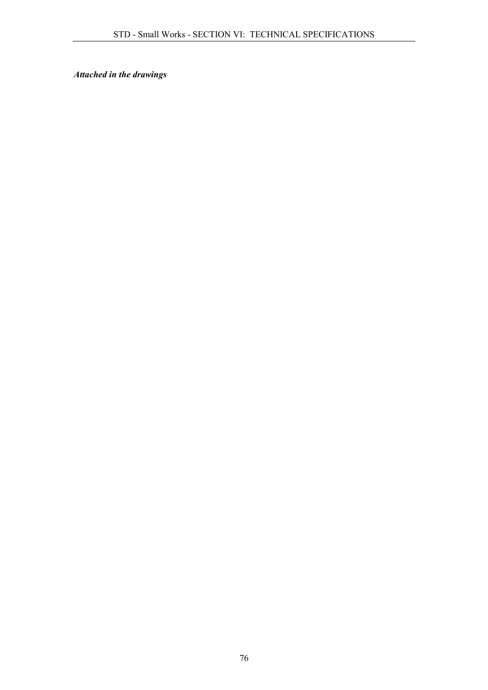*Attached in the drawings*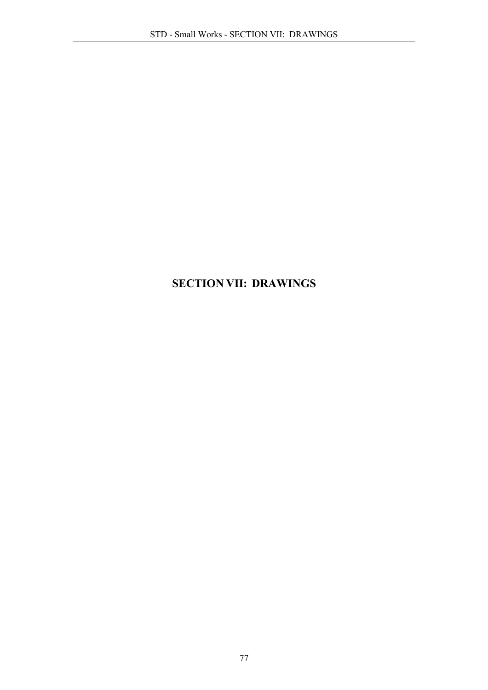# SECTION VII: DRAWINGS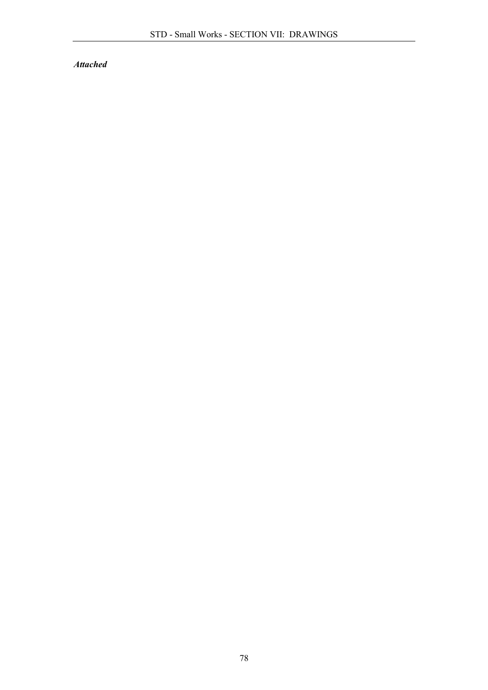*Attached*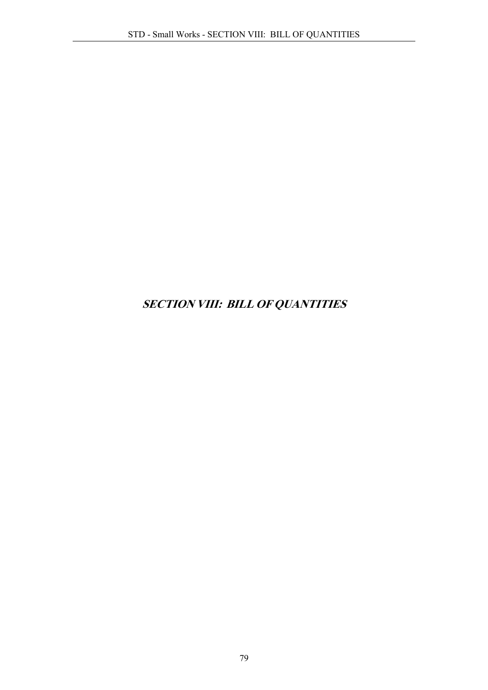# SECTION VIII: BILL OF QUANTITIES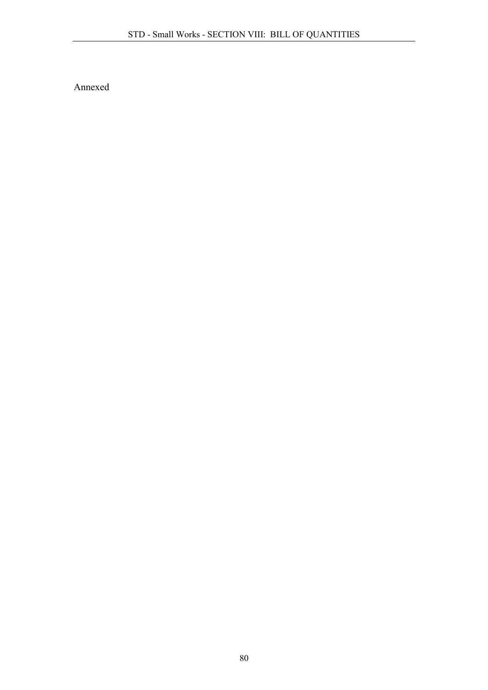Annexed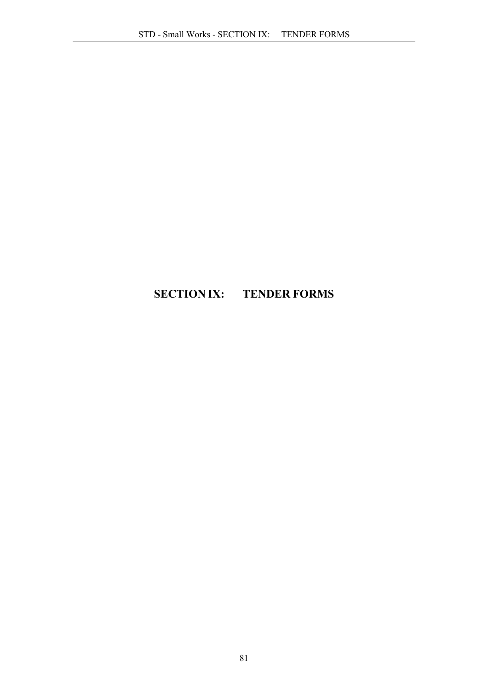# SECTION IX: TENDER FORMS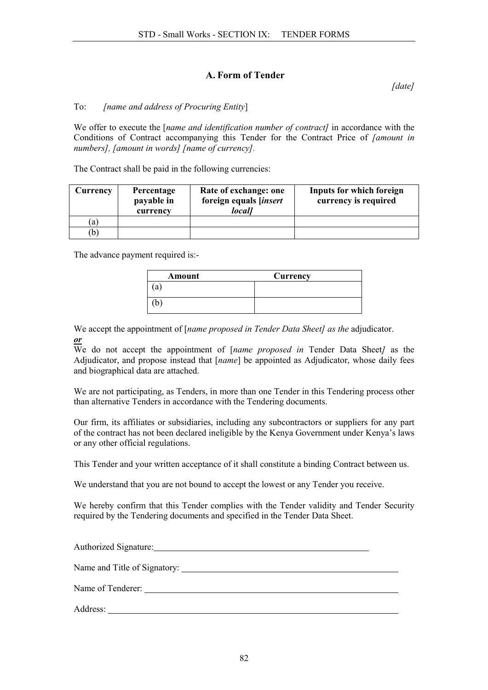## A. Form of Tender

*[date]*

#### To: *[name and address of Procuring Entity*]

We offer to execute the [*name and identification number of contract]* in accordance with the Conditions of Contract accompanying this Tender for the Contract Price of *[amount in numbers], [amount in words] [name of currency].*

The Contract shall be paid in the following currencies:

| <b>Currency</b> | Percentage<br>payable in<br>currency | Rate of exchange: one<br>foreign equals [insert<br>local] | Inputs for which foreign<br>currency is required |
|-----------------|--------------------------------------|-----------------------------------------------------------|--------------------------------------------------|
| 'a)             |                                      |                                                           |                                                  |
|                 |                                      |                                                           |                                                  |

The advance payment required is:-

| Amount | Currency |
|--------|----------|
| a'     |          |
| b,     |          |

We accept the appointment of [*name proposed in Tender Data Sheet] as the* adjudicator. *or*

We do not accept the appointment of [*name proposed in* Tender Data Sheet*]* as the Adjudicator, and propose instead that [*name*] be appointed as Adjudicator, whose daily fees and biographical data are attached.

We are not participating, as Tenders, in more than one Tender in this Tendering process other than alternative Tenders in accordance with the Tendering documents.

Our firm, its affiliates or subsidiaries, including any subcontractors or suppliers for any part of the contract has not been declared ineligible by the Kenya Government under Kenya's laws or any other official regulations.

This Tender and your written acceptance of it shall constitute a binding Contract between us.

We understand that you are not bound to accept the lowest or any Tender you receive.

We hereby confirm that this Tender complies with the Tender validity and Tender Security required by the Tendering documents and specified in the Tender Data Sheet.

Authorized Signature: Name and Title of Signatory: \_\_\_\_\_\_\_ Name of Tenderer: Address: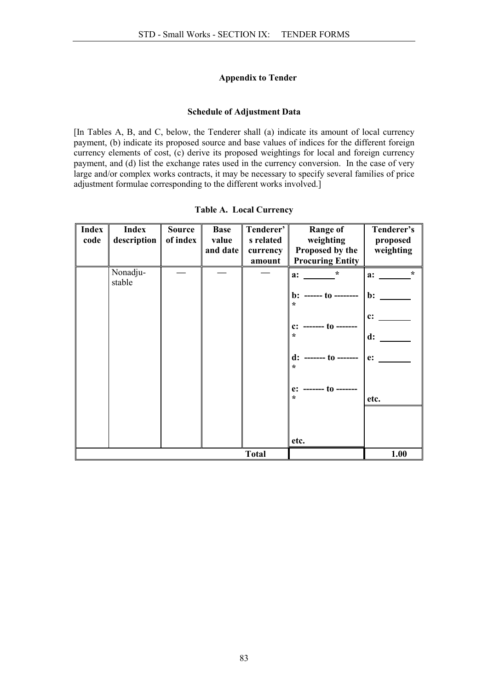#### Appendix to Tender

#### Schedule of Adjustment Data

[In Tables A, B, and C, below, the Tenderer shall (a) indicate its amount of local currency payment, (b) indicate its proposed source and base values of indices for the different foreign currency elements of cost, (c) derive its proposed weightings for local and foreign currency payment, and (d) list the exchange rates used in the currency conversion. In the case of very large and/or complex works contracts, it may be necessary to specify several families of price adjustment formulae corresponding to the different works involved.]

| <b>Index</b><br>code | Index<br>description | <b>Source</b><br>of index | <b>Base</b><br>value<br>and date | Tenderer'<br>s related<br>currency | Range of<br>weighting<br>Proposed by the | Tenderer's<br>proposed<br>weighting |
|----------------------|----------------------|---------------------------|----------------------------------|------------------------------------|------------------------------------------|-------------------------------------|
|                      |                      |                           |                                  | amount                             | <b>Procuring Entity</b>                  |                                     |
|                      | Nonadju-<br>stable   |                           |                                  |                                    | $\ast$<br>a:                             | $\star$<br>a:                       |
|                      |                      |                           |                                  |                                    | $b:$ ------ to --------<br>÷             | $\mathbf{b}$ :                      |
|                      |                      |                           |                                  |                                    | $c:$ ------- to --                       | c:                                  |
|                      |                      |                           |                                  |                                    | $\star$                                  | d:                                  |
|                      |                      |                           |                                  |                                    | $d:$ ------- to -------<br>÷             | e:                                  |
|                      |                      |                           |                                  |                                    | $e:$ ------- to -------<br>$\star$       | etc.                                |
|                      |                      |                           |                                  |                                    |                                          |                                     |
|                      |                      |                           |                                  |                                    |                                          |                                     |
|                      |                      |                           |                                  |                                    | etc.                                     |                                     |
|                      | 1.00                 |                           |                                  |                                    |                                          |                                     |

|  |  | <b>Table A. Local Currency</b> |
|--|--|--------------------------------|
|--|--|--------------------------------|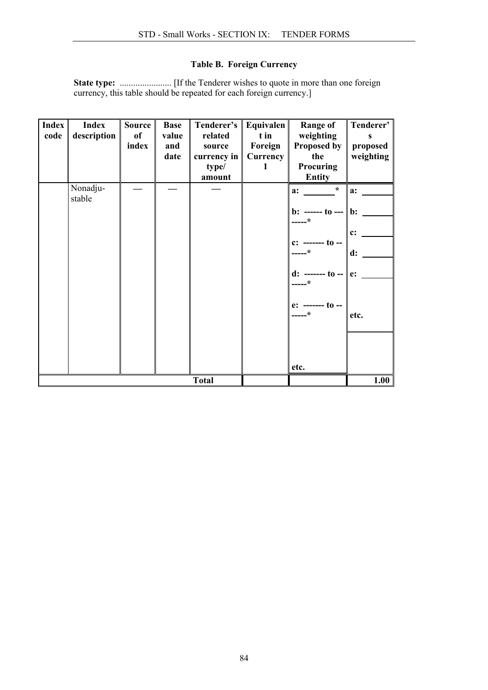## Table B. Foreign Currency

State type: ....................... [If the Tenderer wishes to quote in more than one foreign currency, this table should be repeated for each foreign currency.]

| <b>Index</b><br>code | <b>Index</b><br>description | <b>Source</b><br>of<br>index | <b>Base</b><br>value<br>and<br>date | Tenderer's   Equivalen   <br>related<br>source<br>currency in $\ $<br>type/<br>amount | t in<br>Foreign<br>Currency<br>1 | <b>Range of</b><br>weighting<br>Proposed by<br>the<br>Procuring<br><b>Entity</b>                                                                                            | Tenderer'<br>proposed<br>weighting    |
|----------------------|-----------------------------|------------------------------|-------------------------------------|---------------------------------------------------------------------------------------|----------------------------------|-----------------------------------------------------------------------------------------------------------------------------------------------------------------------------|---------------------------------------|
|                      | Nonadju-<br>stable          |                              |                                     |                                                                                       |                                  | $\star$<br>a:<br><b>b</b> : ------ to ---    <b>b</b> :<br>$---*$<br>c: ------- to --<br>$---*$<br>d: ------- to --    e:<br>$---*$<br>$e:$ ------- to --<br>-----*<br>etc. | a:<br>$c$ :<br>$\mathbf{d}$ :<br>etc. |
| <b>Total</b>         |                             |                              |                                     |                                                                                       |                                  |                                                                                                                                                                             | 1.00                                  |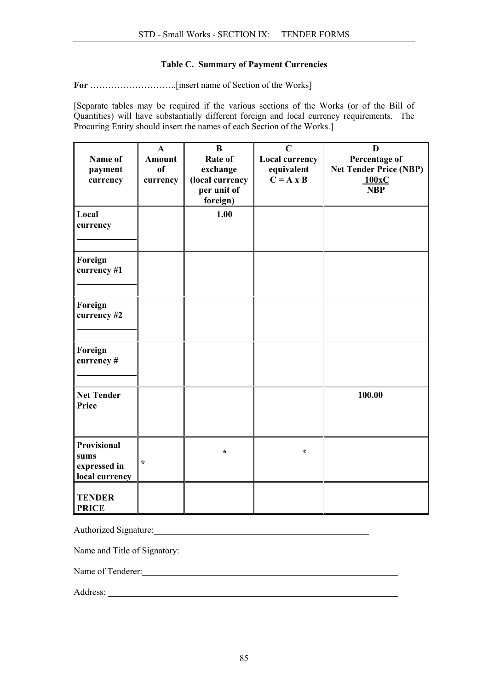#### Table C. Summary of Payment Currencies

For ………………………..[insert name of Section of the Works]

[Separate tables may be required if the various sections of the Works (or of the Bill of Quantities) will have substantially different foreign and local currency requirements. The Procuring Entity should insert the names of each Section of the Works.]

| Name of<br>payment<br>currency                               | $\mathbf{A}$<br><b>Amount</b><br>of<br>currency | $\bf{B}$<br>Rate of<br>exchange<br>(local currency<br>per unit of<br>foreign) | $\mathbf C$<br>Local currency<br>equivalent<br>$\overline{C} = A \times B$ | D<br>Percentage of<br><b>Net Tender Price (NBP)</b><br>100xC<br><b>NBP</b> |
|--------------------------------------------------------------|-------------------------------------------------|-------------------------------------------------------------------------------|----------------------------------------------------------------------------|----------------------------------------------------------------------------|
| Local<br>currency                                            |                                                 | 1.00                                                                          |                                                                            |                                                                            |
| Foreign<br>currency #1                                       |                                                 |                                                                               |                                                                            |                                                                            |
| Foreign<br>currency #2                                       |                                                 |                                                                               |                                                                            |                                                                            |
| Foreign<br>currency#                                         |                                                 |                                                                               |                                                                            |                                                                            |
| <b>Net Tender</b><br>Price                                   |                                                 |                                                                               |                                                                            | 100.00                                                                     |
| <b>Provisional</b><br>sums<br>expressed in<br>local currency | $\star$                                         | $\star$                                                                       | *                                                                          |                                                                            |
| <b>TENDER</b><br><b>PRICE</b>                                |                                                 |                                                                               |                                                                            |                                                                            |

Authorized Signature: 1986 and 2008 and 2008 and 2008 and 2008 and 2008 and 2008 and 2008 and 2008 and 2008 and 2008 and 2008 and 2008 and 2008 and 2008 and 2008 and 2008 and 2008 and 2008 and 2008 and 2008 and 2008 and 20

Name and Title of Signatory: 2002. The Summary of School and Title of Signatory:

Name of Tenderer: Name of Tenderer:

Address: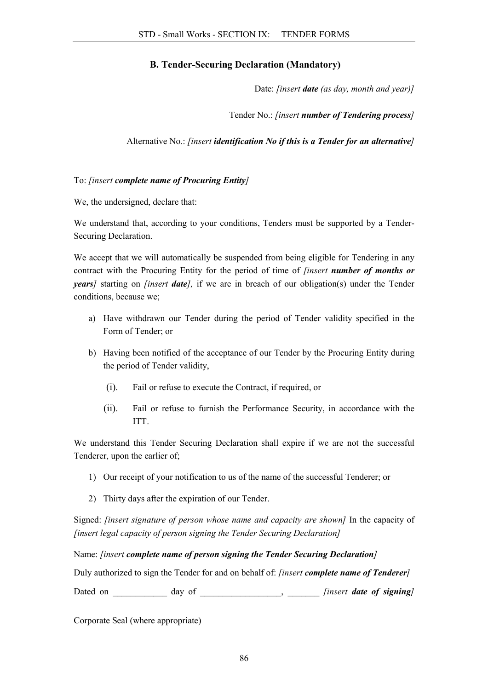## B. Tender-Securing Declaration (Mandatory)

Date: *[insert date (as day, month and year)]*

Tender No.: *[insert number of Tendering process]*

Alternative No.: *[insert identification No if this is a Tender for an alternative]*

#### To: *[insert complete name of Procuring Entity]*

We, the undersigned, declare that:

We understand that, according to your conditions, Tenders must be supported by a Tender-Securing Declaration.

We accept that we will automatically be suspended from being eligible for Tendering in any contract with the Procuring Entity for the period of time of *[insert number of months or years]* starting on *[insert date],* if we are in breach of our obligation(s) under the Tender conditions, because we;

- a) Have withdrawn our Tender during the period of Tender validity specified in the Form of Tender; or
- b) Having been notified of the acceptance of our Tender by the Procuring Entity during the period of Tender validity,
	- (i). Fail or refuse to execute the Contract, if required, or
	- (ii). Fail or refuse to furnish the Performance Security, in accordance with the ITT.

We understand this Tender Securing Declaration shall expire if we are not the successful Tenderer, upon the earlier of;

- 1) Our receipt of your notification to us of the name of the successful Tenderer; or
- 2) Thirty days after the expiration of our Tender.

Signed: *[insert signature of person whose name and capacity are shown]* In the capacity of *[insert legal capacity of person signing the Tender Securing Declaration]*

Name: *[insert complete name of person signing the Tender Securing Declaration]*

Duly authorized to sign the Tender for and on behalf of: *[insert complete name of Tenderer]*

Dated on \_\_\_\_\_\_\_\_\_\_\_\_ day of \_\_\_\_\_\_\_\_\_\_\_\_\_\_\_\_\_\_, \_\_\_\_\_\_\_\_ *[insert date of signing]* 

Corporate Seal (where appropriate)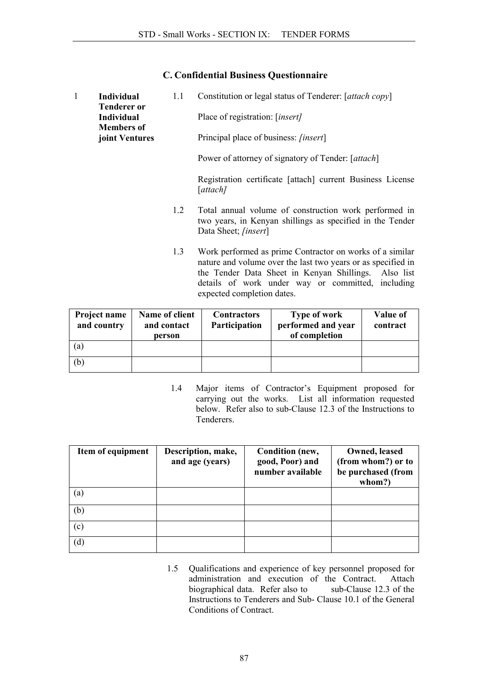### C. Confidential Business Questionnaire

| $\mathbf{1}$ | Individual<br><b>Tenderer or</b>       | 1.1 | Constitution or legal status of Tenderer: [attach copy]                                                                                                                                                                                                             |
|--------------|----------------------------------------|-----|---------------------------------------------------------------------------------------------------------------------------------------------------------------------------------------------------------------------------------------------------------------------|
|              | <b>Individual</b><br><b>Members of</b> |     | Place of registration: [insert]                                                                                                                                                                                                                                     |
|              | joint Ventures                         |     | Principal place of business: <i>[insert]</i>                                                                                                                                                                                                                        |
|              |                                        |     | Power of attorney of signatory of Tender: [attach]                                                                                                                                                                                                                  |
|              |                                        |     | Registration certificate [attach] current Business License<br>[attach]                                                                                                                                                                                              |
|              |                                        | 1.2 | Total annual volume of construction work performed in<br>two years, in Kenyan shillings as specified in the Tender<br>Data Sheet; [insert]                                                                                                                          |
|              |                                        | 1.3 | Work performed as prime Contractor on works of a similar<br>nature and volume over the last two years or as specified in<br>the Tender Data Sheet in Kenyan Shillings. Also list<br>details of work under way or committed, including<br>expected completion dates. |

| Project name<br>and country | Name of client<br>and contact<br>person | <b>Contractors</b><br>Participation | Type of work<br>performed and year<br>of completion | Value of<br>contract |
|-----------------------------|-----------------------------------------|-------------------------------------|-----------------------------------------------------|----------------------|
| (a)                         |                                         |                                     |                                                     |                      |
| (b)                         |                                         |                                     |                                                     |                      |

1.4 Major items of Contractor's Equipment proposed for carrying out the works. List all information requested below. Refer also to sub-Clause 12.3 of the Instructions to Tenderers.

| Item of equipment | Description, make,<br>and age (years) | Condition (new,<br>good, Poor) and<br>number available | Owned, leased<br>(from whom?) or to<br>be purchased (from<br>whom?) |
|-------------------|---------------------------------------|--------------------------------------------------------|---------------------------------------------------------------------|
| (a)               |                                       |                                                        |                                                                     |
| (b)               |                                       |                                                        |                                                                     |
| (c)               |                                       |                                                        |                                                                     |
| (d)               |                                       |                                                        |                                                                     |

1.5 Qualifications and experience of key personnel proposed for administration and execution of the Contract. Attache<br>biographical data. Refer also to sub-Clause 12.3 of the biographical data. Refer also to Instructions to Tenderers and Sub- Clause 10.1 of the General Conditions of Contract.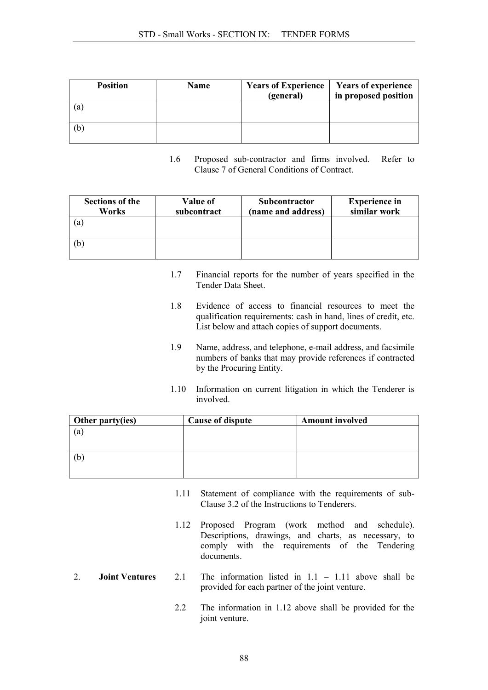| <b>Position</b> | Name | <b>Years of Experience</b><br>(general) | <b>Years of experience</b><br>in proposed position |
|-----------------|------|-----------------------------------------|----------------------------------------------------|
| a               |      |                                         |                                                    |
| b               |      |                                         |                                                    |

1.6 Proposed sub-contractor and firms involved. Refer to Clause 7 of General Conditions of Contract.

| Sections of the<br>Works | Value of<br>subcontract | Subcontractor<br>(name and address) | <b>Experience in</b><br>similar work |
|--------------------------|-------------------------|-------------------------------------|--------------------------------------|
| (a)                      |                         |                                     |                                      |
| (b)                      |                         |                                     |                                      |

- 1.7 Financial reports for the number of years specified in the Tender Data Sheet.
- 1.8 Evidence of access to financial resources to meet the qualification requirements: cash in hand, lines of credit, etc. List below and attach copies of support documents.
- 1.9 Name, address, and telephone, e-mail address, and facsimile numbers of banks that may provide references if contracted by the Procuring Entity.
- 1.10 Information on current litigation in which the Tenderer is involved.

| Other party(ies) | <b>Cause of dispute</b> | <b>Amount involved</b> |
|------------------|-------------------------|------------------------|
| (a)              |                         |                        |
|                  |                         |                        |
|                  |                         |                        |
| (b               |                         |                        |
|                  |                         |                        |

- 1.11 Statement of compliance with the requirements of sub-Clause 3.2 of the Instructions to Tenderers.
- 1.12 Proposed Program (work method and schedule). Descriptions, drawings, and charts, as necessary, to comply with the requirements of the Tendering documents.
- 2. **Joint Ventures** 2.1 The information listed in  $1.1 1.11$  above shall be provided for each partner of the joint venture.
	- 2.2 The information in 1.12 above shall be provided for the joint venture.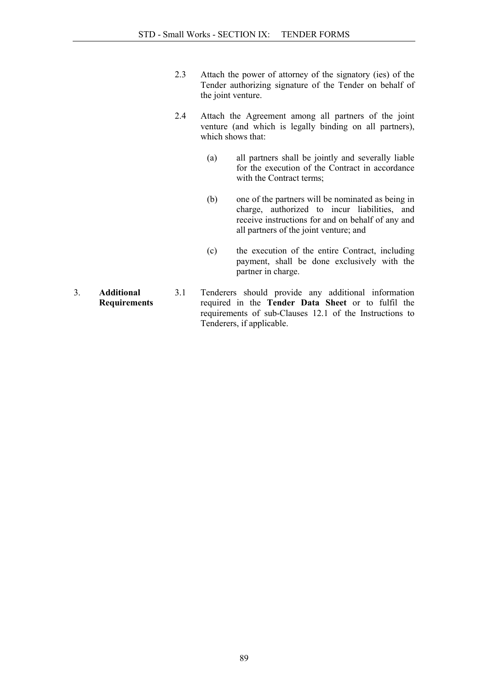- 2.3 Attach the power of attorney of the signatory (ies) of the Tender authorizing signature of the Tender on behalf of the joint venture.
- 2.4 Attach the Agreement among all partners of the joint venture (and which is legally binding on all partners), which shows that:
	- (a) all partners shall be jointly and severally liable for the execution of the Contract in accordance with the Contract terms:
	- (b) one of the partners will be nominated as being in charge, authorized to incur liabilities, and receive instructions for and on behalf of any and all partners of the joint venture; and
	- (c) the execution of the entire Contract, including payment, shall be done exclusively with the partner in charge.
- 3. Additional **Requirements** 3.1 Tenderers should provide any additional information required in the Tender Data Sheet or to fulfil the requirements of sub-Clauses 12.1 of the Instructions to Tenderers, if applicable.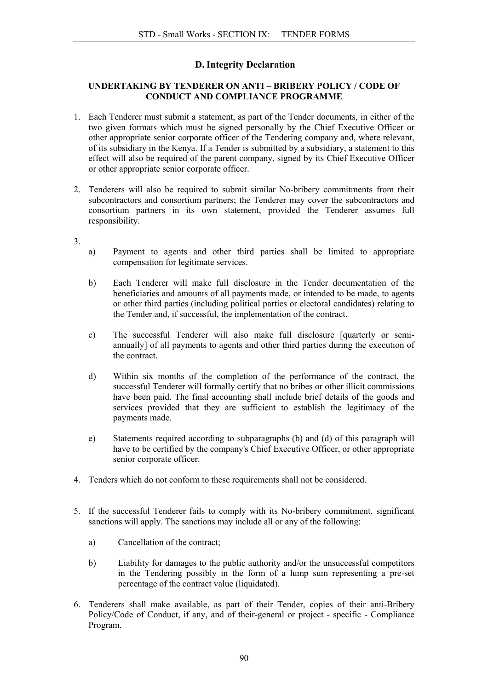## D. Integrity Declaration

#### UNDERTAKING BY TENDERER ON ANTI – BRIBERY POLICY / CODE OF CONDUCT AND COMPLIANCE PROGRAMME

- 1. Each Tenderer must submit a statement, as part of the Tender documents, in either of the two given formats which must be signed personally by the Chief Executive Officer or other appropriate senior corporate officer of the Tendering company and, where relevant, of its subsidiary in the Kenya. If a Tender is submitted by a subsidiary, a statement to this effect will also be required of the parent company, signed by its Chief Executive Officer or other appropriate senior corporate officer.
- 2. Tenderers will also be required to submit similar No-bribery commitments from their subcontractors and consortium partners; the Tenderer may cover the subcontractors and consortium partners in its own statement, provided the Tenderer assumes full responsibility.
- 3.
- a) Payment to agents and other third parties shall be limited to appropriate compensation for legitimate services.
- b) Each Tenderer will make full disclosure in the Tender documentation of the beneficiaries and amounts of all payments made, or intended to be made, to agents or other third parties (including political parties or electoral candidates) relating to the Tender and, if successful, the implementation of the contract.
- c) The successful Tenderer will also make full disclosure [quarterly or semiannually] of all payments to agents and other third parties during the execution of the contract.
- d) Within six months of the completion of the performance of the contract, the successful Tenderer will formally certify that no bribes or other illicit commissions have been paid. The final accounting shall include brief details of the goods and services provided that they are sufficient to establish the legitimacy of the payments made.
- e) Statements required according to subparagraphs (b) and (d) of this paragraph will have to be certified by the company's Chief Executive Officer, or other appropriate senior corporate officer.
- 4. Tenders which do not conform to these requirements shall not be considered.
- 5. If the successful Tenderer fails to comply with its No-bribery commitment, significant sanctions will apply. The sanctions may include all or any of the following:
	- a) Cancellation of the contract;
	- b) Liability for damages to the public authority and/or the unsuccessful competitors in the Tendering possibly in the form of a lump sum representing a pre-set percentage of the contract value (liquidated).
- 6. Tenderers shall make available, as part of their Tender, copies of their anti-Bribery Policy/Code of Conduct, if any, and of their-general or project - specific - Compliance Program.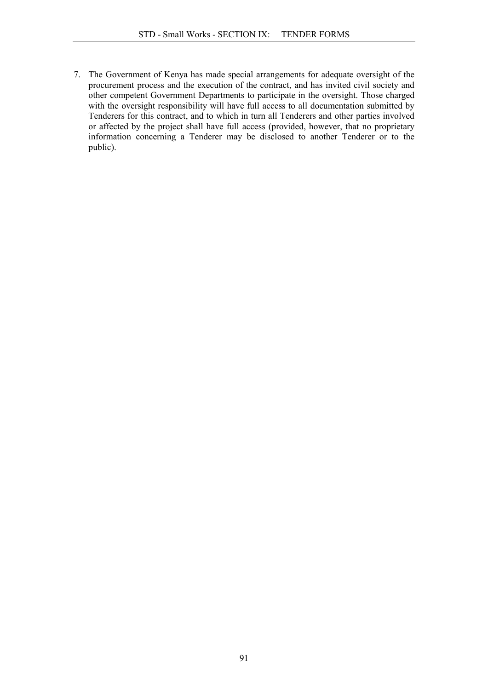7. The Government of Kenya has made special arrangements for adequate oversight of the procurement process and the execution of the contract, and has invited civil society and other competent Government Departments to participate in the oversight. Those charged with the oversight responsibility will have full access to all documentation submitted by Tenderers for this contract, and to which in turn all Tenderers and other parties involved or affected by the project shall have full access (provided, however, that no proprietary information concerning a Tenderer may be disclosed to another Tenderer or to the public).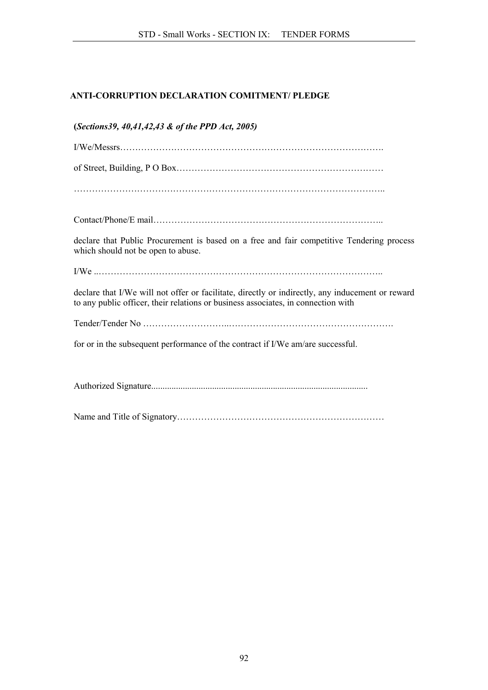## ANTI-CORRUPTION DECLARATION COMITMENT/ PLEDGE

| (Sections39, 40,41,42,43 & of the PPD Act, 2005)                                                                                                                                      |
|---------------------------------------------------------------------------------------------------------------------------------------------------------------------------------------|
|                                                                                                                                                                                       |
|                                                                                                                                                                                       |
|                                                                                                                                                                                       |
|                                                                                                                                                                                       |
| declare that Public Procurement is based on a free and fair competitive Tendering process<br>which should not be open to abuse.                                                       |
|                                                                                                                                                                                       |
| declare that I/We will not offer or facilitate, directly or indirectly, any inducement or reward<br>to any public officer, their relations or business associates, in connection with |
|                                                                                                                                                                                       |
| for or in the subsequent performance of the contract if I/We am/are successful.                                                                                                       |
|                                                                                                                                                                                       |
|                                                                                                                                                                                       |
|                                                                                                                                                                                       |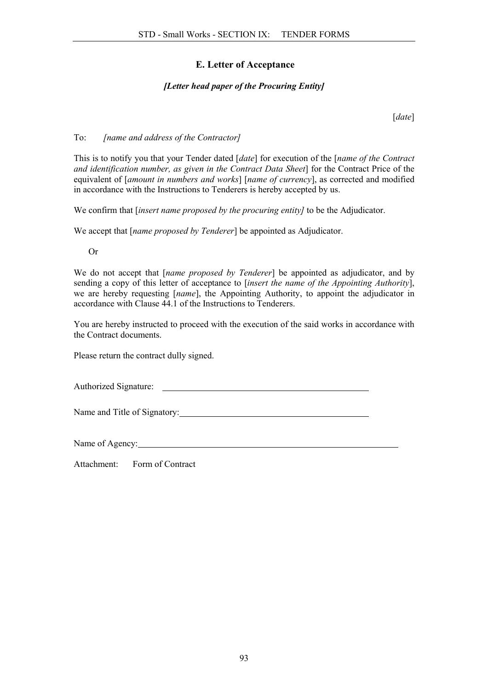## E. Letter of Acceptance

#### *[Letter head paper of the Procuring Entity]*

[*date*]

#### To: *[name and address of the Contractor]*

This is to notify you that your Tender dated [*date*] for execution of the [*name of the Contract and identification number, as given in the Contract Data Sheet*] for the Contract Price of the equivalent of [*amount in numbers and works*] [*name of currency*], as corrected and modified in accordance with the Instructions to Tenderers is hereby accepted by us.

We confirm that [*insert name proposed by the procuring entity]* to be the Adjudicator.

We accept that [*name proposed by Tenderer*] be appointed as Adjudicator.

Or

We do not accept that [*name proposed by Tenderer*] be appointed as adjudicator, and by sending a copy of this letter of acceptance to [*insert the name of the Appointing Authority*], we are hereby requesting [*name*], the Appointing Authority, to appoint the adjudicator in accordance with Clause 44.1 of the Instructions to Tenderers.

You are hereby instructed to proceed with the execution of the said works in accordance with the Contract documents.

Please return the contract dully signed.

Authorized Signature:

Name and Title of Signatory:

Name of Agency:

Attachment: Form of Contract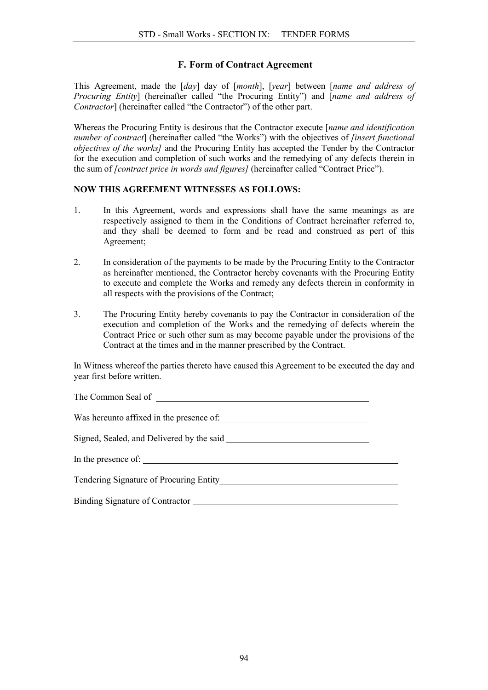### F. Form of Contract Agreement

This Agreement, made the [*day*] day of [*month*], [*year*] between [*name and address of Procuring Entity*] (hereinafter called "the Procuring Entity") and [*name and address of Contractor*] (hereinafter called "the Contractor") of the other part.

Whereas the Procuring Entity is desirous that the Contractor execute [*name and identification number of contract*] (hereinafter called "the Works") with the objectives of *[insert functional objectives of the works]* and the Procuring Entity has accepted the Tender by the Contractor for the execution and completion of such works and the remedying of any defects therein in the sum of *[contract price in words and figures]* (hereinafter called "Contract Price").

#### NOW THIS AGREEMENT WITNESSES AS FOLLOWS:

- 1. In this Agreement, words and expressions shall have the same meanings as are respectively assigned to them in the Conditions of Contract hereinafter referred to, and they shall be deemed to form and be read and construed as pert of this Agreement;
- 2. In consideration of the payments to be made by the Procuring Entity to the Contractor as hereinafter mentioned, the Contractor hereby covenants with the Procuring Entity to execute and complete the Works and remedy any defects therein in conformity in all respects with the provisions of the Contract;
- 3. The Procuring Entity hereby covenants to pay the Contractor in consideration of the execution and completion of the Works and the remedying of defects wherein the Contract Price or such other sum as may become payable under the provisions of the Contract at the times and in the manner prescribed by the Contract.

In Witness whereof the parties thereto have caused this Agreement to be executed the day and year first before written.

| In the presence of:                     |  |
|-----------------------------------------|--|
| Tendering Signature of Procuring Entity |  |
|                                         |  |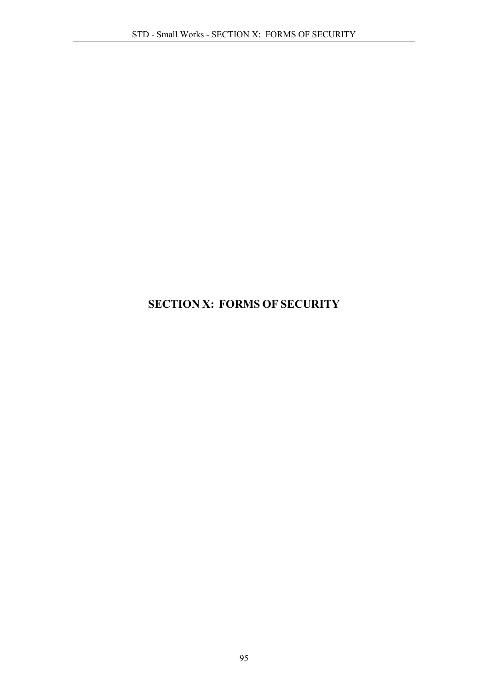# SECTION X: FORMS OF SECURITY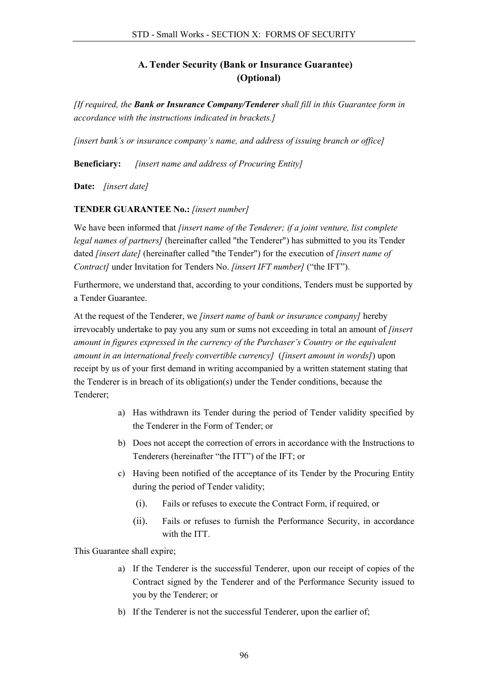## A. Tender Security (Bank or Insurance Guarantee) (Optional)

*[If required, the Bank or Insurance Company/Tenderer shall fill in this Guarantee form in accordance with the instructions indicated in brackets.]*

*[insert bank's or insurance company's name, and address of issuing branch or office]*

Beneficiary: *[insert name and address of Procuring Entity]*

Date: *[insert date]*

### TENDER GUARANTEE No.: *[insert number]*

We have been informed that *[insert name of the Tenderer; if a joint venture, list complete legal names of partners]* (hereinafter called "the Tenderer") has submitted to you its Tender dated *[insert date]* (hereinafter called "the Tender") for the execution of *[insert name of Contract]* under Invitation for Tenders No. *[insert IFT number]* ("the IFT").

Furthermore, we understand that, according to your conditions, Tenders must be supported by a Tender Guarantee.

At the request of the Tenderer, we *[insert name of bank or insurance company]* hereby irrevocably undertake to pay you any sum or sums not exceeding in total an amount of *[insert amount in figures expressed in the currency of the Purchaser's Country or the equivalent amount in an international freely convertible currency]* (*[insert amount in words]*) upon receipt by us of your first demand in writing accompanied by a written statement stating that the Tenderer is in breach of its obligation(s) under the Tender conditions, because the Tenderer;

- a) Has withdrawn its Tender during the period of Tender validity specified by the Tenderer in the Form of Tender; or
- b) Does not accept the correction of errors in accordance with the Instructions to Tenderers (hereinafter "the ITT") of the IFT; or
- c) Having been notified of the acceptance of its Tender by the Procuring Entity during the period of Tender validity;
	- (i). Fails or refuses to execute the Contract Form, if required, or
	- (ii). Fails or refuses to furnish the Performance Security, in accordance with the ITT.

This Guarantee shall expire;

- a) If the Tenderer is the successful Tenderer, upon our receipt of copies of the Contract signed by the Tenderer and of the Performance Security issued to you by the Tenderer; or
- b) If the Tenderer is not the successful Tenderer, upon the earlier of;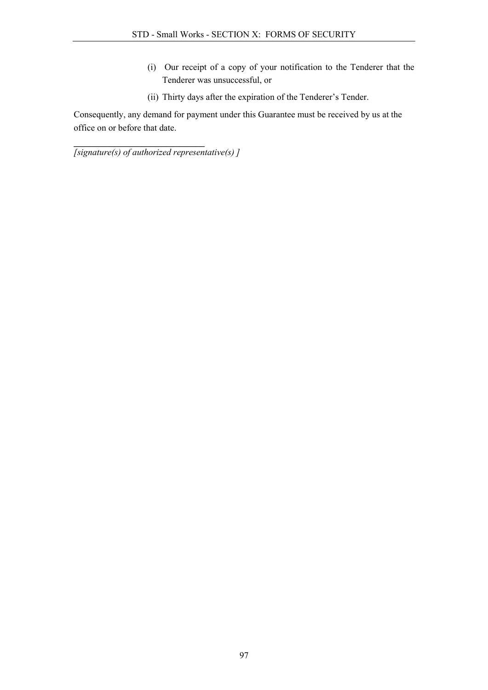- (i) Our receipt of a copy of your notification to the Tenderer that the Tenderer was unsuccessful, or
- (ii) Thirty days after the expiration of the Tenderer's Tender.

Consequently, any demand for payment under this Guarantee must be received by us at the office on or before that date.

\_\_\_\_\_\_\_\_\_\_\_\_\_\_\_\_\_\_\_\_\_\_\_\_\_\_\_\_\_ *[signature(s) of authorized representative(s) ]*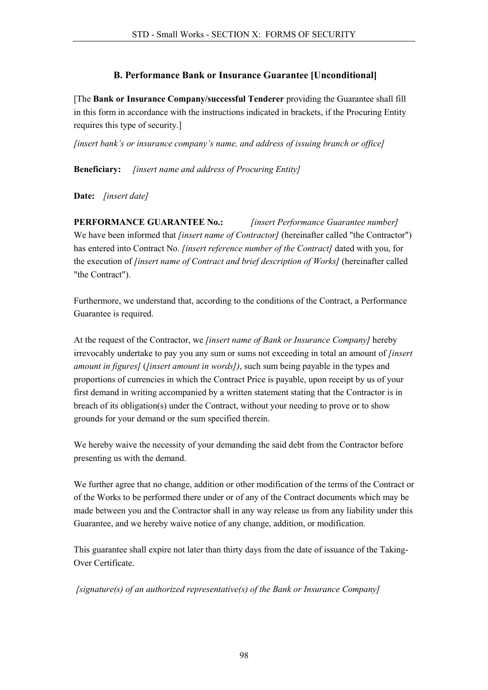## B. Performance Bank or Insurance Guarantee [Unconditional]

[The Bank or Insurance Company/successful Tenderer providing the Guarantee shall fill in this form in accordance with the instructions indicated in brackets, if the Procuring Entity requires this type of security.]

*[insert bank's or insurance company's name, and address of issuing branch or office]*

Beneficiary: *[insert name and address of Procuring Entity]*

Date: *[insert date]*

PERFORMANCE GUARANTEE No.: *[insert Performance Guarantee number]* We have been informed that *[insert name of Contractor]* (hereinafter called "the Contractor") has entered into Contract No. *[insert reference number of the Contract]* dated with you, for the execution of *[insert name of Contract and brief description of Works]* (hereinafter called "the Contract").

Furthermore, we understand that, according to the conditions of the Contract, a Performance Guarantee is required.

At the request of the Contractor, we *[insert name of Bank or Insurance Company]* hereby irrevocably undertake to pay you any sum or sums not exceeding in total an amount of *[insert amount in figures]* (*[insert amount in words])*, such sum being payable in the types and proportions of currencies in which the Contract Price is payable, upon receipt by us of your first demand in writing accompanied by a written statement stating that the Contractor is in breach of its obligation(s) under the Contract, without your needing to prove or to show grounds for your demand or the sum specified therein.

We hereby waive the necessity of your demanding the said debt from the Contractor before presenting us with the demand.

We further agree that no change, addition or other modification of the terms of the Contract or of the Works to be performed there under or of any of the Contract documents which may be made between you and the Contractor shall in any way release us from any liability under this Guarantee, and we hereby waive notice of any change, addition, or modification.

This guarantee shall expire not later than thirty days from the date of issuance of the Taking-Over Certificate.

*[signature(s) of an authorized representative(s) of the Bank or Insurance Company]*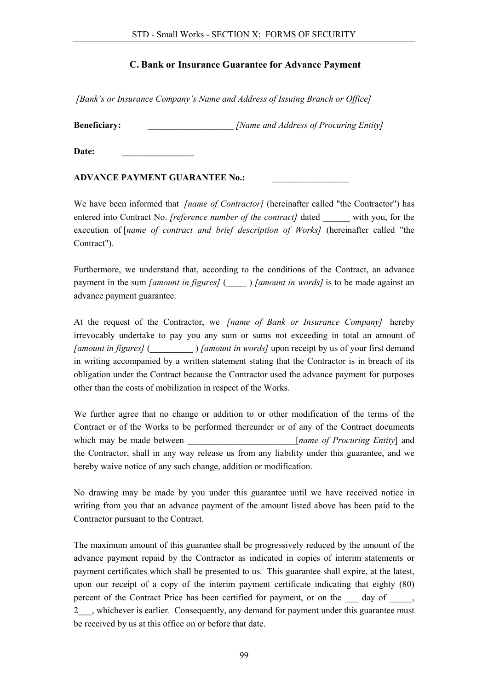## C. Bank or Insurance Guarantee for Advance Payment

*[Bank's or Insurance Company's Name and Address of Issuing Branch or Office]*

**Beneficiary:**  $\qquad \qquad$  *[Name and Address of Procuring Entity]* 

Date:

#### ADVANCE PAYMENT GUARANTEE No.:

We have been informed that *[name of Contractor]* (hereinafter called "the Contractor") has entered into Contract No. *[reference number of the contract]* dated with you, for the execution of [*name of contract and brief description of Works]* (hereinafter called "the Contract").

Furthermore, we understand that, according to the conditions of the Contract, an advance payment in the sum *[amount in figures]* ( ) *[amount in words]* is to be made against an advance payment guarantee.

At the request of the Contractor, we *[name of Bank or Insurance Company]* hereby irrevocably undertake to pay you any sum or sums not exceeding in total an amount of *[amount in figures]* ( ) *[amount in words]* upon receipt by us of your first demand in writing accompanied by a written statement stating that the Contractor is in breach of its obligation under the Contract because the Contractor used the advance payment for purposes other than the costs of mobilization in respect of the Works.

We further agree that no change or addition to or other modification of the terms of the Contract or of the Works to be performed thereunder or of any of the Contract documents which may be made between  $[name of Procurring Entity]$  and the Contractor, shall in any way release us from any liability under this guarantee, and we hereby waive notice of any such change, addition or modification.

No drawing may be made by you under this guarantee until we have received notice in writing from you that an advance payment of the amount listed above has been paid to the Contractor pursuant to the Contract.

The maximum amount of this guarantee shall be progressively reduced by the amount of the advance payment repaid by the Contractor as indicated in copies of interim statements or payment certificates which shall be presented to us. This guarantee shall expire, at the latest, upon our receipt of a copy of the interim payment certificate indicating that eighty (80) percent of the Contract Price has been certified for payment, or on the day of  $\qquad$ , 2<sup>th</sup>, whichever is earlier. Consequently, any demand for payment under this guarantee must be received by us at this office on or before that date.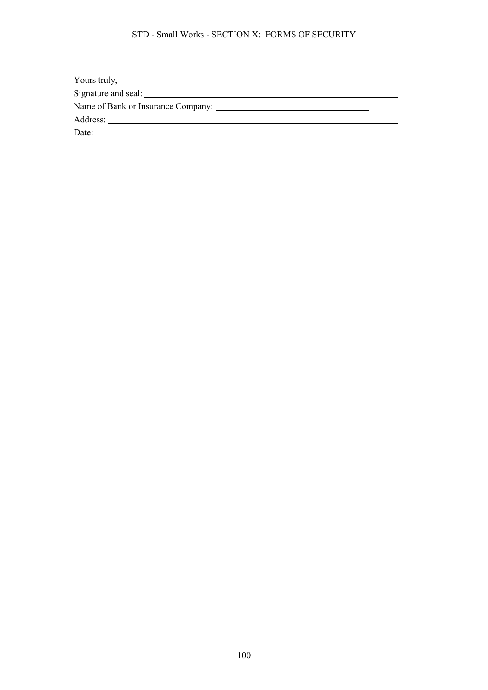| Yours truly,                                      |  |
|---------------------------------------------------|--|
| Signature and seal: <u>supplementary and seal</u> |  |
|                                                   |  |
|                                                   |  |
| Date:                                             |  |
|                                                   |  |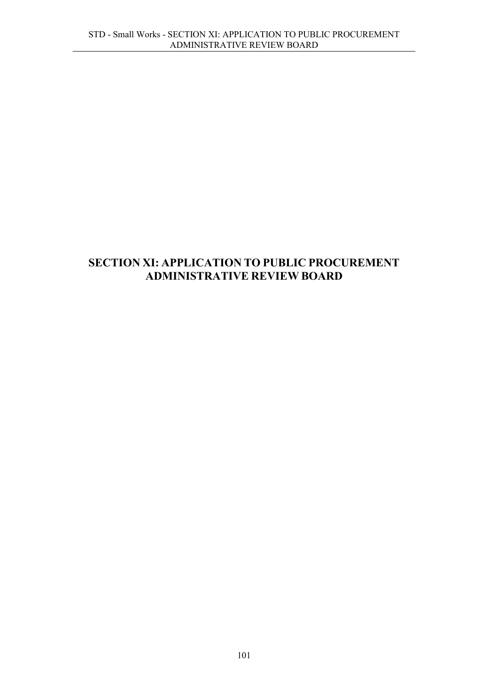## SECTION XI: APPLICATION TO PUBLIC PROCUREMENT ADMINISTRATIVE REVIEW BOARD